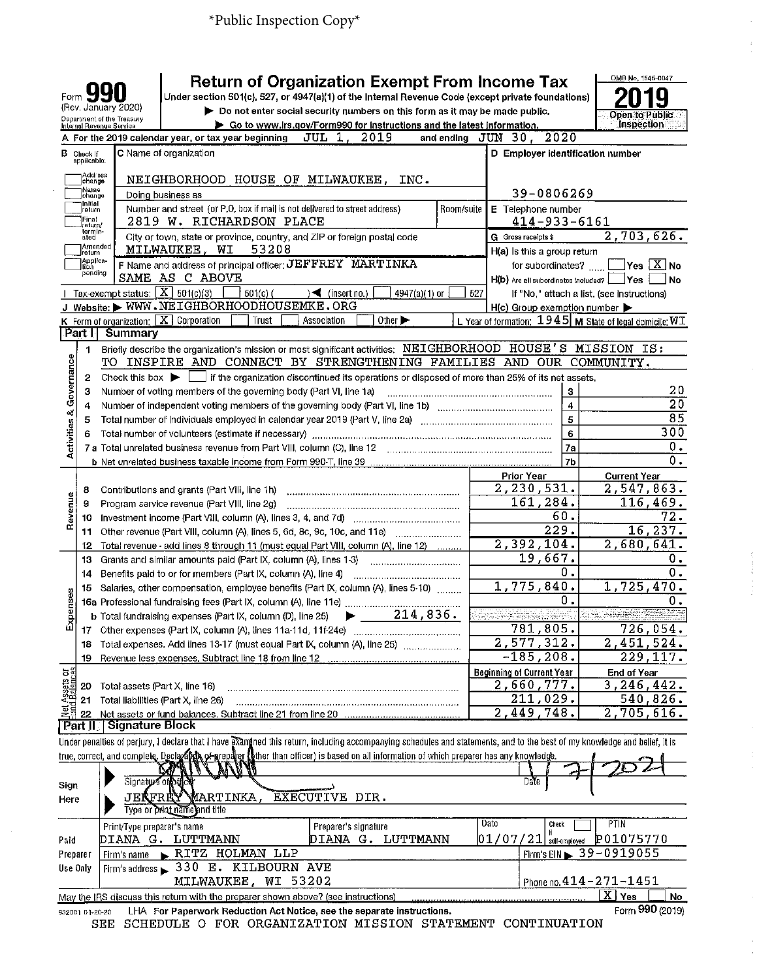| Form                                        |                                     | (Rev. January 2020)                                                 | <b>Return of Organization Exempt From Income Tax</b><br>Under section 501(c), 527, or 4947(a)(1) of the Internal Revenue Code (except private foundations)                                                                                                                                                              |            |                                                            | OMB No, 1545-0047                                                                           |
|---------------------------------------------|-------------------------------------|---------------------------------------------------------------------|-------------------------------------------------------------------------------------------------------------------------------------------------------------------------------------------------------------------------------------------------------------------------------------------------------------------------|------------|------------------------------------------------------------|---------------------------------------------------------------------------------------------|
|                                             |                                     | Department of the Treasury                                          | Do not enter social security numbers on this form as it may be made public.                                                                                                                                                                                                                                             |            |                                                            | <b>Open to Public</b>                                                                       |
|                                             |                                     | Internal Revenue Service                                            | ▶ Go to www.irs.gov/Form990 for instructions and the latest information.                                                                                                                                                                                                                                                |            |                                                            | <b>Inspection</b>                                                                           |
|                                             |                                     |                                                                     | A For the 2019 calendar year, or tax year beginning<br>JUL 1, 2019<br>and ending                                                                                                                                                                                                                                        |            | 2020<br>JUN<br>30.                                         |                                                                                             |
| в                                           | Check if<br>applicable;<br>Address  |                                                                     | C Name of organization                                                                                                                                                                                                                                                                                                  |            | D Employer identification number                           |                                                                                             |
|                                             | change<br> Name<br> change          |                                                                     | NEIGHBORHOOD HOUSE OF MILWAUKEE,<br>INC.<br>Doing business as                                                                                                                                                                                                                                                           |            | 39-0806269                                                 |                                                                                             |
|                                             | <b>Initial</b><br>retum             |                                                                     | Number and street (or P.O. box if mail is not delivered to street address)                                                                                                                                                                                                                                              | Room/suite | E Telephone number                                         |                                                                                             |
|                                             | Final<br>return/<br>termin-<br>ated |                                                                     | 2819 W. RICHARDSON PLACE<br>City or town, state or province, country, and ZIP or foreign postal code                                                                                                                                                                                                                    |            | $414 - 933 - 6161$<br>G Gross receipts \$                  | 2,703,626.                                                                                  |
|                                             | Amended<br>return                   |                                                                     | 53208<br>MILWAUKEE, WI                                                                                                                                                                                                                                                                                                  |            | $H(a)$ is this a group return                              |                                                                                             |
|                                             | Applica-<br>ltich<br>pending        |                                                                     | F Name and address of principal officer: JEFFREY MARTINKA<br>SAME AS C ABOVE                                                                                                                                                                                                                                            |            | for subordinates?<br>$H(b)$ Are all subordinates included? | $ {\mathsf Y}{\mathsf e}{\mathsf s}\mathrel  \overline{{\mathbf X}}$ No<br><b>Yes</b><br>No |
|                                             |                                     | Tax-exempt status; $\boxed{\textbf{X}}$ 501(c)(3)                   | $501(c)$ (<br>$\leq$ (insert no.)<br>$4947(a)(1)$ or                                                                                                                                                                                                                                                                    | 527        |                                                            | If "No," attach a list. (see instructions)                                                  |
|                                             |                                     |                                                                     | Website: WWW.NEIGHBORHOODHOUSEMKE.ORG<br>Other $\blacktriangleright$                                                                                                                                                                                                                                                    |            | $H(c)$ Group exemption number $\blacktriangleright$        |                                                                                             |
|                                             | Part I                              | $K$ Form of organization: $\boxed{X}$ Corporation<br><b>Summary</b> | Trust<br>Association                                                                                                                                                                                                                                                                                                    |            |                                                            | L. Year of formation: $1945$ M State of legal domicile: WT                                  |
|                                             | 1                                   |                                                                     | Briefly describe the organization's mission or most significant activities: NEIGHBORHOOD HOUSE'S MISSION IS:                                                                                                                                                                                                            |            |                                                            |                                                                                             |
| Governance                                  |                                     |                                                                     | TO INSPIRE AND CONNECT BY STRENGTHENING FAMILIES AND OUR COMMUNITY.                                                                                                                                                                                                                                                     |            |                                                            |                                                                                             |
|                                             | 2                                   |                                                                     | Check this box $\blacktriangleright$ $\Box$ if the organization discontinued its operations or disposed of more than 25% of its net assets.                                                                                                                                                                             |            |                                                            |                                                                                             |
|                                             | 3                                   |                                                                     | Number of voting members of the governing body (Part VI, line 1a)                                                                                                                                                                                                                                                       |            | з<br>$\overline{\mathbf{4}}$                               | 20<br>$\overline{20}$                                                                       |
|                                             | 4<br>5                              |                                                                     |                                                                                                                                                                                                                                                                                                                         |            | $\overline{5}$                                             | 85                                                                                          |
| <b>Activities &amp;</b>                     | 6                                   |                                                                     |                                                                                                                                                                                                                                                                                                                         |            | 6                                                          | 300                                                                                         |
|                                             |                                     |                                                                     |                                                                                                                                                                                                                                                                                                                         |            | 7a                                                         | о.                                                                                          |
|                                             |                                     |                                                                     |                                                                                                                                                                                                                                                                                                                         |            | 7 <sub>b</sub>                                             | $\overline{0}$ .                                                                            |
|                                             |                                     |                                                                     |                                                                                                                                                                                                                                                                                                                         |            | <b>Prior Year</b>                                          | <b>Current Year</b>                                                                         |
|                                             | 8                                   |                                                                     | Contributions and grants (Part VIII, line 1h)                                                                                                                                                                                                                                                                           |            | $\overline{2,230,531}$ .                                   | 2,547,863.                                                                                  |
|                                             | 9                                   |                                                                     | Program service revenue (Part VIII, line 2g)                                                                                                                                                                                                                                                                            |            | 161,284.                                                   | 116,469.                                                                                    |
| Revenue                                     | 10                                  |                                                                     |                                                                                                                                                                                                                                                                                                                         |            | 60.                                                        | 72.                                                                                         |
|                                             | 11                                  |                                                                     | Other revenue (Part VIII, column (A), lines 5, 6d, 8c, 9c, 10c, and 11e)                                                                                                                                                                                                                                                |            | $\overline{2}$ 29.                                         | 16, 237.                                                                                    |
|                                             | 12                                  |                                                                     | Total revenue - add lines 8 through 11 (must equal Part VIII, column (A), line 12)                                                                                                                                                                                                                                      |            | 2,392,104.                                                 | 2,680,641.                                                                                  |
|                                             | 13                                  |                                                                     | Grants and similar amounts paid (Part IX, column (A), lines 1-3)                                                                                                                                                                                                                                                        |            | 19,667.                                                    | 0.                                                                                          |
|                                             | 14                                  |                                                                     | Benefits paid to or for members (Part IX, column (A), line 4)                                                                                                                                                                                                                                                           |            | Ο.                                                         | 0.                                                                                          |
|                                             | 15                                  |                                                                     | Salaries, other compensation, employee benefits (Part IX, column (A), lines 5-10)                                                                                                                                                                                                                                       |            | 1,775,840.                                                 | 1,725,470.                                                                                  |
| cestredx                                    |                                     |                                                                     |                                                                                                                                                                                                                                                                                                                         |            | о.                                                         | 0.                                                                                          |
|                                             |                                     |                                                                     | 214,836.<br><b>b</b> Total fundraising expenses (Part IX, column (D), line 25)                                                                                                                                                                                                                                          |            |                                                            |                                                                                             |
| Щ                                           | 17 <sub>1</sub>                     |                                                                     |                                                                                                                                                                                                                                                                                                                         |            | 781,805.                                                   | 726,054.                                                                                    |
|                                             | 18                                  |                                                                     | Total expenses, Add lines 13-17 (must equal Part IX, column (A), line 25) (manumentation                                                                                                                                                                                                                                |            | 2,577,312.                                                 | 2,451,524.                                                                                  |
|                                             | 19                                  |                                                                     |                                                                                                                                                                                                                                                                                                                         |            | -185,208.                                                  | $\overline{229}$ , 117                                                                      |
| ិខ្លី                                       |                                     |                                                                     |                                                                                                                                                                                                                                                                                                                         |            | <b>Beginning of Current Year</b>                           | End of Year                                                                                 |
|                                             | 20                                  | Total assets (Part X, line 16)                                      |                                                                                                                                                                                                                                                                                                                         |            | 2,660,777.                                                 | 3,246,442.                                                                                  |
| Net Assets                                  | 21                                  |                                                                     | Total liabilities (Part X, line 26)                                                                                                                                                                                                                                                                                     |            | 211,029.                                                   | 540,826.                                                                                    |
|                                             | 22                                  |                                                                     | Net assets or fund balances. Subtract line 21 from line 20                                                                                                                                                                                                                                                              |            | 2,449,748,                                                 | 2,705,616.                                                                                  |
|                                             | Part II                             | <b>Signature Block</b>                                              |                                                                                                                                                                                                                                                                                                                         |            |                                                            |                                                                                             |
|                                             |                                     |                                                                     | Under penalties of perjury, I declare that I have examined this return, including accompanying schedules and statements, and to the best of my knowledge and belief, it is<br>true, correct, and complete. Declarated by prepared by the than officer) is based on all information of which preparer has any knowledge. |            |                                                            |                                                                                             |
|                                             |                                     |                                                                     |                                                                                                                                                                                                                                                                                                                         |            |                                                            |                                                                                             |
| Sign                                        |                                     | Signat <b>y</b> of                                                  |                                                                                                                                                                                                                                                                                                                         |            | Date                                                       |                                                                                             |
| JERFRRY MARTINKA,<br>EXECUTIVE DIR.<br>Here |                                     |                                                                     |                                                                                                                                                                                                                                                                                                                         |            |                                                            |                                                                                             |
|                                             |                                     |                                                                     | Type or print name and title                                                                                                                                                                                                                                                                                            |            |                                                            |                                                                                             |
|                                             |                                     | Print/Type preparer's name                                          | Preparer's signature                                                                                                                                                                                                                                                                                                    |            | <b>Date</b><br>Check                                       | PTIN                                                                                        |
| Paid                                        |                                     | DIANA G.                                                            | LUTTMANN<br>DIANA G.<br>LUTTMANN                                                                                                                                                                                                                                                                                        |            | $ 01$ / $07$ / $21 $ self-employed                         | P01075770                                                                                   |
| Preparer                                    |                                     | Firm's name                                                         | RITZ HOLMAN LLP                                                                                                                                                                                                                                                                                                         |            |                                                            | Firm's EIN $\geq 39 - 0919055$                                                              |
| Use Only                                    |                                     |                                                                     | Firm's address > 330 E. KILBOURN AVE                                                                                                                                                                                                                                                                                    |            |                                                            |                                                                                             |
|                                             |                                     |                                                                     | MILWAUKEE, WI 53202                                                                                                                                                                                                                                                                                                     |            |                                                            | Phone no. 414-271-1451                                                                      |
|                                             |                                     |                                                                     | May the IRS discuss this return with the preparer shown above? (see instructions)                                                                                                                                                                                                                                       |            |                                                            | $X$ Yes<br>No                                                                               |
|                                             | 932001 01-20-20                     |                                                                     | LHA For Paperwork Reduction Act Notice, see the separate instructions.<br>SEE SCHEDILE O FOR ORGANIZATION MISSION STATEMENT CONTINUATION                                                                                                                                                                                |            |                                                            | Form 990 (2019)                                                                             |

 $\frac{1}{4}$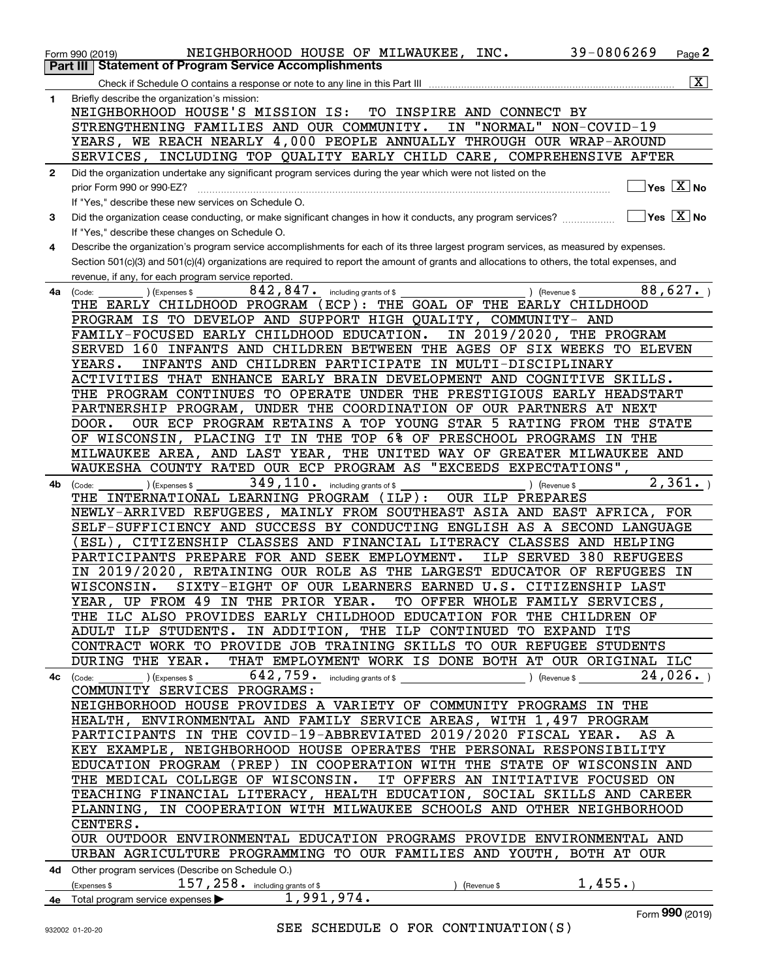|              | NEIGHBORHOOD HOUSE OF MILWAUKEE, INC.<br>Form 990 (2019)                                                                                     | 39-0806269   | Page 2                                 |
|--------------|----------------------------------------------------------------------------------------------------------------------------------------------|--------------|----------------------------------------|
|              | <b>Statement of Program Service Accomplishments</b><br>Part III                                                                              |              |                                        |
|              |                                                                                                                                              |              | $\overline{\mathbf{x}}$                |
| 1            | Briefly describe the organization's mission:                                                                                                 |              |                                        |
|              | NEIGHBORHOOD HOUSE'S MISSION IS:<br>TO INSPIRE AND CONNECT BY                                                                                |              |                                        |
|              | "NORMAL" NON-COVID-19                                                                                                                        |              |                                        |
|              | STRENGTHENING FAMILIES AND OUR COMMUNITY.<br>IN                                                                                              |              |                                        |
|              | YEARS, WE REACH NEARLY 4,000 PEOPLE ANNUALLY THROUGH OUR WRAP-AROUND                                                                         |              |                                        |
|              | INCLUDING TOP QUALITY EARLY CHILD CARE, COMPREHENSIVE AFTER<br>SERVICES,                                                                     |              |                                        |
| $\mathbf{2}$ | Did the organization undertake any significant program services during the year which were not listed on the                                 |              |                                        |
|              | prior Form 990 or 990-EZ?                                                                                                                    |              | $\sqrt{}$ Yes $\sqrt{}$ X $\sqrt{}$ No |
|              | If "Yes," describe these new services on Schedule O.                                                                                         |              |                                        |
| 3            | Did the organization cease conducting, or make significant changes in how it conducts, any program services?                                 |              | $ Y$ es $[X]$ No                       |
|              | If "Yes," describe these changes on Schedule O.                                                                                              |              |                                        |
| 4            | Describe the organization's program service accomplishments for each of its three largest program services, as measured by expenses.         |              |                                        |
|              |                                                                                                                                              |              |                                        |
|              | Section 501(c)(3) and 501(c)(4) organizations are required to report the amount of grants and allocations to others, the total expenses, and |              |                                        |
|              | revenue, if any, for each program service reported.                                                                                          |              |                                        |
| 4a           | 842,847.<br>including grants of \$<br>) (Revenue \$<br>(Code:<br>(Expenses \$                                                                |              | 88,627.                                |
|              | THE GOAL OF THE EARLY CHILDHOOD<br>THE EARLY CHILDHOOD PROGRAM (ECP):                                                                        |              |                                        |
|              | PROGRAM IS TO DEVELOP AND SUPPORT HIGH QUALITY, COMMUNITY- AND                                                                               |              |                                        |
|              | IN 2019/2020, THE PROGRAM<br>FAMILY-FOCUSED EARLY CHILDHOOD EDUCATION.                                                                       |              |                                        |
|              | 160 INFANTS AND CHILDREN BETWEEN THE AGES OF SIX WEEKS TO ELEVEN<br>SERVED                                                                   |              |                                        |
|              | INFANTS AND CHILDREN PARTICIPATE IN MULTI-DISCIPLINARY<br>YEARS.                                                                             |              |                                        |
|              | ACTIVITIES THAT ENHANCE EARLY BRAIN DEVELOPMENT AND COGNITIVE SKILLS.                                                                        |              |                                        |
|              | THE PROGRAM CONTINUES TO OPERATE UNDER THE PRESTIGIOUS EARLY HEADSTART                                                                       |              |                                        |
|              | PARTNERSHIP PROGRAM, UNDER THE COORDINATION OF OUR PARTNERS AT NEXT                                                                          |              |                                        |
|              | OUR ECP PROGRAM RETAINS A TOP YOUNG STAR 5 RATING FROM THE STATE                                                                             |              |                                        |
|              | DOOR.                                                                                                                                        |              |                                        |
|              | OF WISCONSIN, PLACING IT IN THE TOP 6% OF PRESCHOOL PROGRAMS IN THE                                                                          |              |                                        |
|              | MILWAUKEE AREA, AND LAST YEAR,<br>THE UNITED WAY OF GREATER MILWAUKEE AND                                                                    |              |                                        |
|              | WAUKESHA COUNTY RATED OUR ECP PROGRAM AS "EXCEEDS EXPECTATIONS",                                                                             |              |                                        |
| 4b           | 349, 110. including grants of \$<br>(Expenses \$<br>) (Revenue \$<br>(Code:                                                                  |              | 2,361.                                 |
|              | THE INTERNATIONAL LEARNING PROGRAM<br>OUR ILP PREPARES<br>(ILP):                                                                             |              |                                        |
|              | NEWLY-ARRIVED REFUGEES, MAINLY FROM SOUTHEAST ASIA AND EAST AFRICA, FOR                                                                      |              |                                        |
|              | SELF-SUFFICIENCY AND SUCCESS BY CONDUCTING ENGLISH AS A SECOND LANGUAGE                                                                      |              |                                        |
|              | ESL), CITIZENSHIP CLASSES AND FINANCIAL LITERACY CLASSES AND HELPING                                                                         |              |                                        |
|              | PARTICIPANTS PREPARE FOR AND SEEK EMPLOYMENT.<br>ILP SERVED                                                                                  | 380 REFUGEES |                                        |
|              | IN 2019/2020, RETAINING OUR ROLE AS THE LARGEST EDUCATOR OF REFUGEES                                                                         |              | - IN                                   |
|              | SIXTY-EIGHT OF OUR LEARNERS EARNED U.S. CITIZENSHIP LAST<br>WISCONSIN.                                                                       |              |                                        |
|              | YEAR, UP FROM 49 IN THE PRIOR YEAR.<br>TO OFFER WHOLE FAMILY SERVICES,                                                                       |              |                                        |
|              | THE ILC ALSO PROVIDES EARLY CHILDHOOD EDUCATION FOR THE CHILDREN OF                                                                          |              |                                        |
|              | ADULT ILP STUDENTS. IN ADDITION, THE ILP CONTINUED TO EXPAND ITS                                                                             |              |                                        |
|              | CONTRACT WORK TO PROVIDE JOB TRAINING SKILLS TO OUR REFUGEE STUDENTS                                                                         |              |                                        |
|              | DURING THE YEAR. THAT EMPLOYMENT WORK IS DONE BOTH AT OUR ORIGINAL ILC                                                                       |              |                                        |
|              |                                                                                                                                              |              |                                        |
|              | ) (Expenses \$ $642$ , $759$ $\cdot$ including grants of \$ $\hspace{1.5cm}$ ) (Revenue \$ $\hspace{1.5cm}$<br>$4c$ (Code:                   |              | 24,026.                                |
|              | COMMUNITY SERVICES PROGRAMS:                                                                                                                 |              |                                        |
|              | NEIGHBORHOOD HOUSE PROVIDES A VARIETY OF COMMUNITY PROGRAMS IN THE                                                                           |              |                                        |
|              | HEALTH, ENVIRONMENTAL AND FAMILY SERVICE AREAS, WITH 1,497 PROGRAM                                                                           |              |                                        |
|              | PARTICIPANTS IN THE COVID-19-ABBREVIATED 2019/2020 FISCAL YEAR.                                                                              | AS A         |                                        |
|              | KEY EXAMPLE, NEIGHBORHOOD HOUSE OPERATES THE PERSONAL RESPONSIBILITY                                                                         |              |                                        |
|              | EDUCATION PROGRAM (PREP) IN COOPERATION WITH THE STATE OF WISCONSIN AND                                                                      |              |                                        |
|              | THE MEDICAL COLLEGE OF WISCONSIN. IT OFFERS AN INITIATIVE FOCUSED ON                                                                         |              |                                        |
|              | TEACHING FINANCIAL LITERACY, HEALTH EDUCATION, SOCIAL SKILLS AND CAREER                                                                      |              |                                        |
|              | PLANNING, IN COOPERATION WITH MILWAUKEE SCHOOLS AND OTHER NEIGHBORHOOD                                                                       |              |                                        |
|              | CENTERS.                                                                                                                                     |              |                                        |
|              |                                                                                                                                              |              |                                        |
|              | OUR OUTDOOR ENVIRONMENTAL EDUCATION PROGRAMS PROVIDE ENVIRONMENTAL AND                                                                       |              |                                        |
|              | URBAN AGRICULTURE PROGRAMMING TO OUR FAMILIES AND YOUTH, BOTH AT OUR                                                                         |              |                                        |
|              | 4d Other program services (Describe on Schedule O.)                                                                                          |              |                                        |
|              | $157$ , $258$ $\cdot$ including grants of \$<br>(Expenses \$<br>(Revenue \$                                                                  | 1,455.       |                                        |
|              | 4e Total program service expenses <b>COVID-1991, 974.</b>                                                                                    |              |                                        |
|              |                                                                                                                                              |              | $F_{\text{arm}}$ 990 (2010)            |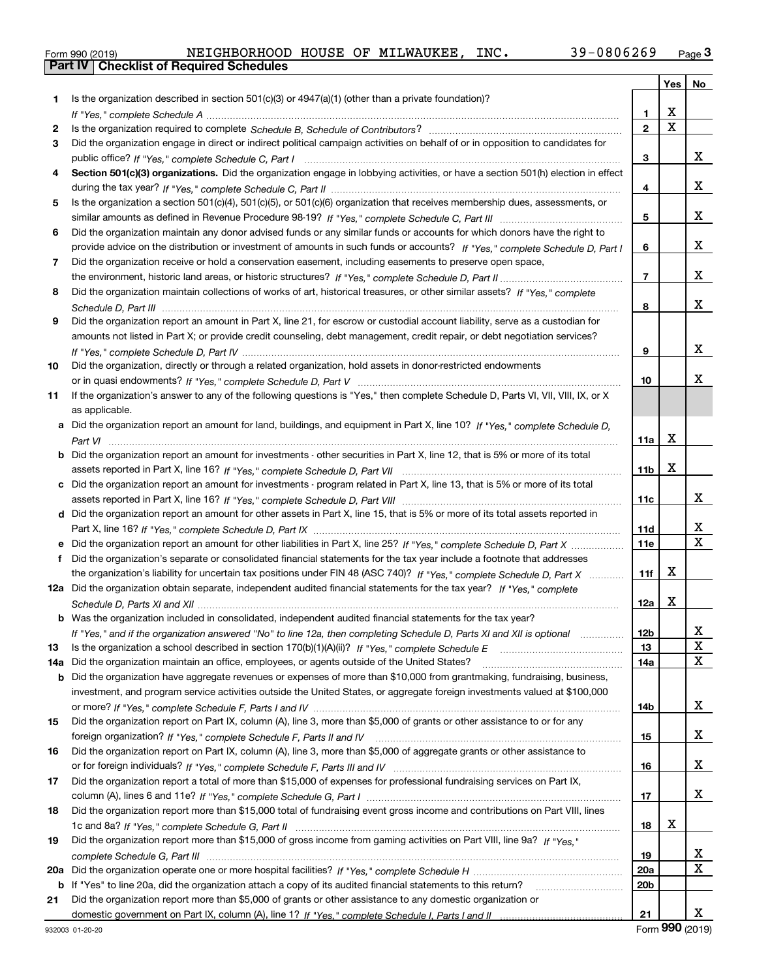|  | Form 990 (2019) |  |
|--|-----------------|--|

|     |                                                                                                                                                                                                                                                   |                 | Yes                     | No                           |
|-----|---------------------------------------------------------------------------------------------------------------------------------------------------------------------------------------------------------------------------------------------------|-----------------|-------------------------|------------------------------|
| 1.  | Is the organization described in section 501(c)(3) or 4947(a)(1) (other than a private foundation)?                                                                                                                                               |                 |                         |                              |
|     |                                                                                                                                                                                                                                                   | 1.              | X                       |                              |
| 2   |                                                                                                                                                                                                                                                   | $\overline{2}$  | $\overline{\mathbf{x}}$ |                              |
| 3   | Did the organization engage in direct or indirect political campaign activities on behalf of or in opposition to candidates for                                                                                                                   |                 |                         |                              |
|     |                                                                                                                                                                                                                                                   | 3               |                         | x                            |
| 4   | Section 501(c)(3) organizations. Did the organization engage in lobbying activities, or have a section 501(h) election in effect                                                                                                                  |                 |                         |                              |
|     |                                                                                                                                                                                                                                                   | 4               |                         | x                            |
| 5   | Is the organization a section 501(c)(4), 501(c)(5), or 501(c)(6) organization that receives membership dues, assessments, or                                                                                                                      |                 |                         |                              |
|     |                                                                                                                                                                                                                                                   | 5               |                         | x                            |
| 6   | Did the organization maintain any donor advised funds or any similar funds or accounts for which donors have the right to                                                                                                                         |                 |                         |                              |
|     | provide advice on the distribution or investment of amounts in such funds or accounts? If "Yes," complete Schedule D, Part I                                                                                                                      | 6               |                         | x                            |
| 7   | Did the organization receive or hold a conservation easement, including easements to preserve open space,                                                                                                                                         |                 |                         |                              |
|     |                                                                                                                                                                                                                                                   | $\overline{7}$  |                         | x                            |
| 8   | Did the organization maintain collections of works of art, historical treasures, or other similar assets? If "Yes," complete                                                                                                                      |                 |                         |                              |
|     |                                                                                                                                                                                                                                                   | 8               |                         | x                            |
| 9   | Did the organization report an amount in Part X, line 21, for escrow or custodial account liability, serve as a custodian for                                                                                                                     |                 |                         |                              |
|     | amounts not listed in Part X; or provide credit counseling, debt management, credit repair, or debt negotiation services?                                                                                                                         |                 |                         |                              |
|     |                                                                                                                                                                                                                                                   | 9               |                         | x                            |
| 10  | Did the organization, directly or through a related organization, hold assets in donor-restricted endowments                                                                                                                                      |                 |                         |                              |
|     |                                                                                                                                                                                                                                                   | 10              |                         | x                            |
| 11  | If the organization's answer to any of the following questions is "Yes," then complete Schedule D, Parts VI, VII, VIII, IX, or X                                                                                                                  |                 |                         |                              |
|     | as applicable.                                                                                                                                                                                                                                    |                 |                         |                              |
| a   | Did the organization report an amount for land, buildings, and equipment in Part X, line 10? If "Yes," complete Schedule D,                                                                                                                       |                 |                         |                              |
|     |                                                                                                                                                                                                                                                   | 11a             | X                       |                              |
| b   | Did the organization report an amount for investments - other securities in Part X, line 12, that is 5% or more of its total                                                                                                                      |                 |                         |                              |
|     |                                                                                                                                                                                                                                                   | 11 <sub>b</sub> | X                       |                              |
| c   | Did the organization report an amount for investments - program related in Part X, line 13, that is 5% or more of its total                                                                                                                       |                 |                         |                              |
|     |                                                                                                                                                                                                                                                   | 11c             |                         | х                            |
|     | d Did the organization report an amount for other assets in Part X, line 15, that is 5% or more of its total assets reported in                                                                                                                   |                 |                         |                              |
|     |                                                                                                                                                                                                                                                   | 11d             |                         | X<br>$\overline{\mathbf{x}}$ |
|     | Did the organization report an amount for other liabilities in Part X, line 25? If "Yes," complete Schedule D, Part X                                                                                                                             | <b>11e</b>      |                         |                              |
| f   | Did the organization's separate or consolidated financial statements for the tax year include a footnote that addresses<br>the organization's liability for uncertain tax positions under FIN 48 (ASC 740)? If "Yes," complete Schedule D, Part X | 11f             | х                       |                              |
|     | 12a Did the organization obtain separate, independent audited financial statements for the tax year? If "Yes," complete                                                                                                                           |                 |                         |                              |
|     |                                                                                                                                                                                                                                                   | 12a             | X                       |                              |
|     |                                                                                                                                                                                                                                                   |                 |                         |                              |
|     | <b>b</b> Was the organization included in consolidated, independent audited financial statements for the tax year?                                                                                                                                |                 |                         |                              |
| 13  | If "Yes," and if the organization answered "No" to line 12a, then completing Schedule D, Parts XI and XII is optional<br>Is the organization a school described in section $170(b)(1)(A)(ii)?$ If "Yes," complete Schedule E                      | 12D<br>13       |                         | ᅀ<br>$\mathbf X$             |
| 14a | Did the organization maintain an office, employees, or agents outside of the United States?                                                                                                                                                       | 14a             |                         | $\mathbf X$                  |
| b   | Did the organization have aggregate revenues or expenses of more than \$10,000 from grantmaking, fundraising, business,                                                                                                                           |                 |                         |                              |
|     | investment, and program service activities outside the United States, or aggregate foreign investments valued at \$100,000                                                                                                                        |                 |                         |                              |
|     |                                                                                                                                                                                                                                                   | 14b             |                         | x                            |
| 15  | Did the organization report on Part IX, column (A), line 3, more than \$5,000 of grants or other assistance to or for any                                                                                                                         |                 |                         |                              |
|     |                                                                                                                                                                                                                                                   | 15              |                         | x                            |
| 16  | Did the organization report on Part IX, column (A), line 3, more than \$5,000 of aggregate grants or other assistance to                                                                                                                          |                 |                         |                              |
|     |                                                                                                                                                                                                                                                   | 16              |                         | x                            |
| 17  | Did the organization report a total of more than \$15,000 of expenses for professional fundraising services on Part IX,                                                                                                                           |                 |                         |                              |
|     |                                                                                                                                                                                                                                                   | 17              |                         | x                            |
| 18  | Did the organization report more than \$15,000 total of fundraising event gross income and contributions on Part VIII, lines                                                                                                                      |                 |                         |                              |
|     |                                                                                                                                                                                                                                                   | 18              | х                       |                              |
| 19  | Did the organization report more than \$15,000 of gross income from gaming activities on Part VIII, line 9a? If "Yes."                                                                                                                            |                 |                         |                              |
|     |                                                                                                                                                                                                                                                   | 19              |                         | х                            |
| 20a |                                                                                                                                                                                                                                                   | 20a             |                         | $\mathbf X$                  |
| b   | If "Yes" to line 20a, did the organization attach a copy of its audited financial statements to this return?                                                                                                                                      | 20 <sub>b</sub> |                         |                              |
| 21  | Did the organization report more than \$5,000 of grants or other assistance to any domestic organization or                                                                                                                                       |                 |                         |                              |
|     |                                                                                                                                                                                                                                                   | 21              |                         | x                            |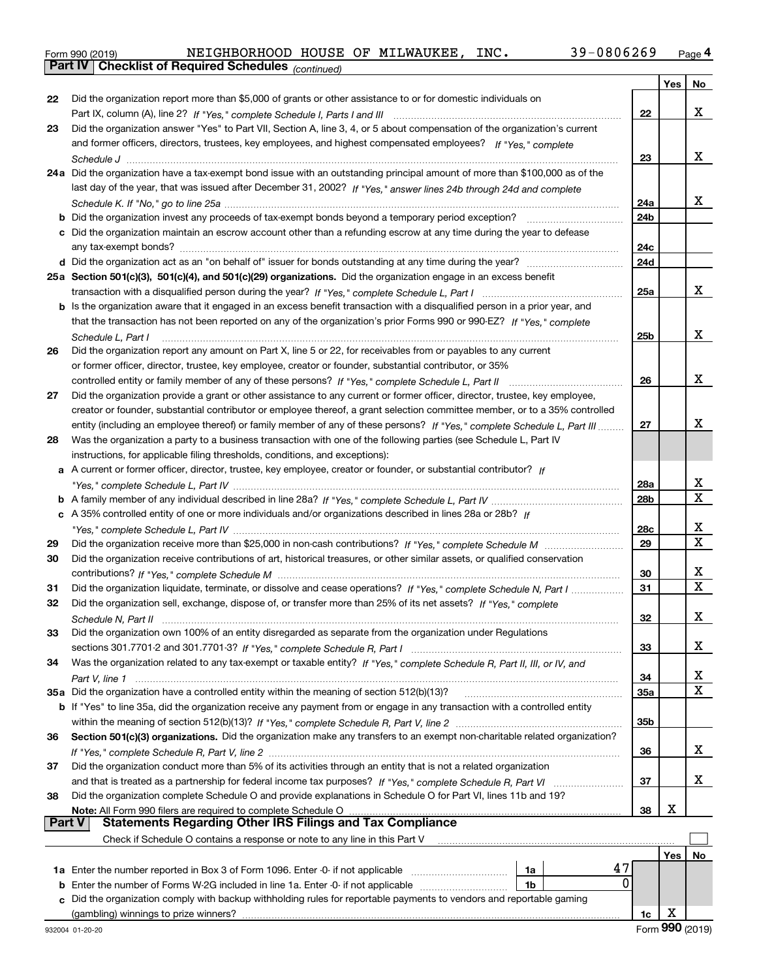| Form 990 (2019) | NEIGHBORHOOD HOUSE OF MILWAUKEE,                             |  | INC. | 39-0806269 | Page 4 |
|-----------------|--------------------------------------------------------------|--|------|------------|--------|
|                 | <b>Part IV   Checklist of Required Schedules</b> (continued) |  |      |            |        |

*(continued)*

| Did the organization report more than \$5,000 of grants or other assistance to or for domestic individuals on<br>22<br>22<br>Did the organization answer "Yes" to Part VII, Section A, line 3, 4, or 5 about compensation of the organization's current<br>23<br>and former officers, directors, trustees, key employees, and highest compensated employees? If "Yes," complete<br>23<br>24a Did the organization have a tax-exempt bond issue with an outstanding principal amount of more than \$100,000 as of the<br>last day of the year, that was issued after December 31, 2002? If "Yes," answer lines 24b through 24d and complete<br>24a<br>24b<br><b>b</b> Did the organization invest any proceeds of tax-exempt bonds beyond a temporary period exception?<br>c Did the organization maintain an escrow account other than a refunding escrow at any time during the year to defease<br>24c<br>24d<br>25a Section 501(c)(3), 501(c)(4), and 501(c)(29) organizations. Did the organization engage in an excess benefit<br>x<br>25a<br>b Is the organization aware that it engaged in an excess benefit transaction with a disqualified person in a prior year, and<br>that the transaction has not been reported on any of the organization's prior Forms 990 or 990-EZ? If "Yes," complete<br>x<br>25b<br>Schedule L, Part I<br>Did the organization report any amount on Part X, line 5 or 22, for receivables from or payables to any current<br>26<br>or former officer, director, trustee, key employee, creator or founder, substantial contributor, or 35%<br>x<br>26<br>controlled entity or family member of any of these persons? If "Yes," complete Schedule L, Part II<br>Did the organization provide a grant or other assistance to any current or former officer, director, trustee, key employee,<br>27<br>creator or founder, substantial contributor or employee thereof, a grant selection committee member, or to a 35% controlled<br>x<br>entity (including an employee thereof) or family member of any of these persons? If "Yes," complete Schedule L, Part III<br>27<br>Was the organization a party to a business transaction with one of the following parties (see Schedule L, Part IV<br>28<br>instructions, for applicable filing thresholds, conditions, and exceptions):<br>a A current or former officer, director, trustee, key employee, creator or founder, or substantial contributor? If<br>X<br>28a<br>$\overline{\mathbf{X}}$<br>28b<br>c A 35% controlled entity of one or more individuals and/or organizations described in lines 28a or 28b? If<br>x<br>28c<br>$\overline{\mathbf{x}}$<br>29<br>29<br>Did the organization receive contributions of art, historical treasures, or other similar assets, or qualified conservation<br>30<br>x<br>30<br>$\overline{\mathbf{X}}$<br>Did the organization liquidate, terminate, or dissolve and cease operations? If "Yes," complete Schedule N, Part I<br>31<br>31<br>Did the organization sell, exchange, dispose of, or transfer more than 25% of its net assets? If "Yes," complete<br>32<br>X<br>32<br>Did the organization own 100% of an entity disregarded as separate from the organization under Regulations<br>33<br>x<br>33<br>Was the organization related to any tax-exempt or taxable entity? If "Yes," complete Schedule R, Part II, III, or IV, and<br>34<br>х<br>34<br>$\mathbf X$<br>35a Did the organization have a controlled entity within the meaning of section 512(b)(13)?<br>35a<br>b If "Yes" to line 35a, did the organization receive any payment from or engage in any transaction with a controlled entity<br>35b<br>Section 501(c)(3) organizations. Did the organization make any transfers to an exempt non-charitable related organization?<br>36<br>x<br>36<br>Did the organization conduct more than 5% of its activities through an entity that is not a related organization<br>37<br>x<br>37<br>Did the organization complete Schedule O and provide explanations in Schedule O for Part VI, lines 11b and 19?<br>38 |  | Yes | No |
|------------------------------------------------------------------------------------------------------------------------------------------------------------------------------------------------------------------------------------------------------------------------------------------------------------------------------------------------------------------------------------------------------------------------------------------------------------------------------------------------------------------------------------------------------------------------------------------------------------------------------------------------------------------------------------------------------------------------------------------------------------------------------------------------------------------------------------------------------------------------------------------------------------------------------------------------------------------------------------------------------------------------------------------------------------------------------------------------------------------------------------------------------------------------------------------------------------------------------------------------------------------------------------------------------------------------------------------------------------------------------------------------------------------------------------------------------------------------------------------------------------------------------------------------------------------------------------------------------------------------------------------------------------------------------------------------------------------------------------------------------------------------------------------------------------------------------------------------------------------------------------------------------------------------------------------------------------------------------------------------------------------------------------------------------------------------------------------------------------------------------------------------------------------------------------------------------------------------------------------------------------------------------------------------------------------------------------------------------------------------------------------------------------------------------------------------------------------------------------------------------------------------------------------------------------------------------------------------------------------------------------------------------------------------------------------------------------------------------------------------------------------------------------------------------------------------------------------------------------------------------------------------------------------------------------------------------------------------------------------------------------------------------------------------------------------------------------------------------------------------------------------------------------------------------------------------------------------------------------------------------------------------------------------------------------------------------------------------------------------------------------------------------------------------------------------------------------------------------------------------------------------------------------------------------------------------------------------------------------------------------------------------------------------------------------------------------------------------------------------------------------------------------------------------------------------------------------------------------------------------------------------------------------------------------------------------------------------------------------------------------------------------------------------------------------------|--|-----|----|
|                                                                                                                                                                                                                                                                                                                                                                                                                                                                                                                                                                                                                                                                                                                                                                                                                                                                                                                                                                                                                                                                                                                                                                                                                                                                                                                                                                                                                                                                                                                                                                                                                                                                                                                                                                                                                                                                                                                                                                                                                                                                                                                                                                                                                                                                                                                                                                                                                                                                                                                                                                                                                                                                                                                                                                                                                                                                                                                                                                                                                                                                                                                                                                                                                                                                                                                                                                                                                                                                                                                                                                                                                                                                                                                                                                                                                                                                                                                                                                                                                                                                  |  |     |    |
|                                                                                                                                                                                                                                                                                                                                                                                                                                                                                                                                                                                                                                                                                                                                                                                                                                                                                                                                                                                                                                                                                                                                                                                                                                                                                                                                                                                                                                                                                                                                                                                                                                                                                                                                                                                                                                                                                                                                                                                                                                                                                                                                                                                                                                                                                                                                                                                                                                                                                                                                                                                                                                                                                                                                                                                                                                                                                                                                                                                                                                                                                                                                                                                                                                                                                                                                                                                                                                                                                                                                                                                                                                                                                                                                                                                                                                                                                                                                                                                                                                                                  |  |     | x  |
|                                                                                                                                                                                                                                                                                                                                                                                                                                                                                                                                                                                                                                                                                                                                                                                                                                                                                                                                                                                                                                                                                                                                                                                                                                                                                                                                                                                                                                                                                                                                                                                                                                                                                                                                                                                                                                                                                                                                                                                                                                                                                                                                                                                                                                                                                                                                                                                                                                                                                                                                                                                                                                                                                                                                                                                                                                                                                                                                                                                                                                                                                                                                                                                                                                                                                                                                                                                                                                                                                                                                                                                                                                                                                                                                                                                                                                                                                                                                                                                                                                                                  |  |     |    |
|                                                                                                                                                                                                                                                                                                                                                                                                                                                                                                                                                                                                                                                                                                                                                                                                                                                                                                                                                                                                                                                                                                                                                                                                                                                                                                                                                                                                                                                                                                                                                                                                                                                                                                                                                                                                                                                                                                                                                                                                                                                                                                                                                                                                                                                                                                                                                                                                                                                                                                                                                                                                                                                                                                                                                                                                                                                                                                                                                                                                                                                                                                                                                                                                                                                                                                                                                                                                                                                                                                                                                                                                                                                                                                                                                                                                                                                                                                                                                                                                                                                                  |  |     |    |
|                                                                                                                                                                                                                                                                                                                                                                                                                                                                                                                                                                                                                                                                                                                                                                                                                                                                                                                                                                                                                                                                                                                                                                                                                                                                                                                                                                                                                                                                                                                                                                                                                                                                                                                                                                                                                                                                                                                                                                                                                                                                                                                                                                                                                                                                                                                                                                                                                                                                                                                                                                                                                                                                                                                                                                                                                                                                                                                                                                                                                                                                                                                                                                                                                                                                                                                                                                                                                                                                                                                                                                                                                                                                                                                                                                                                                                                                                                                                                                                                                                                                  |  |     | x  |
|                                                                                                                                                                                                                                                                                                                                                                                                                                                                                                                                                                                                                                                                                                                                                                                                                                                                                                                                                                                                                                                                                                                                                                                                                                                                                                                                                                                                                                                                                                                                                                                                                                                                                                                                                                                                                                                                                                                                                                                                                                                                                                                                                                                                                                                                                                                                                                                                                                                                                                                                                                                                                                                                                                                                                                                                                                                                                                                                                                                                                                                                                                                                                                                                                                                                                                                                                                                                                                                                                                                                                                                                                                                                                                                                                                                                                                                                                                                                                                                                                                                                  |  |     |    |
|                                                                                                                                                                                                                                                                                                                                                                                                                                                                                                                                                                                                                                                                                                                                                                                                                                                                                                                                                                                                                                                                                                                                                                                                                                                                                                                                                                                                                                                                                                                                                                                                                                                                                                                                                                                                                                                                                                                                                                                                                                                                                                                                                                                                                                                                                                                                                                                                                                                                                                                                                                                                                                                                                                                                                                                                                                                                                                                                                                                                                                                                                                                                                                                                                                                                                                                                                                                                                                                                                                                                                                                                                                                                                                                                                                                                                                                                                                                                                                                                                                                                  |  |     |    |
|                                                                                                                                                                                                                                                                                                                                                                                                                                                                                                                                                                                                                                                                                                                                                                                                                                                                                                                                                                                                                                                                                                                                                                                                                                                                                                                                                                                                                                                                                                                                                                                                                                                                                                                                                                                                                                                                                                                                                                                                                                                                                                                                                                                                                                                                                                                                                                                                                                                                                                                                                                                                                                                                                                                                                                                                                                                                                                                                                                                                                                                                                                                                                                                                                                                                                                                                                                                                                                                                                                                                                                                                                                                                                                                                                                                                                                                                                                                                                                                                                                                                  |  |     | x  |
|                                                                                                                                                                                                                                                                                                                                                                                                                                                                                                                                                                                                                                                                                                                                                                                                                                                                                                                                                                                                                                                                                                                                                                                                                                                                                                                                                                                                                                                                                                                                                                                                                                                                                                                                                                                                                                                                                                                                                                                                                                                                                                                                                                                                                                                                                                                                                                                                                                                                                                                                                                                                                                                                                                                                                                                                                                                                                                                                                                                                                                                                                                                                                                                                                                                                                                                                                                                                                                                                                                                                                                                                                                                                                                                                                                                                                                                                                                                                                                                                                                                                  |  |     |    |
|                                                                                                                                                                                                                                                                                                                                                                                                                                                                                                                                                                                                                                                                                                                                                                                                                                                                                                                                                                                                                                                                                                                                                                                                                                                                                                                                                                                                                                                                                                                                                                                                                                                                                                                                                                                                                                                                                                                                                                                                                                                                                                                                                                                                                                                                                                                                                                                                                                                                                                                                                                                                                                                                                                                                                                                                                                                                                                                                                                                                                                                                                                                                                                                                                                                                                                                                                                                                                                                                                                                                                                                                                                                                                                                                                                                                                                                                                                                                                                                                                                                                  |  |     |    |
|                                                                                                                                                                                                                                                                                                                                                                                                                                                                                                                                                                                                                                                                                                                                                                                                                                                                                                                                                                                                                                                                                                                                                                                                                                                                                                                                                                                                                                                                                                                                                                                                                                                                                                                                                                                                                                                                                                                                                                                                                                                                                                                                                                                                                                                                                                                                                                                                                                                                                                                                                                                                                                                                                                                                                                                                                                                                                                                                                                                                                                                                                                                                                                                                                                                                                                                                                                                                                                                                                                                                                                                                                                                                                                                                                                                                                                                                                                                                                                                                                                                                  |  |     |    |
|                                                                                                                                                                                                                                                                                                                                                                                                                                                                                                                                                                                                                                                                                                                                                                                                                                                                                                                                                                                                                                                                                                                                                                                                                                                                                                                                                                                                                                                                                                                                                                                                                                                                                                                                                                                                                                                                                                                                                                                                                                                                                                                                                                                                                                                                                                                                                                                                                                                                                                                                                                                                                                                                                                                                                                                                                                                                                                                                                                                                                                                                                                                                                                                                                                                                                                                                                                                                                                                                                                                                                                                                                                                                                                                                                                                                                                                                                                                                                                                                                                                                  |  |     |    |
|                                                                                                                                                                                                                                                                                                                                                                                                                                                                                                                                                                                                                                                                                                                                                                                                                                                                                                                                                                                                                                                                                                                                                                                                                                                                                                                                                                                                                                                                                                                                                                                                                                                                                                                                                                                                                                                                                                                                                                                                                                                                                                                                                                                                                                                                                                                                                                                                                                                                                                                                                                                                                                                                                                                                                                                                                                                                                                                                                                                                                                                                                                                                                                                                                                                                                                                                                                                                                                                                                                                                                                                                                                                                                                                                                                                                                                                                                                                                                                                                                                                                  |  |     |    |
|                                                                                                                                                                                                                                                                                                                                                                                                                                                                                                                                                                                                                                                                                                                                                                                                                                                                                                                                                                                                                                                                                                                                                                                                                                                                                                                                                                                                                                                                                                                                                                                                                                                                                                                                                                                                                                                                                                                                                                                                                                                                                                                                                                                                                                                                                                                                                                                                                                                                                                                                                                                                                                                                                                                                                                                                                                                                                                                                                                                                                                                                                                                                                                                                                                                                                                                                                                                                                                                                                                                                                                                                                                                                                                                                                                                                                                                                                                                                                                                                                                                                  |  |     |    |
|                                                                                                                                                                                                                                                                                                                                                                                                                                                                                                                                                                                                                                                                                                                                                                                                                                                                                                                                                                                                                                                                                                                                                                                                                                                                                                                                                                                                                                                                                                                                                                                                                                                                                                                                                                                                                                                                                                                                                                                                                                                                                                                                                                                                                                                                                                                                                                                                                                                                                                                                                                                                                                                                                                                                                                                                                                                                                                                                                                                                                                                                                                                                                                                                                                                                                                                                                                                                                                                                                                                                                                                                                                                                                                                                                                                                                                                                                                                                                                                                                                                                  |  |     |    |
|                                                                                                                                                                                                                                                                                                                                                                                                                                                                                                                                                                                                                                                                                                                                                                                                                                                                                                                                                                                                                                                                                                                                                                                                                                                                                                                                                                                                                                                                                                                                                                                                                                                                                                                                                                                                                                                                                                                                                                                                                                                                                                                                                                                                                                                                                                                                                                                                                                                                                                                                                                                                                                                                                                                                                                                                                                                                                                                                                                                                                                                                                                                                                                                                                                                                                                                                                                                                                                                                                                                                                                                                                                                                                                                                                                                                                                                                                                                                                                                                                                                                  |  |     |    |
|                                                                                                                                                                                                                                                                                                                                                                                                                                                                                                                                                                                                                                                                                                                                                                                                                                                                                                                                                                                                                                                                                                                                                                                                                                                                                                                                                                                                                                                                                                                                                                                                                                                                                                                                                                                                                                                                                                                                                                                                                                                                                                                                                                                                                                                                                                                                                                                                                                                                                                                                                                                                                                                                                                                                                                                                                                                                                                                                                                                                                                                                                                                                                                                                                                                                                                                                                                                                                                                                                                                                                                                                                                                                                                                                                                                                                                                                                                                                                                                                                                                                  |  |     |    |
|                                                                                                                                                                                                                                                                                                                                                                                                                                                                                                                                                                                                                                                                                                                                                                                                                                                                                                                                                                                                                                                                                                                                                                                                                                                                                                                                                                                                                                                                                                                                                                                                                                                                                                                                                                                                                                                                                                                                                                                                                                                                                                                                                                                                                                                                                                                                                                                                                                                                                                                                                                                                                                                                                                                                                                                                                                                                                                                                                                                                                                                                                                                                                                                                                                                                                                                                                                                                                                                                                                                                                                                                                                                                                                                                                                                                                                                                                                                                                                                                                                                                  |  |     |    |
|                                                                                                                                                                                                                                                                                                                                                                                                                                                                                                                                                                                                                                                                                                                                                                                                                                                                                                                                                                                                                                                                                                                                                                                                                                                                                                                                                                                                                                                                                                                                                                                                                                                                                                                                                                                                                                                                                                                                                                                                                                                                                                                                                                                                                                                                                                                                                                                                                                                                                                                                                                                                                                                                                                                                                                                                                                                                                                                                                                                                                                                                                                                                                                                                                                                                                                                                                                                                                                                                                                                                                                                                                                                                                                                                                                                                                                                                                                                                                                                                                                                                  |  |     |    |
|                                                                                                                                                                                                                                                                                                                                                                                                                                                                                                                                                                                                                                                                                                                                                                                                                                                                                                                                                                                                                                                                                                                                                                                                                                                                                                                                                                                                                                                                                                                                                                                                                                                                                                                                                                                                                                                                                                                                                                                                                                                                                                                                                                                                                                                                                                                                                                                                                                                                                                                                                                                                                                                                                                                                                                                                                                                                                                                                                                                                                                                                                                                                                                                                                                                                                                                                                                                                                                                                                                                                                                                                                                                                                                                                                                                                                                                                                                                                                                                                                                                                  |  |     |    |
|                                                                                                                                                                                                                                                                                                                                                                                                                                                                                                                                                                                                                                                                                                                                                                                                                                                                                                                                                                                                                                                                                                                                                                                                                                                                                                                                                                                                                                                                                                                                                                                                                                                                                                                                                                                                                                                                                                                                                                                                                                                                                                                                                                                                                                                                                                                                                                                                                                                                                                                                                                                                                                                                                                                                                                                                                                                                                                                                                                                                                                                                                                                                                                                                                                                                                                                                                                                                                                                                                                                                                                                                                                                                                                                                                                                                                                                                                                                                                                                                                                                                  |  |     |    |
|                                                                                                                                                                                                                                                                                                                                                                                                                                                                                                                                                                                                                                                                                                                                                                                                                                                                                                                                                                                                                                                                                                                                                                                                                                                                                                                                                                                                                                                                                                                                                                                                                                                                                                                                                                                                                                                                                                                                                                                                                                                                                                                                                                                                                                                                                                                                                                                                                                                                                                                                                                                                                                                                                                                                                                                                                                                                                                                                                                                                                                                                                                                                                                                                                                                                                                                                                                                                                                                                                                                                                                                                                                                                                                                                                                                                                                                                                                                                                                                                                                                                  |  |     |    |
|                                                                                                                                                                                                                                                                                                                                                                                                                                                                                                                                                                                                                                                                                                                                                                                                                                                                                                                                                                                                                                                                                                                                                                                                                                                                                                                                                                                                                                                                                                                                                                                                                                                                                                                                                                                                                                                                                                                                                                                                                                                                                                                                                                                                                                                                                                                                                                                                                                                                                                                                                                                                                                                                                                                                                                                                                                                                                                                                                                                                                                                                                                                                                                                                                                                                                                                                                                                                                                                                                                                                                                                                                                                                                                                                                                                                                                                                                                                                                                                                                                                                  |  |     |    |
|                                                                                                                                                                                                                                                                                                                                                                                                                                                                                                                                                                                                                                                                                                                                                                                                                                                                                                                                                                                                                                                                                                                                                                                                                                                                                                                                                                                                                                                                                                                                                                                                                                                                                                                                                                                                                                                                                                                                                                                                                                                                                                                                                                                                                                                                                                                                                                                                                                                                                                                                                                                                                                                                                                                                                                                                                                                                                                                                                                                                                                                                                                                                                                                                                                                                                                                                                                                                                                                                                                                                                                                                                                                                                                                                                                                                                                                                                                                                                                                                                                                                  |  |     |    |
|                                                                                                                                                                                                                                                                                                                                                                                                                                                                                                                                                                                                                                                                                                                                                                                                                                                                                                                                                                                                                                                                                                                                                                                                                                                                                                                                                                                                                                                                                                                                                                                                                                                                                                                                                                                                                                                                                                                                                                                                                                                                                                                                                                                                                                                                                                                                                                                                                                                                                                                                                                                                                                                                                                                                                                                                                                                                                                                                                                                                                                                                                                                                                                                                                                                                                                                                                                                                                                                                                                                                                                                                                                                                                                                                                                                                                                                                                                                                                                                                                                                                  |  |     |    |
|                                                                                                                                                                                                                                                                                                                                                                                                                                                                                                                                                                                                                                                                                                                                                                                                                                                                                                                                                                                                                                                                                                                                                                                                                                                                                                                                                                                                                                                                                                                                                                                                                                                                                                                                                                                                                                                                                                                                                                                                                                                                                                                                                                                                                                                                                                                                                                                                                                                                                                                                                                                                                                                                                                                                                                                                                                                                                                                                                                                                                                                                                                                                                                                                                                                                                                                                                                                                                                                                                                                                                                                                                                                                                                                                                                                                                                                                                                                                                                                                                                                                  |  |     |    |
|                                                                                                                                                                                                                                                                                                                                                                                                                                                                                                                                                                                                                                                                                                                                                                                                                                                                                                                                                                                                                                                                                                                                                                                                                                                                                                                                                                                                                                                                                                                                                                                                                                                                                                                                                                                                                                                                                                                                                                                                                                                                                                                                                                                                                                                                                                                                                                                                                                                                                                                                                                                                                                                                                                                                                                                                                                                                                                                                                                                                                                                                                                                                                                                                                                                                                                                                                                                                                                                                                                                                                                                                                                                                                                                                                                                                                                                                                                                                                                                                                                                                  |  |     |    |
|                                                                                                                                                                                                                                                                                                                                                                                                                                                                                                                                                                                                                                                                                                                                                                                                                                                                                                                                                                                                                                                                                                                                                                                                                                                                                                                                                                                                                                                                                                                                                                                                                                                                                                                                                                                                                                                                                                                                                                                                                                                                                                                                                                                                                                                                                                                                                                                                                                                                                                                                                                                                                                                                                                                                                                                                                                                                                                                                                                                                                                                                                                                                                                                                                                                                                                                                                                                                                                                                                                                                                                                                                                                                                                                                                                                                                                                                                                                                                                                                                                                                  |  |     |    |
|                                                                                                                                                                                                                                                                                                                                                                                                                                                                                                                                                                                                                                                                                                                                                                                                                                                                                                                                                                                                                                                                                                                                                                                                                                                                                                                                                                                                                                                                                                                                                                                                                                                                                                                                                                                                                                                                                                                                                                                                                                                                                                                                                                                                                                                                                                                                                                                                                                                                                                                                                                                                                                                                                                                                                                                                                                                                                                                                                                                                                                                                                                                                                                                                                                                                                                                                                                                                                                                                                                                                                                                                                                                                                                                                                                                                                                                                                                                                                                                                                                                                  |  |     |    |
|                                                                                                                                                                                                                                                                                                                                                                                                                                                                                                                                                                                                                                                                                                                                                                                                                                                                                                                                                                                                                                                                                                                                                                                                                                                                                                                                                                                                                                                                                                                                                                                                                                                                                                                                                                                                                                                                                                                                                                                                                                                                                                                                                                                                                                                                                                                                                                                                                                                                                                                                                                                                                                                                                                                                                                                                                                                                                                                                                                                                                                                                                                                                                                                                                                                                                                                                                                                                                                                                                                                                                                                                                                                                                                                                                                                                                                                                                                                                                                                                                                                                  |  |     |    |
|                                                                                                                                                                                                                                                                                                                                                                                                                                                                                                                                                                                                                                                                                                                                                                                                                                                                                                                                                                                                                                                                                                                                                                                                                                                                                                                                                                                                                                                                                                                                                                                                                                                                                                                                                                                                                                                                                                                                                                                                                                                                                                                                                                                                                                                                                                                                                                                                                                                                                                                                                                                                                                                                                                                                                                                                                                                                                                                                                                                                                                                                                                                                                                                                                                                                                                                                                                                                                                                                                                                                                                                                                                                                                                                                                                                                                                                                                                                                                                                                                                                                  |  |     |    |
|                                                                                                                                                                                                                                                                                                                                                                                                                                                                                                                                                                                                                                                                                                                                                                                                                                                                                                                                                                                                                                                                                                                                                                                                                                                                                                                                                                                                                                                                                                                                                                                                                                                                                                                                                                                                                                                                                                                                                                                                                                                                                                                                                                                                                                                                                                                                                                                                                                                                                                                                                                                                                                                                                                                                                                                                                                                                                                                                                                                                                                                                                                                                                                                                                                                                                                                                                                                                                                                                                                                                                                                                                                                                                                                                                                                                                                                                                                                                                                                                                                                                  |  |     |    |
|                                                                                                                                                                                                                                                                                                                                                                                                                                                                                                                                                                                                                                                                                                                                                                                                                                                                                                                                                                                                                                                                                                                                                                                                                                                                                                                                                                                                                                                                                                                                                                                                                                                                                                                                                                                                                                                                                                                                                                                                                                                                                                                                                                                                                                                                                                                                                                                                                                                                                                                                                                                                                                                                                                                                                                                                                                                                                                                                                                                                                                                                                                                                                                                                                                                                                                                                                                                                                                                                                                                                                                                                                                                                                                                                                                                                                                                                                                                                                                                                                                                                  |  |     |    |
|                                                                                                                                                                                                                                                                                                                                                                                                                                                                                                                                                                                                                                                                                                                                                                                                                                                                                                                                                                                                                                                                                                                                                                                                                                                                                                                                                                                                                                                                                                                                                                                                                                                                                                                                                                                                                                                                                                                                                                                                                                                                                                                                                                                                                                                                                                                                                                                                                                                                                                                                                                                                                                                                                                                                                                                                                                                                                                                                                                                                                                                                                                                                                                                                                                                                                                                                                                                                                                                                                                                                                                                                                                                                                                                                                                                                                                                                                                                                                                                                                                                                  |  |     |    |
|                                                                                                                                                                                                                                                                                                                                                                                                                                                                                                                                                                                                                                                                                                                                                                                                                                                                                                                                                                                                                                                                                                                                                                                                                                                                                                                                                                                                                                                                                                                                                                                                                                                                                                                                                                                                                                                                                                                                                                                                                                                                                                                                                                                                                                                                                                                                                                                                                                                                                                                                                                                                                                                                                                                                                                                                                                                                                                                                                                                                                                                                                                                                                                                                                                                                                                                                                                                                                                                                                                                                                                                                                                                                                                                                                                                                                                                                                                                                                                                                                                                                  |  |     |    |
|                                                                                                                                                                                                                                                                                                                                                                                                                                                                                                                                                                                                                                                                                                                                                                                                                                                                                                                                                                                                                                                                                                                                                                                                                                                                                                                                                                                                                                                                                                                                                                                                                                                                                                                                                                                                                                                                                                                                                                                                                                                                                                                                                                                                                                                                                                                                                                                                                                                                                                                                                                                                                                                                                                                                                                                                                                                                                                                                                                                                                                                                                                                                                                                                                                                                                                                                                                                                                                                                                                                                                                                                                                                                                                                                                                                                                                                                                                                                                                                                                                                                  |  |     |    |
|                                                                                                                                                                                                                                                                                                                                                                                                                                                                                                                                                                                                                                                                                                                                                                                                                                                                                                                                                                                                                                                                                                                                                                                                                                                                                                                                                                                                                                                                                                                                                                                                                                                                                                                                                                                                                                                                                                                                                                                                                                                                                                                                                                                                                                                                                                                                                                                                                                                                                                                                                                                                                                                                                                                                                                                                                                                                                                                                                                                                                                                                                                                                                                                                                                                                                                                                                                                                                                                                                                                                                                                                                                                                                                                                                                                                                                                                                                                                                                                                                                                                  |  |     |    |
|                                                                                                                                                                                                                                                                                                                                                                                                                                                                                                                                                                                                                                                                                                                                                                                                                                                                                                                                                                                                                                                                                                                                                                                                                                                                                                                                                                                                                                                                                                                                                                                                                                                                                                                                                                                                                                                                                                                                                                                                                                                                                                                                                                                                                                                                                                                                                                                                                                                                                                                                                                                                                                                                                                                                                                                                                                                                                                                                                                                                                                                                                                                                                                                                                                                                                                                                                                                                                                                                                                                                                                                                                                                                                                                                                                                                                                                                                                                                                                                                                                                                  |  |     |    |
|                                                                                                                                                                                                                                                                                                                                                                                                                                                                                                                                                                                                                                                                                                                                                                                                                                                                                                                                                                                                                                                                                                                                                                                                                                                                                                                                                                                                                                                                                                                                                                                                                                                                                                                                                                                                                                                                                                                                                                                                                                                                                                                                                                                                                                                                                                                                                                                                                                                                                                                                                                                                                                                                                                                                                                                                                                                                                                                                                                                                                                                                                                                                                                                                                                                                                                                                                                                                                                                                                                                                                                                                                                                                                                                                                                                                                                                                                                                                                                                                                                                                  |  |     |    |
|                                                                                                                                                                                                                                                                                                                                                                                                                                                                                                                                                                                                                                                                                                                                                                                                                                                                                                                                                                                                                                                                                                                                                                                                                                                                                                                                                                                                                                                                                                                                                                                                                                                                                                                                                                                                                                                                                                                                                                                                                                                                                                                                                                                                                                                                                                                                                                                                                                                                                                                                                                                                                                                                                                                                                                                                                                                                                                                                                                                                                                                                                                                                                                                                                                                                                                                                                                                                                                                                                                                                                                                                                                                                                                                                                                                                                                                                                                                                                                                                                                                                  |  |     |    |
|                                                                                                                                                                                                                                                                                                                                                                                                                                                                                                                                                                                                                                                                                                                                                                                                                                                                                                                                                                                                                                                                                                                                                                                                                                                                                                                                                                                                                                                                                                                                                                                                                                                                                                                                                                                                                                                                                                                                                                                                                                                                                                                                                                                                                                                                                                                                                                                                                                                                                                                                                                                                                                                                                                                                                                                                                                                                                                                                                                                                                                                                                                                                                                                                                                                                                                                                                                                                                                                                                                                                                                                                                                                                                                                                                                                                                                                                                                                                                                                                                                                                  |  |     |    |
|                                                                                                                                                                                                                                                                                                                                                                                                                                                                                                                                                                                                                                                                                                                                                                                                                                                                                                                                                                                                                                                                                                                                                                                                                                                                                                                                                                                                                                                                                                                                                                                                                                                                                                                                                                                                                                                                                                                                                                                                                                                                                                                                                                                                                                                                                                                                                                                                                                                                                                                                                                                                                                                                                                                                                                                                                                                                                                                                                                                                                                                                                                                                                                                                                                                                                                                                                                                                                                                                                                                                                                                                                                                                                                                                                                                                                                                                                                                                                                                                                                                                  |  |     |    |
|                                                                                                                                                                                                                                                                                                                                                                                                                                                                                                                                                                                                                                                                                                                                                                                                                                                                                                                                                                                                                                                                                                                                                                                                                                                                                                                                                                                                                                                                                                                                                                                                                                                                                                                                                                                                                                                                                                                                                                                                                                                                                                                                                                                                                                                                                                                                                                                                                                                                                                                                                                                                                                                                                                                                                                                                                                                                                                                                                                                                                                                                                                                                                                                                                                                                                                                                                                                                                                                                                                                                                                                                                                                                                                                                                                                                                                                                                                                                                                                                                                                                  |  |     |    |
|                                                                                                                                                                                                                                                                                                                                                                                                                                                                                                                                                                                                                                                                                                                                                                                                                                                                                                                                                                                                                                                                                                                                                                                                                                                                                                                                                                                                                                                                                                                                                                                                                                                                                                                                                                                                                                                                                                                                                                                                                                                                                                                                                                                                                                                                                                                                                                                                                                                                                                                                                                                                                                                                                                                                                                                                                                                                                                                                                                                                                                                                                                                                                                                                                                                                                                                                                                                                                                                                                                                                                                                                                                                                                                                                                                                                                                                                                                                                                                                                                                                                  |  |     |    |
|                                                                                                                                                                                                                                                                                                                                                                                                                                                                                                                                                                                                                                                                                                                                                                                                                                                                                                                                                                                                                                                                                                                                                                                                                                                                                                                                                                                                                                                                                                                                                                                                                                                                                                                                                                                                                                                                                                                                                                                                                                                                                                                                                                                                                                                                                                                                                                                                                                                                                                                                                                                                                                                                                                                                                                                                                                                                                                                                                                                                                                                                                                                                                                                                                                                                                                                                                                                                                                                                                                                                                                                                                                                                                                                                                                                                                                                                                                                                                                                                                                                                  |  |     |    |
|                                                                                                                                                                                                                                                                                                                                                                                                                                                                                                                                                                                                                                                                                                                                                                                                                                                                                                                                                                                                                                                                                                                                                                                                                                                                                                                                                                                                                                                                                                                                                                                                                                                                                                                                                                                                                                                                                                                                                                                                                                                                                                                                                                                                                                                                                                                                                                                                                                                                                                                                                                                                                                                                                                                                                                                                                                                                                                                                                                                                                                                                                                                                                                                                                                                                                                                                                                                                                                                                                                                                                                                                                                                                                                                                                                                                                                                                                                                                                                                                                                                                  |  |     |    |
|                                                                                                                                                                                                                                                                                                                                                                                                                                                                                                                                                                                                                                                                                                                                                                                                                                                                                                                                                                                                                                                                                                                                                                                                                                                                                                                                                                                                                                                                                                                                                                                                                                                                                                                                                                                                                                                                                                                                                                                                                                                                                                                                                                                                                                                                                                                                                                                                                                                                                                                                                                                                                                                                                                                                                                                                                                                                                                                                                                                                                                                                                                                                                                                                                                                                                                                                                                                                                                                                                                                                                                                                                                                                                                                                                                                                                                                                                                                                                                                                                                                                  |  |     |    |
| х                                                                                                                                                                                                                                                                                                                                                                                                                                                                                                                                                                                                                                                                                                                                                                                                                                                                                                                                                                                                                                                                                                                                                                                                                                                                                                                                                                                                                                                                                                                                                                                                                                                                                                                                                                                                                                                                                                                                                                                                                                                                                                                                                                                                                                                                                                                                                                                                                                                                                                                                                                                                                                                                                                                                                                                                                                                                                                                                                                                                                                                                                                                                                                                                                                                                                                                                                                                                                                                                                                                                                                                                                                                                                                                                                                                                                                                                                                                                                                                                                                                                |  |     |    |
| 38<br><b>Statements Regarding Other IRS Filings and Tax Compliance</b><br><b>Part V</b>                                                                                                                                                                                                                                                                                                                                                                                                                                                                                                                                                                                                                                                                                                                                                                                                                                                                                                                                                                                                                                                                                                                                                                                                                                                                                                                                                                                                                                                                                                                                                                                                                                                                                                                                                                                                                                                                                                                                                                                                                                                                                                                                                                                                                                                                                                                                                                                                                                                                                                                                                                                                                                                                                                                                                                                                                                                                                                                                                                                                                                                                                                                                                                                                                                                                                                                                                                                                                                                                                                                                                                                                                                                                                                                                                                                                                                                                                                                                                                          |  |     |    |
| Check if Schedule O contains a response or note to any line in this Part V                                                                                                                                                                                                                                                                                                                                                                                                                                                                                                                                                                                                                                                                                                                                                                                                                                                                                                                                                                                                                                                                                                                                                                                                                                                                                                                                                                                                                                                                                                                                                                                                                                                                                                                                                                                                                                                                                                                                                                                                                                                                                                                                                                                                                                                                                                                                                                                                                                                                                                                                                                                                                                                                                                                                                                                                                                                                                                                                                                                                                                                                                                                                                                                                                                                                                                                                                                                                                                                                                                                                                                                                                                                                                                                                                                                                                                                                                                                                                                                       |  |     |    |
|                                                                                                                                                                                                                                                                                                                                                                                                                                                                                                                                                                                                                                                                                                                                                                                                                                                                                                                                                                                                                                                                                                                                                                                                                                                                                                                                                                                                                                                                                                                                                                                                                                                                                                                                                                                                                                                                                                                                                                                                                                                                                                                                                                                                                                                                                                                                                                                                                                                                                                                                                                                                                                                                                                                                                                                                                                                                                                                                                                                                                                                                                                                                                                                                                                                                                                                                                                                                                                                                                                                                                                                                                                                                                                                                                                                                                                                                                                                                                                                                                                                                  |  |     |    |
| Yes<br>47                                                                                                                                                                                                                                                                                                                                                                                                                                                                                                                                                                                                                                                                                                                                                                                                                                                                                                                                                                                                                                                                                                                                                                                                                                                                                                                                                                                                                                                                                                                                                                                                                                                                                                                                                                                                                                                                                                                                                                                                                                                                                                                                                                                                                                                                                                                                                                                                                                                                                                                                                                                                                                                                                                                                                                                                                                                                                                                                                                                                                                                                                                                                                                                                                                                                                                                                                                                                                                                                                                                                                                                                                                                                                                                                                                                                                                                                                                                                                                                                                                                        |  |     | No |
| 1a<br>0<br>Enter the number of Forms W-2G included in line 1a. Enter -0- if not applicable<br>1b                                                                                                                                                                                                                                                                                                                                                                                                                                                                                                                                                                                                                                                                                                                                                                                                                                                                                                                                                                                                                                                                                                                                                                                                                                                                                                                                                                                                                                                                                                                                                                                                                                                                                                                                                                                                                                                                                                                                                                                                                                                                                                                                                                                                                                                                                                                                                                                                                                                                                                                                                                                                                                                                                                                                                                                                                                                                                                                                                                                                                                                                                                                                                                                                                                                                                                                                                                                                                                                                                                                                                                                                                                                                                                                                                                                                                                                                                                                                                                 |  |     |    |
| b<br>Did the organization comply with backup withholding rules for reportable payments to vendors and reportable gaming                                                                                                                                                                                                                                                                                                                                                                                                                                                                                                                                                                                                                                                                                                                                                                                                                                                                                                                                                                                                                                                                                                                                                                                                                                                                                                                                                                                                                                                                                                                                                                                                                                                                                                                                                                                                                                                                                                                                                                                                                                                                                                                                                                                                                                                                                                                                                                                                                                                                                                                                                                                                                                                                                                                                                                                                                                                                                                                                                                                                                                                                                                                                                                                                                                                                                                                                                                                                                                                                                                                                                                                                                                                                                                                                                                                                                                                                                                                                          |  |     |    |
| X<br>1c                                                                                                                                                                                                                                                                                                                                                                                                                                                                                                                                                                                                                                                                                                                                                                                                                                                                                                                                                                                                                                                                                                                                                                                                                                                                                                                                                                                                                                                                                                                                                                                                                                                                                                                                                                                                                                                                                                                                                                                                                                                                                                                                                                                                                                                                                                                                                                                                                                                                                                                                                                                                                                                                                                                                                                                                                                                                                                                                                                                                                                                                                                                                                                                                                                                                                                                                                                                                                                                                                                                                                                                                                                                                                                                                                                                                                                                                                                                                                                                                                                                          |  |     |    |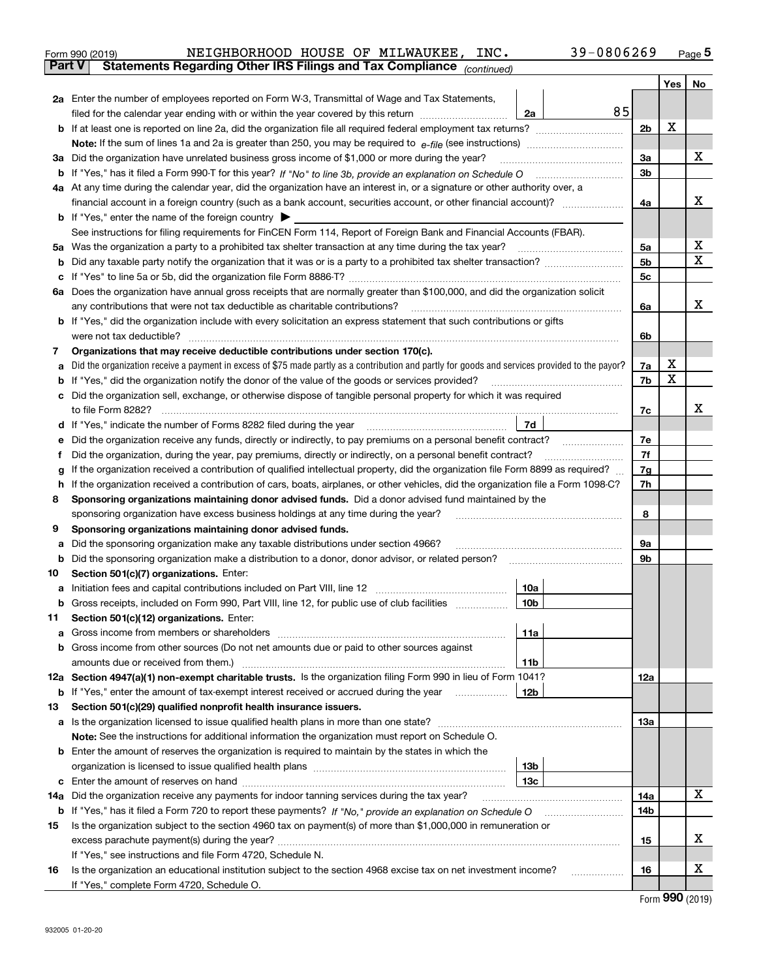|                                                                                                  | 39-0806269<br>NEIGHBORHOOD HOUSE OF MILWAUKEE,<br>INC.<br>Form 990 (2019)                                               |    |     | Page 5 |
|--------------------------------------------------------------------------------------------------|-------------------------------------------------------------------------------------------------------------------------|----|-----|--------|
| <b>Part V</b><br><b>Statements Regarding Other IRS Filings and Tax Compliance</b><br>(continued) |                                                                                                                         |    |     |        |
|                                                                                                  |                                                                                                                         |    | Yes | No     |
| 2а                                                                                               | Enter the number of employees reported on Form W-3, Transmittal of Wage and Tax Statements,                             |    |     |        |
|                                                                                                  | 85<br>filed for the calendar year ending with or within the year covered by this return<br>2a                           |    |     |        |
|                                                                                                  | <b>b</b> If at least one is reported on line 2a, did the organization file all required federal employment tax returns? |    | X   |        |
|                                                                                                  | <b>Note:</b> If the sum of lines 1a and 2a is greater than 250, you may be required to $e$ -file (see instructions)     |    |     |        |
| За                                                                                               | Did the organization have unrelated business gross income of \$1,000 or more during the year?                           | За |     |        |

| b If "Yes," has it filed a Form 990-T for this year? If "No" to line 3b, provide an explanation on Schedule O                  | 3b |  |
|--------------------------------------------------------------------------------------------------------------------------------|----|--|
| 4a At any time during the calendar year, did the organization have an interest in, or a signature or other authority over, a   |    |  |
| financial account in a foreign country (such as a bank account, securities account, or other financial account)?               | 4a |  |
| <b>b</b> If "Yes," enter the name of the foreign country $\triangleright$                                                      |    |  |
| See instructions for filing requirements for FinCEN Form 114, Report of Foreign Bank and Financial Accounts (FBAR).            |    |  |
| 5a Was the organization a party to a prohibited tax shelter transaction at any time during the tax year?                       | 5a |  |
| <b>b</b> Did any taxable party notify the organization that it was or is a party to a prohibited tax shelter transaction?      | 5b |  |
| c If "Yes" to line 5a or 5b, did the organization file Form 8886-T?                                                            | 5с |  |
| 6a Does the organization have annual gross receipts that are normally greater than \$100,000, and did the organization solicit |    |  |
| any contributions that were not tax deductible as charitable contributions?                                                    | 6a |  |

|    | any contributions that were not tax deductible as charitable contributions?                                                                       | 6a |   | x |
|----|---------------------------------------------------------------------------------------------------------------------------------------------------|----|---|---|
|    | <b>b</b> If "Yes," did the organization include with every solicitation an express statement that such contributions or gifts                     |    |   |   |
|    | were not tax deductible?                                                                                                                          |    |   |   |
| 7  | Organizations that may receive deductible contributions under section 170(c).                                                                     |    |   |   |
|    | a Did the organization receive a payment in excess of \$75 made partly as a contribution and partly for goods and services provided to the payor? |    |   |   |
|    | <b>b</b> If "Yes," did the organization notify the donor of the value of the goods or services provided?                                          | 7b | x |   |
|    | c Did the organization sell, exchange, or otherwise dispose of tangible personal property for which it was required                               |    |   |   |
|    | to file Form 8282?                                                                                                                                |    |   |   |
|    | 7d<br><b>d</b> If "Yes," indicate the number of Forms 8282 filed during the year                                                                  |    |   |   |
|    | e Did the organization receive any funds, directly or indirectly, to pay premiums on a personal benefit contract?                                 | 7e |   |   |
|    | Did the organization, during the year, pay premiums, directly or indirectly, on a personal benefit contract?                                      | 7f |   |   |
|    | g If the organization received a contribution of qualified intellectual property, did the organization file Form 8899 as required?                | 7g |   |   |
| h. | If the organization received a contribution of cars, boats, airplanes, or other vehicles, did the organization file a Form 1098-C?                |    |   |   |
| 8  | Sponsoring organizations maintaining donor advised funds. Did a donor advised fund maintained by the                                              |    |   |   |
|    | sponsoring organization have excess business holdings at any time during the year?                                                                | 8  |   |   |
| 9  | Sponsoring organizations maintaining donor advised funds.                                                                                         |    |   |   |
|    | a Did the sponsoring organization make any taxable distributions under section 4966?                                                              | 9a |   |   |
|    | <b>b</b> Did the sponsoring organization make a distribution to a donor, donor advisor, or related person?                                        | 9b |   |   |
|    | $\mathbf{A}$ . It is $\mathbf{A}$ and $\mathbf{A}$ is the set of $\mathbf{A}$ is a set of $\mathbf{A}$ is a set of $\mathbf{A}$                   |    |   |   |

| 10  | Section 501(c)(7) organizations. Enter:                                                                        |     |     |   |
|-----|----------------------------------------------------------------------------------------------------------------|-----|-----|---|
| а   |                                                                                                                | 10a |     |   |
| b   | Gross receipts, included on Form 990, Part VIII, line 12, for public use of club facilities                    | 10b |     |   |
| 11. | Section 501(c)(12) organizations. Enter:                                                                       |     |     |   |
| a   |                                                                                                                | 11a |     |   |
| b   | Gross income from other sources (Do not net amounts due or paid to other sources against                       |     |     |   |
|     |                                                                                                                | 11b |     |   |
|     | 12a Section 4947(a)(1) non-exempt charitable trusts. Is the organization filing Form 990 in lieu of Form 1041? |     | 12a |   |
| b   | If "Yes," enter the amount of tax-exempt interest received or accrued during the year                          | 12b |     |   |
| 13  | Section 501(c)(29) qualified nonprofit health insurance issuers.                                               |     |     |   |
|     | <b>a</b> Is the organization licensed to issue qualified health plans in more than one state?                  |     | 13а |   |
|     | <b>Note:</b> See the instructions for additional information the organization must report on Schedule O.       |     |     |   |
|     | <b>b</b> Enter the amount of reserves the organization is required to maintain by the states in which the      |     |     |   |
|     |                                                                                                                | 13b |     |   |
|     |                                                                                                                | 13с |     |   |
| 14а | Did the organization receive any payments for indoor tanning services during the tax year?                     |     | 14a | x |
|     |                                                                                                                |     | 14b |   |
| 15  | Is the organization subject to the section 4960 tax on payment(s) of more than \$1,000,000 in remuneration or  |     |     |   |
|     | excess parachute payment(s) during the year?                                                                   |     | 15  | х |
|     | If "Voo " eee instructions and file Ferm 4700. Cebedule N                                                      |     |     |   |

|    | If "Yes." see instructions and file Form 4720, Schedule N.                                                      |    |  |
|----|-----------------------------------------------------------------------------------------------------------------|----|--|
| 16 | Is the organization an educational institution subject to the section 4968 excise tax on net investment income? | 16 |  |
|    | If "Yes." complete Form 4720, Schedule O.                                                                       |    |  |

Form (2019) **990**

X

 $\overline{\mathbf{x}}$ 

X X

Γ

 $\overline{\phantom{a}}$  $\overline{a}$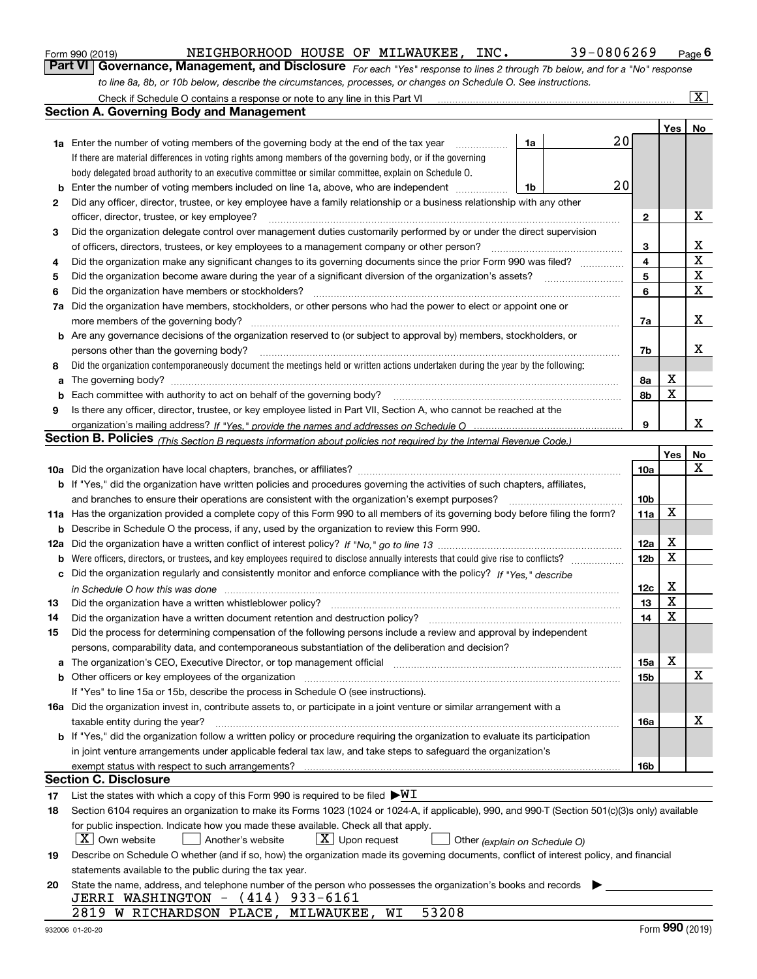|  | Form 990 (2019) |  |
|--|-----------------|--|
|  |                 |  |

NEIGHBORHOOD HOUSE OF MILWAUKEE, INC. 39-0806269

*For each "Yes" response to lines 2 through 7b below, and for a "No" response to line 8a, 8b, or 10b below, describe the circumstances, processes, or changes on Schedule O. See instructions.* Form 990 (2019) **MEIGHBORHOOD HOUSE OF MILWAUKEE, INC.** 39-0806269 Page 6<br>**Part VI Governance, Management, and Disclosure** For each "Yes" response to lines 2 through 7b below, and for a "No" response

|     | Check if Schedule O contains a response or note to any line in this Part VI                                                                                                |                 |             | $\overline{\mathbf{x}}$ |
|-----|----------------------------------------------------------------------------------------------------------------------------------------------------------------------------|-----------------|-------------|-------------------------|
|     | <b>Section A. Governing Body and Management</b>                                                                                                                            |                 |             |                         |
|     |                                                                                                                                                                            |                 | Yes         | No                      |
|     | 20<br>1a<br><b>1a</b> Enter the number of voting members of the governing body at the end of the tax year<br>.                                                             |                 |             |                         |
|     | If there are material differences in voting rights among members of the governing body, or if the governing                                                                |                 |             |                         |
|     | body delegated broad authority to an executive committee or similar committee, explain on Schedule O.                                                                      |                 |             |                         |
| b   | 20<br>Enter the number of voting members included on line 1a, above, who are independent<br>1b                                                                             |                 |             |                         |
| 2   | Did any officer, director, trustee, or key employee have a family relationship or a business relationship with any other                                                   |                 |             |                         |
|     | officer, director, trustee, or key employee?                                                                                                                               | $\mathbf{2}$    |             | х                       |
| 3   | Did the organization delegate control over management duties customarily performed by or under the direct supervision                                                      |                 |             |                         |
|     | of officers, directors, trustees, or key employees to a management company or other person?                                                                                | 3               |             | x                       |
| 4   | Did the organization make any significant changes to its governing documents since the prior Form 990 was filed?                                                           | 4               |             | $\mathbf X$             |
| 5   | Did the organization become aware during the year of a significant diversion of the organization's assets?                                                                 | 5               |             | X                       |
| 6   | Did the organization have members or stockholders?                                                                                                                         | 6               |             | $\mathbf X$             |
| 7a  | Did the organization have members, stockholders, or other persons who had the power to elect or appoint one or                                                             |                 |             |                         |
|     | more members of the governing body?                                                                                                                                        | 7a              |             | x                       |
|     | <b>b</b> Are any governance decisions of the organization reserved to (or subject to approval by) members, stockholders, or                                                |                 |             |                         |
|     | persons other than the governing body?                                                                                                                                     | 7b              |             | x                       |
| 8   | Did the organization contemporaneously document the meetings held or written actions undertaken during the year by the following:                                          |                 |             |                         |
| a   |                                                                                                                                                                            | 8а              | х           |                         |
| b   |                                                                                                                                                                            | 8b              | X           |                         |
| 9   | Is there any officer, director, trustee, or key employee listed in Part VII, Section A, who cannot be reached at the                                                       |                 |             |                         |
|     |                                                                                                                                                                            | 9               |             | x                       |
|     | Section B. Policies <sub>(This Section B requests information about policies not required by the Internal Revenue Code.)</sub>                                             |                 |             |                         |
|     |                                                                                                                                                                            |                 | Yes         | No                      |
|     |                                                                                                                                                                            | <b>10a</b>      |             | X                       |
|     | b If "Yes," did the organization have written policies and procedures governing the activities of such chapters, affiliates,                                               |                 |             |                         |
|     | and branches to ensure their operations are consistent with the organization's exempt purposes?                                                                            | 10 <sub>b</sub> |             |                         |
|     | 11a Has the organization provided a complete copy of this Form 990 to all members of its governing body before filing the form?                                            | 11a             | X           |                         |
| b   | Describe in Schedule O the process, if any, used by the organization to review this Form 990.                                                                              |                 |             |                         |
| 12a |                                                                                                                                                                            | 12a             | х           |                         |
| b   |                                                                                                                                                                            | 12 <sub>b</sub> | $\mathbf X$ |                         |
| c   | Did the organization regularly and consistently monitor and enforce compliance with the policy? If "Yes," describe                                                         |                 |             |                         |
|     |                                                                                                                                                                            | 12c             | х           |                         |
| 13  | Did the organization have a written whistleblower policy?                                                                                                                  | 13              | X           |                         |
| 14  | Did the organization have a written document retention and destruction policy?                                                                                             | 14              | X           |                         |
| 15  | Did the process for determining compensation of the following persons include a review and approval by independent                                                         |                 |             |                         |
|     | persons, comparability data, and contemporaneous substantiation of the deliberation and decision?                                                                          |                 |             |                         |
| a   | The organization's CEO, Executive Director, or top management official manufactured content of the organization's CEO, Executive Director, or top management official      | 15a             | х           |                         |
|     | <b>b</b> Other officers or key employees of the organization                                                                                                               | 15b             |             | X                       |
|     | If "Yes" to line 15a or 15b, describe the process in Schedule O (see instructions).                                                                                        |                 |             |                         |
|     | 16a Did the organization invest in, contribute assets to, or participate in a joint venture or similar arrangement with a                                                  |                 |             |                         |
|     | taxable entity during the year?                                                                                                                                            | 16a             |             | х                       |
|     | b If "Yes," did the organization follow a written policy or procedure requiring the organization to evaluate its participation                                             |                 |             |                         |
|     | in joint venture arrangements under applicable federal tax law, and take steps to safeguard the organization's                                                             |                 |             |                         |
|     | exempt status with respect to such arrangements?<br>Section C. Disclosure                                                                                                  | 16b             |             |                         |
|     |                                                                                                                                                                            |                 |             |                         |
| 17  | List the states with which a copy of this Form 990 is required to be filed $\blacktriangleright\!\!\mathsf{W}\mathbf{I}$                                                   |                 |             |                         |
| 18  | Section 6104 requires an organization to make its Forms 1023 (1024 or 1024-A, if applicable), 990, and 990-T (Section 501(c)(3)s only) available                           |                 |             |                         |
|     | for public inspection. Indicate how you made these available. Check all that apply.<br>$X$ Own website<br>$\lfloor x \rfloor$ Upon request<br>Another's website            |                 |             |                         |
|     | Other (explain on Schedule O)<br>Describe on Schedule O whether (and if so, how) the organization made its governing documents, conflict of interest policy, and financial |                 |             |                         |
| 19  | statements available to the public during the tax year.                                                                                                                    |                 |             |                         |
| 20  | State the name, address, and telephone number of the person who possesses the organization's books and records                                                             |                 |             |                         |
|     | JERRI WASHINGTON - (414) 933-6161                                                                                                                                          |                 |             |                         |
|     | 2819 W RICHARDSON PLACE, MILWAUKEE,<br>53208<br>WI                                                                                                                         |                 |             |                         |
|     |                                                                                                                                                                            |                 |             |                         |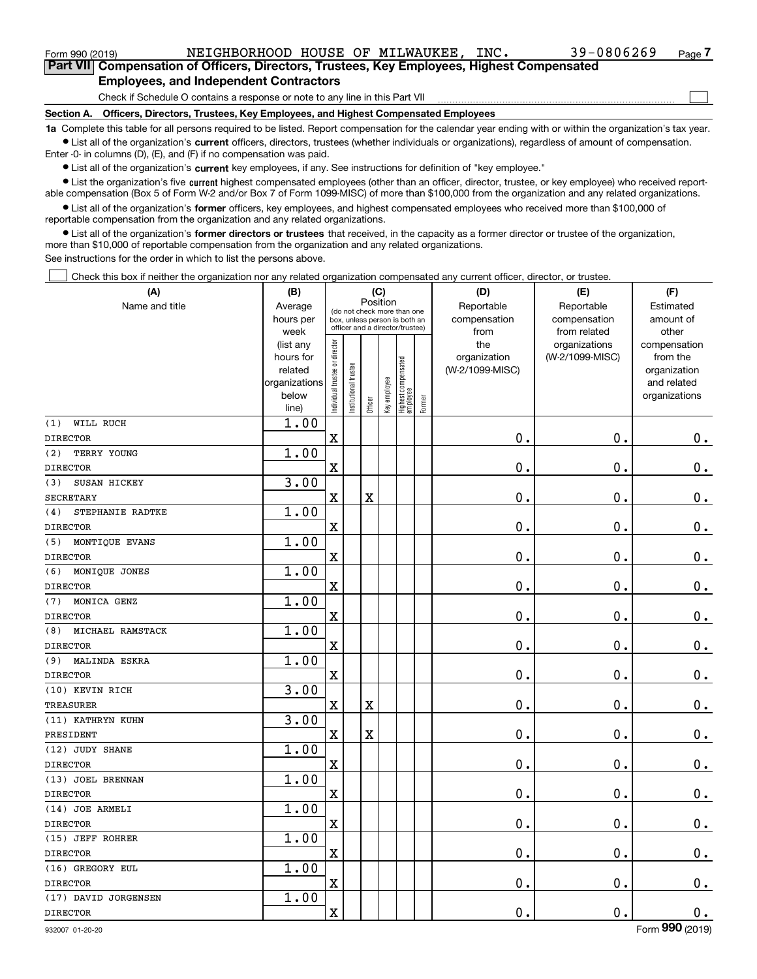|                 | Section A. Officers, Directors, Trustees, Key Employees, and Highest Compensated Employees<br>a Arientale service and the contract of the contract of the service of the contract of the contract of the contract of the contract of the contract of the contract of the contract of the contract of the contract of the con |                |      |
|-----------------|------------------------------------------------------------------------------------------------------------------------------------------------------------------------------------------------------------------------------------------------------------------------------------------------------------------------------|----------------|------|
|                 | Check if Schedule O contains a response or note to any line in this Part VII                                                                                                                                                                                                                                                 |                |      |
|                 | <b>Employees, and Independent Contractors</b>                                                                                                                                                                                                                                                                                |                |      |
|                 | Part VII Compensation of Officers, Directors, Trustees, Key Employees, Highest Compensated                                                                                                                                                                                                                                   |                |      |
| Form 990 (2019) | NEIGHBORHOOD HOUSE OF MILWAUKEE.<br>INC.                                                                                                                                                                                                                                                                                     | $39 - 0806269$ | Page |

**1a**  Complete this table for all persons required to be listed. Report compensation for the calendar year ending with or within the organization's tax year. **•** List all of the organization's current officers, directors, trustees (whether individuals or organizations), regardless of amount of compensation.

 $\bullet$  List all of the organization's  $\,$ current key employees, if any. See instructions for definition of "key employee." Enter -0- in columns (D), (E), and (F) if no compensation was paid.

**•** List the organization's five current highest compensated employees (other than an officer, director, trustee, or key employee) who received reportable compensation (Box 5 of Form W-2 and/or Box 7 of Form 1099-MISC) of more than \$100,000 from the organization and any related organizations.

**•** List all of the organization's former officers, key employees, and highest compensated employees who received more than \$100,000 of reportable compensation from the organization and any related organizations.

**former directors or trustees**  ¥ List all of the organization's that received, in the capacity as a former director or trustee of the organization, more than \$10,000 of reportable compensation from the organization and any related organizations.

See instructions for the order in which to list the persons above.

Check this box if neither the organization nor any related organization compensated any current officer, director, or trustee.  $\mathcal{L}^{\text{max}}$ 

| (A)                     | (B)                    |                                |                                                                  | (C)      |              |                                   |        | (D)                 | (E)                              | (F)                      |
|-------------------------|------------------------|--------------------------------|------------------------------------------------------------------|----------|--------------|-----------------------------------|--------|---------------------|----------------------------------|--------------------------|
| Name and title          | Average                |                                | (do not check more than one                                      | Position |              |                                   |        | Reportable          | Reportable                       | Estimated                |
|                         | hours per              |                                | box, unless person is both an<br>officer and a director/trustee) |          |              |                                   |        | compensation        | compensation                     | amount of                |
|                         | week                   |                                |                                                                  |          |              |                                   |        | from                | from related                     | other                    |
|                         | (list any<br>hours for |                                |                                                                  |          |              |                                   |        | the<br>organization | organizations<br>(W-2/1099-MISC) | compensation<br>from the |
|                         | related                |                                |                                                                  |          |              |                                   |        | (W-2/1099-MISC)     |                                  | organization             |
|                         | organizations          |                                |                                                                  |          |              |                                   |        |                     |                                  | and related              |
|                         | below                  | Individual trustee or director | Institutional trustee                                            |          |              |                                   |        |                     |                                  | organizations            |
|                         | line)                  |                                |                                                                  | Officer  | Key employee | Highest compensated<br>  employee | Former |                     |                                  |                          |
| WILL RUCH<br>(1)        | 1.00                   |                                |                                                                  |          |              |                                   |        |                     |                                  |                          |
| <b>DIRECTOR</b>         |                        | $\mathbf x$                    |                                                                  |          |              |                                   |        | $\mathbf 0$ .       | $\mathbf 0$ .                    | 0.                       |
| (2)<br>TERRY YOUNG      | 1.00                   |                                |                                                                  |          |              |                                   |        |                     |                                  |                          |
| <b>DIRECTOR</b>         |                        | $\mathbf X$                    |                                                                  |          |              |                                   |        | $\mathbf 0$ .       | 0.                               | $\mathbf 0$ .            |
| SUSAN HICKEY<br>(3)     | 3.00                   |                                |                                                                  |          |              |                                   |        |                     |                                  |                          |
| <b>SECRETARY</b>        |                        | $\mathbf x$                    |                                                                  | X        |              |                                   |        | $\mathbf 0$ .       | $\mathbf 0$ .                    | $0$ .                    |
| STEPHANIE RADTKE<br>(4) | 1.00                   |                                |                                                                  |          |              |                                   |        |                     |                                  |                          |
| <b>DIRECTOR</b>         |                        | $\overline{\textbf{X}}$        |                                                                  |          |              |                                   |        | 0.                  | 0.                               | $\mathbf 0$ .            |
| MONTIQUE EVANS<br>(5)   | 1.00                   |                                |                                                                  |          |              |                                   |        |                     |                                  |                          |
| <b>DIRECTOR</b>         |                        | $\mathbf X$                    |                                                                  |          |              |                                   |        | $\mathbf 0$ .       | $\mathbf 0$ .                    | $\mathbf 0$ .            |
| (6)<br>MONIQUE JONES    | 1.00                   |                                |                                                                  |          |              |                                   |        |                     |                                  |                          |
| <b>DIRECTOR</b>         |                        | $\mathbf X$                    |                                                                  |          |              |                                   |        | $\mathbf 0$ .       | $\mathbf 0$ .                    | $0$ .                    |
| MONICA GENZ<br>(7)      | 1.00                   |                                |                                                                  |          |              |                                   |        |                     |                                  |                          |
| <b>DIRECTOR</b>         |                        | $\mathbf X$                    |                                                                  |          |              |                                   |        | $\mathbf{0}$ .      | $\mathbf 0$ .                    | 0.                       |
| MICHAEL RAMSTACK<br>(8) | 1.00                   |                                |                                                                  |          |              |                                   |        |                     |                                  |                          |
| <b>DIRECTOR</b>         |                        | $\mathbf X$                    |                                                                  |          |              |                                   |        | 0.                  | 0.                               | $0_{.}$                  |
| MALINDA ESKRA<br>(9)    | 1.00                   |                                |                                                                  |          |              |                                   |        |                     |                                  |                          |
| <b>DIRECTOR</b>         |                        | $\mathbf x$                    |                                                                  |          |              |                                   |        | $\mathbf 0$ .       | $\mathbf 0$ .                    | $\mathbf 0$ .            |
| (10) KEVIN RICH         | 3.00                   |                                |                                                                  |          |              |                                   |        |                     |                                  |                          |
| TREASURER               |                        | $\mathbf X$                    |                                                                  | X        |              |                                   |        | $\mathbf 0$ .       | $\mathbf 0$ .                    | $0$ .                    |
| (11) KATHRYN KUHN       | 3.00                   |                                |                                                                  |          |              |                                   |        |                     |                                  |                          |
| PRESIDENT               |                        | $\mathbf x$                    |                                                                  | X        |              |                                   |        | $\mathbf 0$ .       | $\mathbf 0$ .                    | $0$ .                    |
| (12) JUDY SHANE         | 1.00                   |                                |                                                                  |          |              |                                   |        |                     |                                  |                          |
| <b>DIRECTOR</b>         |                        | $\mathbf X$                    |                                                                  |          |              |                                   |        | 0.                  | 0.                               | $0_{.}$                  |
| (13) JOEL BRENNAN       | 1.00                   |                                |                                                                  |          |              |                                   |        |                     |                                  |                          |
| <b>DIRECTOR</b>         |                        | $\mathbf X$                    |                                                                  |          |              |                                   |        | 0.                  | $\mathbf 0$ .                    | 0.                       |
| (14) JOE ARMELI         | 1.00                   |                                |                                                                  |          |              |                                   |        |                     |                                  |                          |
| <b>DIRECTOR</b>         |                        | $\mathbf X$                    |                                                                  |          |              |                                   |        | 0.                  | $\mathbf 0$ .                    | $\mathbf 0$ .            |
| (15) JEFF ROHRER        | 1.00                   |                                |                                                                  |          |              |                                   |        |                     |                                  |                          |
| <b>DIRECTOR</b>         |                        | $\mathbf X$                    |                                                                  |          |              |                                   |        | $\mathbf 0$ .       | $\mathbf 0$ .                    | $\mathbf 0$ .            |
| (16) GREGORY EUL        | 1.00                   |                                |                                                                  |          |              |                                   |        |                     |                                  |                          |
| <b>DIRECTOR</b>         |                        | $\mathbf X$                    |                                                                  |          |              |                                   |        | 0.                  | 0.                               | $\mathbf 0$ .            |
| (17) DAVID JORGENSEN    | 1.00                   |                                |                                                                  |          |              |                                   |        |                     |                                  |                          |
| <b>DIRECTOR</b>         |                        | $\mathbf x$                    |                                                                  |          |              |                                   |        | $\mathbf 0$ .       | $\mathbf 0$ .                    | $\mathbf 0$ .            |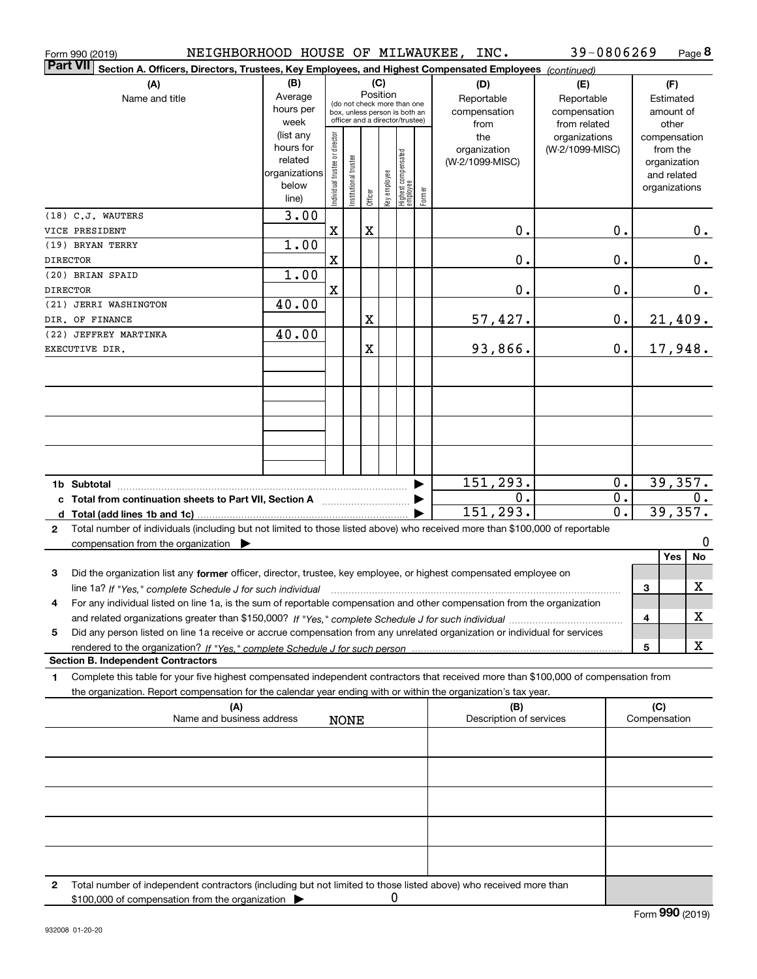| Form 990 (2019)                                                                                                                              |                        |                                |                       |         |              |                                                              |        | NEIGHBORHOOD HOUSE OF MILWAUKEE, INC. | 39-0806269      |    |              | Page $8$      |
|----------------------------------------------------------------------------------------------------------------------------------------------|------------------------|--------------------------------|-----------------------|---------|--------------|--------------------------------------------------------------|--------|---------------------------------------|-----------------|----|--------------|---------------|
| <b>Part VII</b><br>Section A. Officers, Directors, Trustees, Key Employees, and Highest Compensated Employees (continued)                    |                        |                                |                       |         |              |                                                              |        |                                       |                 |    |              |               |
| (A)                                                                                                                                          | (B)                    |                                |                       |         | (C)          |                                                              |        | (D)                                   | (E)             |    |              | (F)           |
| Name and title                                                                                                                               | Average                |                                |                       |         | Position     |                                                              |        | Reportable                            | Reportable      |    |              | Estimated     |
|                                                                                                                                              | hours per              |                                |                       |         |              | (do not check more than one<br>box, unless person is both an |        | compensation                          | compensation    |    |              | amount of     |
|                                                                                                                                              | week                   |                                |                       |         |              | officer and a director/trustee)                              |        | from                                  | from related    |    |              | other         |
|                                                                                                                                              | (list any              |                                |                       |         |              |                                                              |        | the                                   | organizations   |    |              | compensation  |
|                                                                                                                                              | hours for              |                                |                       |         |              |                                                              |        | organization                          | (W-2/1099-MISC) |    |              | from the      |
|                                                                                                                                              | related                |                                |                       |         |              |                                                              |        | (W-2/1099-MISC)                       |                 |    |              | organization  |
|                                                                                                                                              | organizations<br>below |                                |                       |         |              |                                                              |        |                                       |                 |    |              | and related   |
|                                                                                                                                              | line)                  | Individual trustee or director | Institutional trustee | Officer | Key employee | Highest compensated<br> employee                             | Former |                                       |                 |    |              | organizations |
| (18) C.J. WAUTERS                                                                                                                            |                        |                                |                       |         |              |                                                              |        |                                       |                 |    |              |               |
| VICE PRESIDENT                                                                                                                               | 3.00                   | X                              |                       | X       |              |                                                              |        | 0.                                    |                 | 0. |              |               |
| (19) BRYAN TERRY                                                                                                                             | 1.00                   |                                |                       |         |              |                                                              |        |                                       |                 |    |              | 0.            |
| <b>DIRECTOR</b>                                                                                                                              |                        | X                              |                       |         |              |                                                              |        | 0.                                    |                 | 0. |              | 0.            |
|                                                                                                                                              | 1.00                   |                                |                       |         |              |                                                              |        |                                       |                 |    |              |               |
| (20) BRIAN SPAID                                                                                                                             |                        | X                              |                       |         |              |                                                              |        | 0.                                    |                 | 0. |              |               |
| <b>DIRECTOR</b><br>(21) JERRI WASHINGTON                                                                                                     | 40.00                  |                                |                       |         |              |                                                              |        |                                       |                 |    |              | 0.            |
| DIR. OF FINANCE                                                                                                                              |                        |                                |                       | X       |              |                                                              |        | 57,427.                               |                 | 0. |              | 21,409.       |
| (22) JEFFREY MARTINKA                                                                                                                        | 40.00                  |                                |                       |         |              |                                                              |        |                                       |                 |    |              |               |
| EXECUTIVE DIR.                                                                                                                               |                        |                                |                       | X       |              |                                                              |        | 93,866.                               |                 | 0. |              | 17,948.       |
|                                                                                                                                              |                        |                                |                       |         |              |                                                              |        |                                       |                 |    |              |               |
|                                                                                                                                              |                        |                                |                       |         |              |                                                              |        |                                       |                 |    |              |               |
|                                                                                                                                              |                        |                                |                       |         |              |                                                              |        |                                       |                 |    |              |               |
|                                                                                                                                              |                        |                                |                       |         |              |                                                              |        |                                       |                 |    |              |               |
|                                                                                                                                              |                        |                                |                       |         |              |                                                              |        |                                       |                 |    |              |               |
|                                                                                                                                              |                        |                                |                       |         |              |                                                              |        |                                       |                 |    |              |               |
|                                                                                                                                              |                        |                                |                       |         |              |                                                              |        |                                       |                 |    |              |               |
|                                                                                                                                              |                        |                                |                       |         |              |                                                              |        |                                       |                 |    |              |               |
|                                                                                                                                              |                        |                                |                       |         |              |                                                              |        | 151,293.                              |                 | 0. |              | 39,357.       |
| c Total from continuation sheets to Part VII, Section A                                                                                      |                        |                                |                       |         |              |                                                              |        | Ο.                                    |                 | 0. |              | 0.            |
|                                                                                                                                              |                        |                                |                       |         |              |                                                              |        | 151,293.                              |                 | 0. |              | 39,357.       |
| Total number of individuals (including but not limited to those listed above) who received more than \$100,000 of reportable<br>$\mathbf{2}$ |                        |                                |                       |         |              |                                                              |        |                                       |                 |    |              |               |
| compensation from the organization $\blacktriangleright$                                                                                     |                        |                                |                       |         |              |                                                              |        |                                       |                 |    |              | 0             |
|                                                                                                                                              |                        |                                |                       |         |              |                                                              |        |                                       |                 |    |              | Yes<br>No     |
| 3<br>Did the organization list any former officer, director, trustee, key employee, or highest compensated employee on                       |                        |                                |                       |         |              |                                                              |        |                                       |                 |    |              |               |
| line 1a? If "Yes," complete Schedule J for such individual manufactured contained and the Ves," complete Schedule J for such individual      |                        |                                |                       |         |              |                                                              |        |                                       |                 |    | 3            | X             |
| For any individual listed on line 1a, is the sum of reportable compensation and other compensation from the organization                     |                        |                                |                       |         |              |                                                              |        |                                       |                 |    |              |               |
|                                                                                                                                              |                        |                                |                       |         |              |                                                              |        |                                       |                 |    | 4            | х             |
| Did any person listed on line 1a receive or accrue compensation from any unrelated organization or individual for services<br>5              |                        |                                |                       |         |              |                                                              |        |                                       |                 |    |              |               |
|                                                                                                                                              |                        |                                |                       |         |              |                                                              |        |                                       |                 |    | 5            | x             |
| <b>Section B. Independent Contractors</b>                                                                                                    |                        |                                |                       |         |              |                                                              |        |                                       |                 |    |              |               |
| Complete this table for your five highest compensated independent contractors that received more than \$100,000 of compensation from<br>1    |                        |                                |                       |         |              |                                                              |        |                                       |                 |    |              |               |
| the organization. Report compensation for the calendar year ending with or within the organization's tax year.                               |                        |                                |                       |         |              |                                                              |        |                                       |                 |    |              |               |
| (A)                                                                                                                                          |                        |                                |                       |         |              |                                                              |        | (B)                                   |                 |    | (C)          |               |
| Name and business address                                                                                                                    |                        |                                | <b>NONE</b>           |         |              |                                                              |        | Description of services               |                 |    | Compensation |               |
|                                                                                                                                              |                        |                                |                       |         |              |                                                              |        |                                       |                 |    |              |               |
|                                                                                                                                              |                        |                                |                       |         |              |                                                              |        |                                       |                 |    |              |               |
|                                                                                                                                              |                        |                                |                       |         |              |                                                              |        |                                       |                 |    |              |               |
|                                                                                                                                              |                        |                                |                       |         |              |                                                              |        |                                       |                 |    |              |               |
|                                                                                                                                              |                        |                                |                       |         |              |                                                              |        |                                       |                 |    |              |               |
|                                                                                                                                              |                        |                                |                       |         |              |                                                              |        |                                       |                 |    |              |               |
|                                                                                                                                              |                        |                                |                       |         |              |                                                              |        |                                       |                 |    |              |               |
|                                                                                                                                              |                        |                                |                       |         |              |                                                              |        |                                       |                 |    |              |               |
|                                                                                                                                              |                        |                                |                       |         |              |                                                              |        |                                       |                 |    |              |               |
| Total number of independent contractors (including but not limited to those listed above) who received more than<br>2                        |                        |                                |                       |         |              |                                                              |        |                                       |                 |    |              |               |
| \$100,000 of compensation from the organization                                                                                              |                        |                                |                       |         | 0            |                                                              |        |                                       |                 |    |              |               |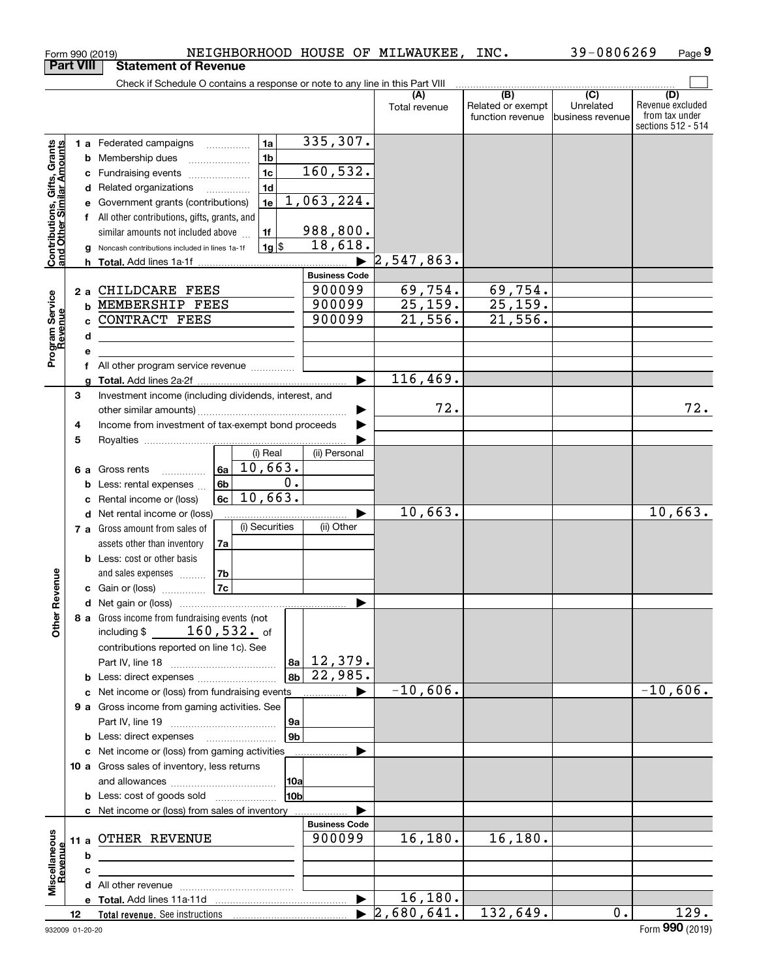|                                                           | Form 990 (2019)  | NEIGHBORHOOD HOUSE OF MILWAUKEE,                                                          |                       |                      | INC.                                         | 39-0806269                                      | Page 9                                                          |
|-----------------------------------------------------------|------------------|-------------------------------------------------------------------------------------------|-----------------------|----------------------|----------------------------------------------|-------------------------------------------------|-----------------------------------------------------------------|
|                                                           | <b>Part VIII</b> | <b>Statement of Revenue</b>                                                               |                       |                      |                                              |                                                 |                                                                 |
|                                                           |                  | Check if Schedule O contains a response or note to any line in this Part VIII             |                       |                      |                                              |                                                 |                                                                 |
|                                                           |                  |                                                                                           |                       | (A)<br>Total revenue | (B)<br>Related or exempt<br>function revenue | $\overline{C}$<br>Unrelated<br>business revenue | (D)<br>Revenue excluded<br>from tax under<br>sections 512 - 514 |
|                                                           |                  | 1a<br>1 a Federated campaigns                                                             | 335,307.              |                      |                                              |                                                 |                                                                 |
| Contributions, Gifts, Grants<br>and Other Similar Amounts | b                | 1 <sub>b</sub><br>Membership dues                                                         |                       |                      |                                              |                                                 |                                                                 |
|                                                           |                  | 1 <sub>c</sub><br>c Fundraising events                                                    | 160, 532.             |                      |                                              |                                                 |                                                                 |
|                                                           |                  | 1 <sub>d</sub><br>d Related organizations                                                 |                       |                      |                                              |                                                 |                                                                 |
|                                                           | е                | 1e<br>Government grants (contributions)                                                   | 1,063,224.            |                      |                                              |                                                 |                                                                 |
|                                                           |                  | f All other contributions, gifts, grants, and                                             |                       |                      |                                              |                                                 |                                                                 |
|                                                           |                  | 1f<br>similar amounts not included above                                                  | 988,800.              |                      |                                              |                                                 |                                                                 |
|                                                           | a                | $1g$ \$<br>Noncash contributions included in lines 1a-1f                                  | 18,618.               |                      |                                              |                                                 |                                                                 |
|                                                           | h                |                                                                                           |                       | 2,547,863.           |                                              |                                                 |                                                                 |
|                                                           |                  |                                                                                           | <b>Business Code</b>  |                      |                                              |                                                 |                                                                 |
|                                                           |                  | 2 a CHILDCARE FEES                                                                        | 900099<br>900099      | 69,754.<br>25,159.   | 69,754.<br>25,159.                           |                                                 |                                                                 |
|                                                           |                  | <b>b MEMBERSHIP FEES</b><br>CONTRACT FEES                                                 | 900099                | 21,556.              | 21,556.                                      |                                                 |                                                                 |
|                                                           | c.               |                                                                                           |                       |                      |                                              |                                                 |                                                                 |
| Program Service<br>Revenue                                | d                | the control of the control of the control of the control of the control of the control of |                       |                      |                                              |                                                 |                                                                 |
|                                                           | е                | f All other program service revenue                                                       |                       |                      |                                              |                                                 |                                                                 |
|                                                           | a                |                                                                                           |                       | 116,469.             |                                              |                                                 |                                                                 |
|                                                           | 3                | Investment income (including dividends, interest, and                                     |                       |                      |                                              |                                                 |                                                                 |
|                                                           |                  |                                                                                           |                       | 72.                  |                                              |                                                 | 72.                                                             |
|                                                           | 4                | Income from investment of tax-exempt bond proceeds                                        |                       |                      |                                              |                                                 |                                                                 |
|                                                           | 5                |                                                                                           |                       |                      |                                              |                                                 |                                                                 |
|                                                           |                  | (i) Real                                                                                  | (ii) Personal         |                      |                                              |                                                 |                                                                 |
|                                                           | 6а               | 10,663.<br>6a<br>Gross rents<br>.                                                         |                       |                      |                                              |                                                 |                                                                 |
|                                                           | b                | 0.<br>6 <sub>b</sub><br>Less: rental expenses                                             |                       |                      |                                              |                                                 |                                                                 |
|                                                           | c                | 10,663.<br>6c<br>Rental income or (loss)                                                  |                       |                      |                                              |                                                 |                                                                 |
|                                                           |                  | <b>d</b> Net rental income or (loss)                                                      |                       | 10,663.              |                                              |                                                 | 10,663.                                                         |
|                                                           |                  | (i) Securities<br>7 a Gross amount from sales of                                          | (ii) Other            |                      |                                              |                                                 |                                                                 |
|                                                           |                  | assets other than inventory<br>7a                                                         |                       |                      |                                              |                                                 |                                                                 |
|                                                           |                  | <b>b</b> Less: cost or other basis                                                        |                       |                      |                                              |                                                 |                                                                 |
| evenue                                                    |                  | 7b<br>and sales expenses                                                                  |                       |                      |                                              |                                                 |                                                                 |
|                                                           |                  | 7c<br>c Gain or (loss)                                                                    |                       |                      |                                              |                                                 |                                                                 |
| Œ                                                         |                  |                                                                                           |                       |                      |                                              |                                                 |                                                                 |
| Other                                                     |                  | 8 a Gross income from fundraising events (not<br>including $$ 160,532.$ of                |                       |                      |                                              |                                                 |                                                                 |
|                                                           |                  | contributions reported on line 1c). See                                                   |                       |                      |                                              |                                                 |                                                                 |
|                                                           |                  |                                                                                           | $ a_1 $ 12,379.       |                      |                                              |                                                 |                                                                 |
|                                                           |                  | 8 <sub>b</sub>                                                                            | 22,985.               |                      |                                              |                                                 |                                                                 |
|                                                           |                  | c Net income or (loss) from fundraising events                                            | .                     | $-10,606.$           |                                              |                                                 | $-10,606.$                                                      |
|                                                           |                  | 9 a Gross income from gaming activities. See                                              |                       |                      |                                              |                                                 |                                                                 |
|                                                           |                  | 9a                                                                                        |                       |                      |                                              |                                                 |                                                                 |
|                                                           |                  | 9b<br><b>b</b> Less: direct expenses <b>manually</b>                                      |                       |                      |                                              |                                                 |                                                                 |
|                                                           |                  | c Net income or (loss) from gaming activities                                             |                       |                      |                                              |                                                 |                                                                 |
|                                                           |                  | 10 a Gross sales of inventory, less returns                                               |                       |                      |                                              |                                                 |                                                                 |
|                                                           |                  | 10a                                                                                       |                       |                      |                                              |                                                 |                                                                 |
|                                                           |                  | 10b<br><b>b</b> Less: cost of goods sold                                                  |                       |                      |                                              |                                                 |                                                                 |
|                                                           |                  | c Net income or (loss) from sales of inventory                                            |                       |                      |                                              |                                                 |                                                                 |
|                                                           |                  |                                                                                           | <b>Business Code</b>  |                      |                                              |                                                 |                                                                 |
|                                                           |                  | 11 a OTHER REVENUE                                                                        | 900099                | 16,180.              | 16, 180.                                     |                                                 |                                                                 |
|                                                           | b                | the control of the control of the control of the control of the control of                |                       |                      |                                              |                                                 |                                                                 |
| Miscellaneous<br>Revenue                                  | с                |                                                                                           |                       |                      |                                              |                                                 |                                                                 |
|                                                           |                  |                                                                                           | $\blacktriangleright$ | 16, 180.             |                                              |                                                 |                                                                 |
|                                                           | 12               |                                                                                           |                       | $\sqrt{2,680,641}$ . | 132,649.                                     | $0$ .                                           | 129.                                                            |
|                                                           |                  |                                                                                           |                       |                      |                                              |                                                 |                                                                 |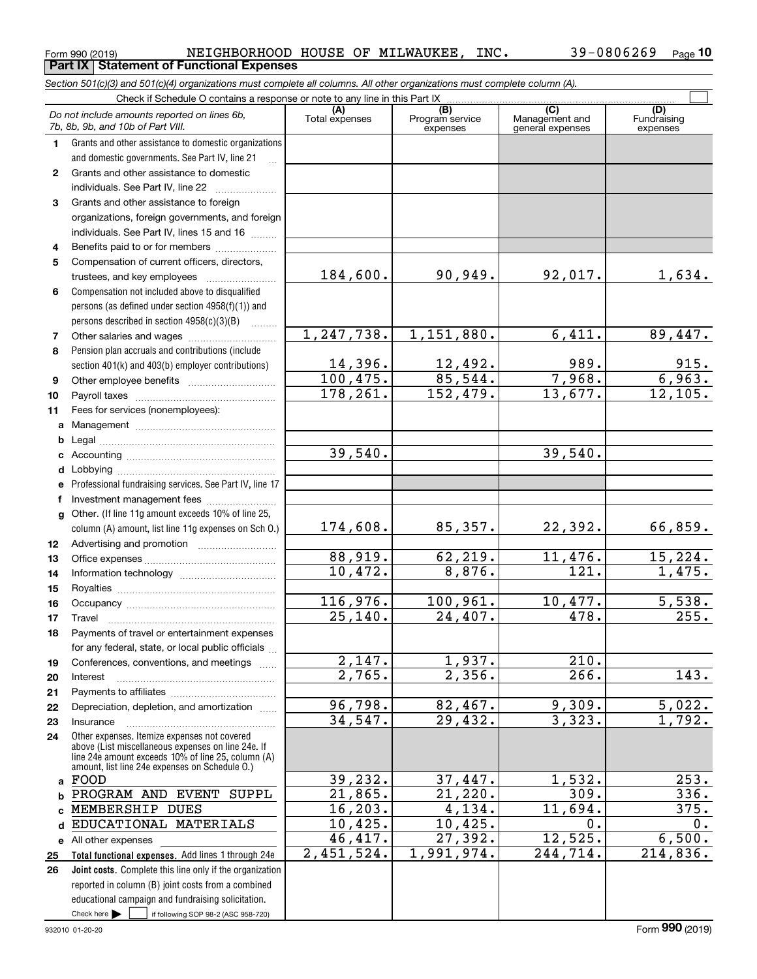|              | Section 501(c)(3) and 501(c)(4) organizations must complete all columns. All other organizations must complete column (A).                                                                                 |                          |                                    |                                           |                                |
|--------------|------------------------------------------------------------------------------------------------------------------------------------------------------------------------------------------------------------|--------------------------|------------------------------------|-------------------------------------------|--------------------------------|
|              | Check if Schedule O contains a response or note to any line in this Part IX                                                                                                                                |                          |                                    |                                           |                                |
|              | Do not include amounts reported on lines 6b,<br>7b, 8b, 9b, and 10b of Part VIII.                                                                                                                          | (A)<br>Total expenses    | (B)<br>Program service<br>expenses | (C)<br>Management and<br>general expenses | (D)<br>Fundraising<br>expenses |
| 1.           | Grants and other assistance to domestic organizations                                                                                                                                                      |                          |                                    |                                           |                                |
|              | and domestic governments. See Part IV, line 21                                                                                                                                                             |                          |                                    |                                           |                                |
| $\mathbf{2}$ | Grants and other assistance to domestic                                                                                                                                                                    |                          |                                    |                                           |                                |
|              | individuals. See Part IV, line 22                                                                                                                                                                          |                          |                                    |                                           |                                |
| 3            | Grants and other assistance to foreign                                                                                                                                                                     |                          |                                    |                                           |                                |
|              | organizations, foreign governments, and foreign                                                                                                                                                            |                          |                                    |                                           |                                |
|              | individuals. See Part IV, lines 15 and 16                                                                                                                                                                  |                          |                                    |                                           |                                |
| 4            | Benefits paid to or for members                                                                                                                                                                            |                          |                                    |                                           |                                |
| 5            | Compensation of current officers, directors,                                                                                                                                                               |                          |                                    |                                           |                                |
|              | trustees, and key employees                                                                                                                                                                                | 184,600.                 | 90,949.                            | 92,017.                                   | 1,634.                         |
| 6            | Compensation not included above to disqualified                                                                                                                                                            |                          |                                    |                                           |                                |
|              | persons (as defined under section 4958(f)(1)) and                                                                                                                                                          |                          |                                    |                                           |                                |
|              | persons described in section 4958(c)(3)(B)                                                                                                                                                                 |                          |                                    |                                           |                                |
| 7            | Other salaries and wages                                                                                                                                                                                   | 1, 247, 738.             | 1,151,880.                         | 6,411.                                    | 89,447.                        |
| 8            | Pension plan accruals and contributions (include                                                                                                                                                           |                          |                                    |                                           |                                |
|              | section 401(k) and 403(b) employer contributions)                                                                                                                                                          | $\frac{14,396}{100,475}$ | $\frac{12,492}{85,544}$ .          | 989.                                      | $\frac{915}{6,963.}$           |
| 9            |                                                                                                                                                                                                            |                          |                                    | 7,968.                                    |                                |
| 10           |                                                                                                                                                                                                            | 178, 261.                | 152,479.                           | 13,677.                                   | 12, 105.                       |
| 11           | Fees for services (nonemployees):                                                                                                                                                                          |                          |                                    |                                           |                                |
|              |                                                                                                                                                                                                            |                          |                                    |                                           |                                |
| b            |                                                                                                                                                                                                            |                          |                                    |                                           |                                |
|              |                                                                                                                                                                                                            | 39,540.                  |                                    | 39,540.                                   |                                |
| d            |                                                                                                                                                                                                            |                          |                                    |                                           |                                |
| е            | Professional fundraising services. See Part IV, line 17                                                                                                                                                    |                          |                                    |                                           |                                |
| f            | Investment management fees<br>g Other. (If line 11g amount exceeds 10% of line 25,                                                                                                                         |                          |                                    |                                           |                                |
|              | column (A) amount, list line 11g expenses on Sch O.)                                                                                                                                                       | 174,608.                 | 85, 357.                           | 22,392.                                   | 66,859.                        |
| 12           |                                                                                                                                                                                                            |                          |                                    |                                           |                                |
| 13           |                                                                                                                                                                                                            | 88,919.                  | 62, 219.                           | 11,476.                                   | 15, 224.                       |
| 14           |                                                                                                                                                                                                            | 10,472.                  | 8,876.                             | $\overline{121}$ .                        | 1,475.                         |
| 15           |                                                                                                                                                                                                            |                          |                                    |                                           |                                |
| 16           |                                                                                                                                                                                                            | 116,976.                 | 100,961.                           | 10,477.                                   | 5,538.                         |
| 17           |                                                                                                                                                                                                            | 25,140.                  | 24,407.                            | 478.                                      | 255.                           |
| 18           | Payments of travel or entertainment expenses                                                                                                                                                               |                          |                                    |                                           |                                |
|              | for any federal, state, or local public officials                                                                                                                                                          |                          |                                    |                                           |                                |
| 19           | Conferences, conventions, and meetings                                                                                                                                                                     | 2,147.                   | 1,937.                             | 210.                                      |                                |
| 20           | Interest                                                                                                                                                                                                   | $\overline{2.765}$ .     | 2,356.                             | 266.                                      | $\overline{143}$ .             |
| 21           |                                                                                                                                                                                                            |                          |                                    |                                           |                                |
| 22           | Depreciation, depletion, and amortization                                                                                                                                                                  | 96,798.                  | 82,467.                            | 9,309.                                    | 5,022.                         |
| 23           | Insurance                                                                                                                                                                                                  | 34, 547.                 | 29,432.                            | 3,323.                                    | 1,792.                         |
| 24           | Other expenses. Itemize expenses not covered<br>above (List miscellaneous expenses on line 24e. If<br>line 24e amount exceeds 10% of line 25, column (A)<br>amount, list line 24e expenses on Schedule 0.) |                          |                                    |                                           |                                |
|              | a FOOD                                                                                                                                                                                                     | 39,232.                  | 37,447.                            | 1,532.                                    | $\overline{253}$ .             |
| b            | PROGRAM AND EVENT SUPPL                                                                                                                                                                                    | 21,865.                  | 21,220.                            | 309.                                      | $\overline{336}$ .             |
| C            | MEMBERSHIP DUES                                                                                                                                                                                            | 16, 203.                 | $\overline{4,134.}$                | 11,694.                                   | 375.                           |
| d            | EDUCATIONAL MATERIALS                                                                                                                                                                                      | 10,425.                  | 10,425.                            | 0.                                        | 0.                             |
|              | e All other expenses                                                                                                                                                                                       | 46,417.                  | $\overline{27,392}$ .              | 12,525.                                   | 6,500.                         |
| 25           | Total functional expenses. Add lines 1 through 24e                                                                                                                                                         | 2,451,524.               | 1,991,974.                         | 244,714.                                  | 214,836.                       |
| 26           | Joint costs. Complete this line only if the organization                                                                                                                                                   |                          |                                    |                                           |                                |
|              | reported in column (B) joint costs from a combined                                                                                                                                                         |                          |                                    |                                           |                                |
|              | educational campaign and fundraising solicitation.                                                                                                                                                         |                          |                                    |                                           |                                |
|              | Check here $\blacktriangleright$<br>if following SOP 98-2 (ASC 958-720)                                                                                                                                    |                          |                                    |                                           |                                |

Form 990 (2019) Page **Part IX Statement of Functional Expenses**

NEIGHBORHOOD HOUSE OF MILWAUKEE, INC. 39-0806269

**10**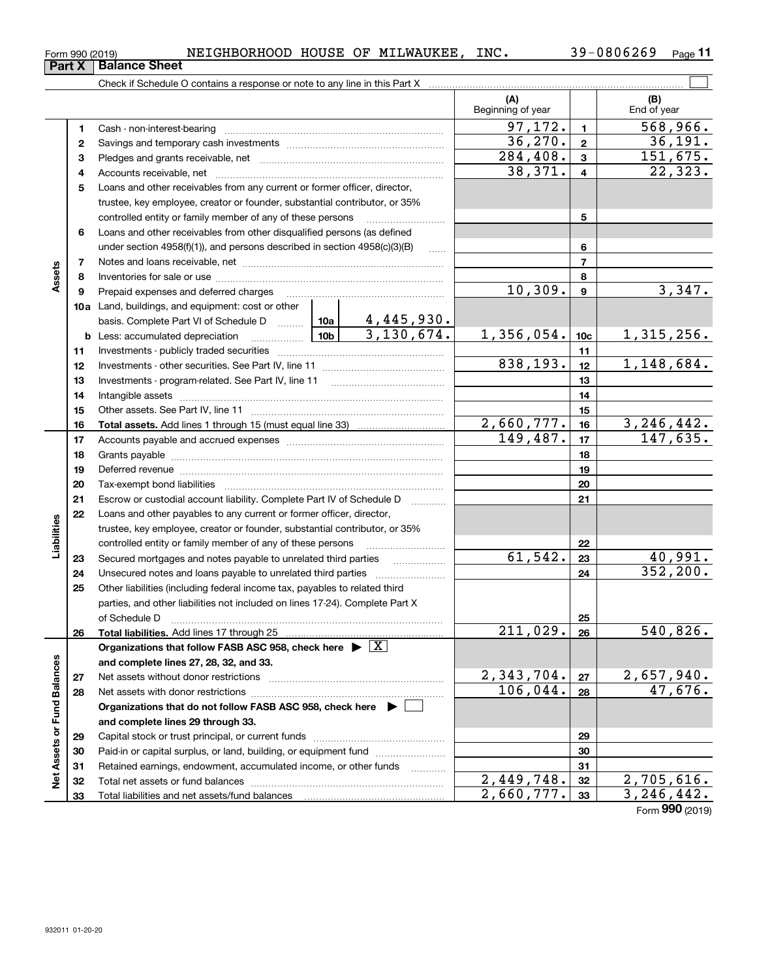| Form 990 (2019) | NEIGHBORHOOD HOUSE OF MILWAUKEE, |  | INC. | 39-0806269 | Page |  |
|-----------------|----------------------------------|--|------|------------|------|--|
|                 |                                  |  |      |            |      |  |

|                             |          | Check if Schedule O contains a response or note to any line in this Part X                                                                                                                                                     |                 |            |                          |                         |                        |
|-----------------------------|----------|--------------------------------------------------------------------------------------------------------------------------------------------------------------------------------------------------------------------------------|-----------------|------------|--------------------------|-------------------------|------------------------|
|                             |          |                                                                                                                                                                                                                                |                 |            | (A)<br>Beginning of year |                         | (B)<br>End of year     |
|                             | 1        |                                                                                                                                                                                                                                |                 |            | 97, 172.                 | $\mathbf{1}$            | 568,966.               |
|                             | 2        |                                                                                                                                                                                                                                |                 |            | 36, 270.                 | $\mathbf{2}$            | 36,191.                |
|                             | з        |                                                                                                                                                                                                                                |                 |            | $\overline{284,408}$ .   | $\mathbf{3}$            | 151,675.               |
|                             | 4        |                                                                                                                                                                                                                                |                 |            | 38,371.                  | $\overline{\mathbf{4}}$ | 22,323.                |
|                             | 5        | Loans and other receivables from any current or former officer, director,                                                                                                                                                      |                 |            |                          |                         |                        |
|                             |          | trustee, key employee, creator or founder, substantial contributor, or 35%                                                                                                                                                     |                 |            |                          |                         |                        |
|                             |          | controlled entity or family member of any of these persons                                                                                                                                                                     |                 |            |                          | 5                       |                        |
|                             | 6        | Loans and other receivables from other disqualified persons (as defined                                                                                                                                                        |                 |            |                          |                         |                        |
|                             |          | under section $4958(f)(1)$ , and persons described in section $4958(c)(3)(B)$                                                                                                                                                  |                 | $\ldots$   |                          | 6                       |                        |
|                             | 7        |                                                                                                                                                                                                                                |                 |            |                          | $\overline{7}$          |                        |
| Assets                      | 8        |                                                                                                                                                                                                                                |                 |            |                          | 8                       |                        |
|                             | 9        | Prepaid expenses and deferred charges                                                                                                                                                                                          |                 |            | 10,309.                  | $\boldsymbol{9}$        | 3,347.                 |
|                             |          | 10a Land, buildings, and equipment: cost or other                                                                                                                                                                              |                 |            |                          |                         |                        |
|                             |          | basis. Complete Part VI of Schedule D  10a   4,445,930.                                                                                                                                                                        |                 |            |                          |                         |                        |
|                             |          | <b>b</b> Less: accumulated depreciation                                                                                                                                                                                        | 10 <sub>b</sub> | 3,130,674. | 1,356,054.               | 10 <sub>c</sub>         | <u>1,315,256.</u>      |
|                             | 11       |                                                                                                                                                                                                                                |                 |            |                          | 11                      |                        |
|                             | 12       |                                                                                                                                                                                                                                |                 |            | 838,193.                 | 12                      | 1,148,684.             |
|                             | 13       |                                                                                                                                                                                                                                |                 |            |                          | 13                      |                        |
|                             | 14       |                                                                                                                                                                                                                                |                 |            |                          | 14                      |                        |
|                             | 15       |                                                                                                                                                                                                                                |                 | 15         |                          |                         |                        |
|                             | 16       |                                                                                                                                                                                                                                |                 |            | 2,660,777.               | 16                      | 3, 246, 442.           |
|                             | 17       |                                                                                                                                                                                                                                |                 |            | 149,487.                 | 17                      | 147,635.               |
|                             | 18       |                                                                                                                                                                                                                                |                 | 18         |                          |                         |                        |
|                             | 19       | Deferred revenue manual contracts and contracts are contracted and contract and contract are contracted and contract are contracted and contract are contracted and contract are contracted and contract are contracted and co |                 |            |                          | 19                      |                        |
|                             | 20       |                                                                                                                                                                                                                                |                 |            |                          | 20                      |                        |
|                             | 21       | Escrow or custodial account liability. Complete Part IV of Schedule D                                                                                                                                                          |                 |            |                          | 21                      |                        |
|                             | 22       | Loans and other payables to any current or former officer, director,                                                                                                                                                           |                 |            |                          |                         |                        |
| Liabilities                 |          | trustee, key employee, creator or founder, substantial contributor, or 35%                                                                                                                                                     |                 |            |                          |                         |                        |
|                             |          | controlled entity or family member of any of these persons                                                                                                                                                                     |                 |            |                          | 22                      |                        |
|                             | 23       | Secured mortgages and notes payable to unrelated third parties                                                                                                                                                                 |                 |            | $\overline{61,542}$ .    | 23                      | 40,991.                |
|                             | 24       | Unsecured notes and loans payable to unrelated third parties                                                                                                                                                                   |                 |            |                          | 24                      | 352, 200.              |
|                             | 25       | Other liabilities (including federal income tax, payables to related third                                                                                                                                                     |                 |            |                          |                         |                        |
|                             |          | parties, and other liabilities not included on lines 17-24). Complete Part X                                                                                                                                                   |                 |            |                          |                         |                        |
|                             |          | of Schedule D                                                                                                                                                                                                                  |                 |            |                          | 25                      |                        |
|                             | 26       | Total liabilities. Add lines 17 through 25                                                                                                                                                                                     |                 |            | $\overline{211,029}$ .   | 26                      | $\overline{540,826}$ . |
|                             |          | Organizations that follow FASB ASC 958, check here $\triangleright \lfloor X \rfloor$                                                                                                                                          |                 |            |                          |                         |                        |
|                             |          | and complete lines 27, 28, 32, and 33.                                                                                                                                                                                         |                 |            | 2,343,704.               |                         | 2,657,940.             |
|                             | 27       |                                                                                                                                                                                                                                |                 |            | 106,044.                 | 27                      | 47,676.                |
|                             | 28       |                                                                                                                                                                                                                                |                 |            |                          | 28                      |                        |
|                             |          | Organizations that do not follow FASB ASC 958, check here $\blacktriangleright$                                                                                                                                                |                 |            |                          |                         |                        |
|                             |          | and complete lines 29 through 33.                                                                                                                                                                                              |                 |            |                          | 29                      |                        |
|                             | 29<br>30 | Paid-in or capital surplus, or land, building, or equipment fund                                                                                                                                                               |                 |            |                          | 30                      |                        |
|                             | 31       | Retained earnings, endowment, accumulated income, or other funds                                                                                                                                                               |                 |            |                          | 31                      |                        |
| Net Assets or Fund Balances | 32       |                                                                                                                                                                                                                                |                 |            | $\overline{2,449,748}$ . | 32                      | 2,705,616.             |
|                             | 33       |                                                                                                                                                                                                                                |                 |            | 2,660,777.               | 33                      | 3, 246, 442.           |
|                             |          |                                                                                                                                                                                                                                |                 |            |                          |                         |                        |

Form (2019) **990**

## **Part X Balance Sheet**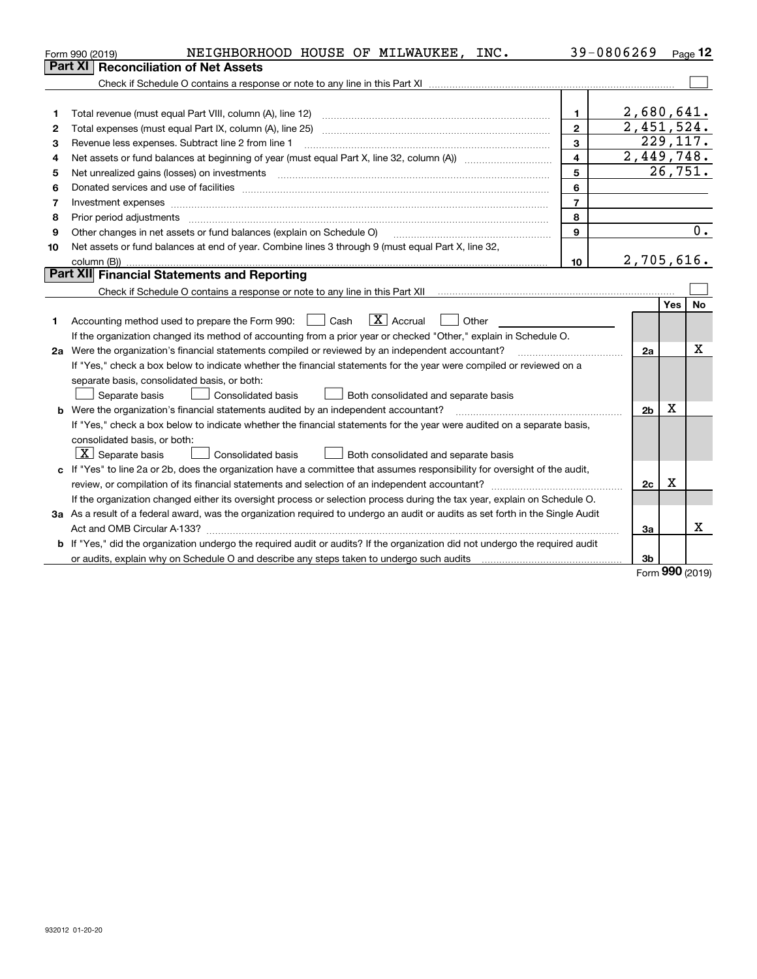|    | NEIGHBORHOOD HOUSE OF MILWAUKEE, INC.<br>Form 990 (2019)                                                                                                                                                                       |                | 39-0806269              |     | Page 12   |
|----|--------------------------------------------------------------------------------------------------------------------------------------------------------------------------------------------------------------------------------|----------------|-------------------------|-----|-----------|
|    | <b>Reconciliation of Net Assets</b><br>Part XI                                                                                                                                                                                 |                |                         |     |           |
|    |                                                                                                                                                                                                                                |                |                         |     |           |
|    |                                                                                                                                                                                                                                |                |                         |     |           |
| 1  | Total revenue (must equal Part VIII, column (A), line 12)                                                                                                                                                                      | 1.             | 2,680,641.              |     |           |
| 2  | Total expenses (must equal Part IX, column (A), line 25)                                                                                                                                                                       | $\overline{2}$ | $\overline{2,451,524.}$ |     |           |
| 3  | Revenue less expenses. Subtract line 2 from line 1                                                                                                                                                                             | 3              |                         |     | 229, 117. |
| 4  |                                                                                                                                                                                                                                | $\overline{4}$ | 2,449,748.              |     |           |
| 5  |                                                                                                                                                                                                                                | 5              |                         |     | 26,751.   |
| 6  | Donated services and use of facilities [111] matter contracts and the service of facilities [11] matter contracts and use of facilities [11] matter contracts and the service of facilities [11] matter contracts and the serv | 6              |                         |     |           |
| 7  | Investment expenses                                                                                                                                                                                                            | $\overline{7}$ |                         |     |           |
| 8  | Prior period adjustments                                                                                                                                                                                                       | 8              |                         |     |           |
| 9  | Other changes in net assets or fund balances (explain on Schedule O)                                                                                                                                                           | 9              |                         |     | 0.        |
| 10 | Net assets or fund balances at end of year. Combine lines 3 through 9 (must equal Part X, line 32,                                                                                                                             |                |                         |     |           |
|    |                                                                                                                                                                                                                                | 10             | 2,705,616.              |     |           |
|    | Part XII Financial Statements and Reporting                                                                                                                                                                                    |                |                         |     |           |
|    |                                                                                                                                                                                                                                |                |                         |     |           |
|    |                                                                                                                                                                                                                                |                |                         | Yes | <b>No</b> |
| 1  | $\boxed{\mathbf{X}}$ Accrual<br>Accounting method used to prepare the Form 990: <u>June</u> Cash<br>Other                                                                                                                      |                |                         |     |           |
|    | If the organization changed its method of accounting from a prior year or checked "Other," explain in Schedule O.                                                                                                              |                |                         |     |           |
|    | 2a Were the organization's financial statements compiled or reviewed by an independent accountant?                                                                                                                             |                | 2a                      |     | х         |
|    | If "Yes," check a box below to indicate whether the financial statements for the year were compiled or reviewed on a                                                                                                           |                |                         |     |           |
|    | separate basis, consolidated basis, or both:                                                                                                                                                                                   |                |                         |     |           |
|    | Separate basis<br>Consolidated basis<br>Both consolidated and separate basis                                                                                                                                                   |                |                         |     |           |
|    | <b>b</b> Were the organization's financial statements audited by an independent accountant?                                                                                                                                    |                | 2 <sub>b</sub>          | х   |           |
|    | If "Yes," check a box below to indicate whether the financial statements for the year were audited on a separate basis,                                                                                                        |                |                         |     |           |
|    | consolidated basis, or both:                                                                                                                                                                                                   |                |                         |     |           |
|    | $X$ Separate basis<br><b>Consolidated basis</b><br>Both consolidated and separate basis                                                                                                                                        |                |                         |     |           |
|    | c If "Yes" to line 2a or 2b, does the organization have a committee that assumes responsibility for oversight of the audit,                                                                                                    |                |                         |     |           |
|    |                                                                                                                                                                                                                                |                | 2c                      | х   |           |
|    | If the organization changed either its oversight process or selection process during the tax year, explain on Schedule O.                                                                                                      |                |                         |     |           |
|    | 3a As a result of a federal award, was the organization required to undergo an audit or audits as set forth in the Single Audit                                                                                                |                |                         |     |           |
|    |                                                                                                                                                                                                                                |                | За                      |     | х         |
|    | b If "Yes," did the organization undergo the required audit or audits? If the organization did not undergo the required audit                                                                                                  |                |                         |     |           |
|    |                                                                                                                                                                                                                                |                | 3b                      |     |           |

Form (2019) **990**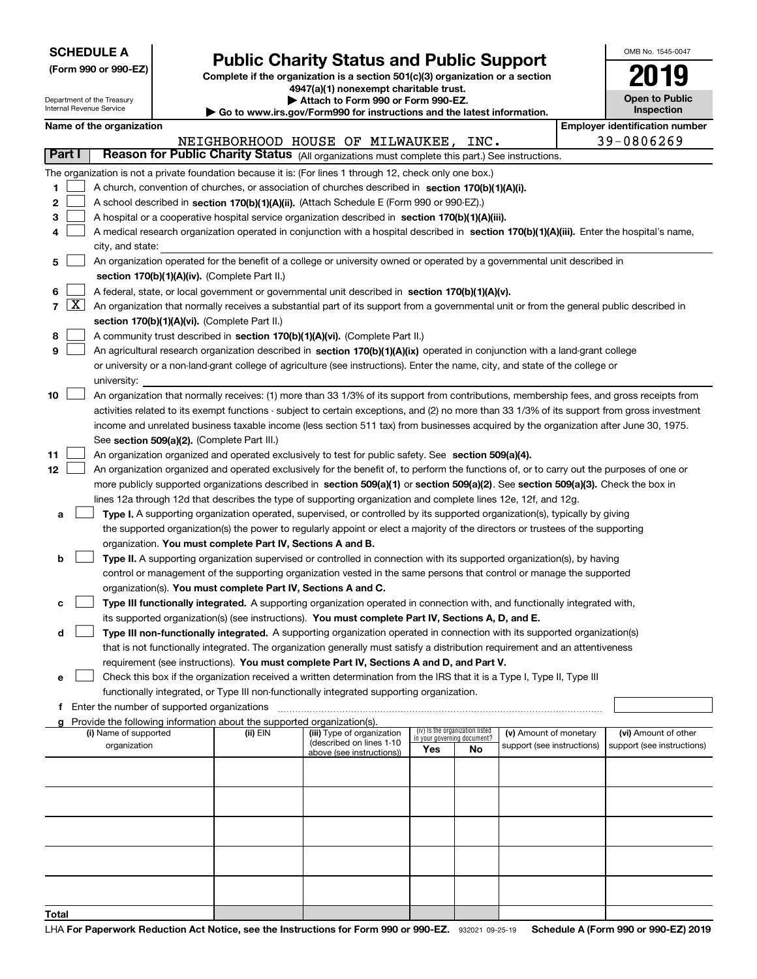| <b>SCHEDULE A</b> |  |  |  |  |  |  |
|-------------------|--|--|--|--|--|--|
|-------------------|--|--|--|--|--|--|

Department of the Treasury

**(Form 990 or 990-EZ)**

# **Public Charity Status and Public Support**

**Complete if the organization is a section 501(c)(3) organization or a section 4947(a)(1) nonexempt charitable trust. | Attach to Form 990 or Form 990-EZ.** 

| www.irs.gov/Form990 for instructions and the latest information. |  |
|------------------------------------------------------------------|--|

| OMB No 1545-0047                    |
|-------------------------------------|
| 2019                                |
| <b>Open to Public</b><br>Inspection |

| Internal Revenue Service                                                                  |                                                                                                                                            |                                                                                                                                            |  |                                                                                    | Go to www.irs.gov/Form990 for instructions and the latest information.                                                                        |     |                                   |                            |  | <b>Inspection</b>                     |
|-------------------------------------------------------------------------------------------|--------------------------------------------------------------------------------------------------------------------------------------------|--------------------------------------------------------------------------------------------------------------------------------------------|--|------------------------------------------------------------------------------------|-----------------------------------------------------------------------------------------------------------------------------------------------|-----|-----------------------------------|----------------------------|--|---------------------------------------|
| Name of the organization                                                                  |                                                                                                                                            |                                                                                                                                            |  |                                                                                    |                                                                                                                                               |     |                                   |                            |  | <b>Employer identification number</b> |
|                                                                                           |                                                                                                                                            |                                                                                                                                            |  | NEIGHBORHOOD HOUSE OF MILWAUKEE, INC.                                              |                                                                                                                                               |     |                                   |                            |  | 39-0806269                            |
|                                                                                           | Part I                                                                                                                                     |                                                                                                                                            |  |                                                                                    | Reason for Public Charity Status (All organizations must complete this part.) See instructions.                                               |     |                                   |                            |  |                                       |
|                                                                                           |                                                                                                                                            |                                                                                                                                            |  |                                                                                    | The organization is not a private foundation because it is: (For lines 1 through 12, check only one box.)                                     |     |                                   |                            |  |                                       |
| 1                                                                                         |                                                                                                                                            |                                                                                                                                            |  |                                                                                    | A church, convention of churches, or association of churches described in section 170(b)(1)(A)(i).                                            |     |                                   |                            |  |                                       |
| 2                                                                                         |                                                                                                                                            |                                                                                                                                            |  |                                                                                    | A school described in section 170(b)(1)(A)(ii). (Attach Schedule E (Form 990 or 990-EZ).)                                                     |     |                                   |                            |  |                                       |
| 3                                                                                         |                                                                                                                                            |                                                                                                                                            |  |                                                                                    | A hospital or a cooperative hospital service organization described in section 170(b)(1)(A)(iii).                                             |     |                                   |                            |  |                                       |
| 4                                                                                         |                                                                                                                                            | A medical research organization operated in conjunction with a hospital described in section 170(b)(1)(A)(iii). Enter the hospital's name, |  |                                                                                    |                                                                                                                                               |     |                                   |                            |  |                                       |
|                                                                                           |                                                                                                                                            | city, and state:                                                                                                                           |  |                                                                                    |                                                                                                                                               |     |                                   |                            |  |                                       |
| 5                                                                                         |                                                                                                                                            | An organization operated for the benefit of a college or university owned or operated by a governmental unit described in                  |  |                                                                                    |                                                                                                                                               |     |                                   |                            |  |                                       |
|                                                                                           |                                                                                                                                            |                                                                                                                                            |  | section 170(b)(1)(A)(iv). (Complete Part II.)                                      |                                                                                                                                               |     |                                   |                            |  |                                       |
| 6                                                                                         |                                                                                                                                            |                                                                                                                                            |  |                                                                                    | A federal, state, or local government or governmental unit described in section 170(b)(1)(A)(v).                                              |     |                                   |                            |  |                                       |
|                                                                                           | 7   X                                                                                                                                      |                                                                                                                                            |  |                                                                                    | An organization that normally receives a substantial part of its support from a governmental unit or from the general public described in     |     |                                   |                            |  |                                       |
|                                                                                           |                                                                                                                                            |                                                                                                                                            |  | section 170(b)(1)(A)(vi). (Complete Part II.)                                      |                                                                                                                                               |     |                                   |                            |  |                                       |
| 8                                                                                         |                                                                                                                                            |                                                                                                                                            |  |                                                                                    | A community trust described in section 170(b)(1)(A)(vi). (Complete Part II.)                                                                  |     |                                   |                            |  |                                       |
| 9                                                                                         |                                                                                                                                            |                                                                                                                                            |  |                                                                                    | An agricultural research organization described in section 170(b)(1)(A)(ix) operated in conjunction with a land-grant college                 |     |                                   |                            |  |                                       |
|                                                                                           |                                                                                                                                            |                                                                                                                                            |  |                                                                                    | or university or a non-land-grant college of agriculture (see instructions). Enter the name, city, and state of the college or                |     |                                   |                            |  |                                       |
|                                                                                           |                                                                                                                                            | university:                                                                                                                                |  |                                                                                    |                                                                                                                                               |     |                                   |                            |  |                                       |
| 10                                                                                        |                                                                                                                                            |                                                                                                                                            |  |                                                                                    | An organization that normally receives: (1) more than 33 1/3% of its support from contributions, membership fees, and gross receipts from     |     |                                   |                            |  |                                       |
|                                                                                           |                                                                                                                                            |                                                                                                                                            |  |                                                                                    | activities related to its exempt functions - subject to certain exceptions, and (2) no more than 33 1/3% of its support from gross investment |     |                                   |                            |  |                                       |
|                                                                                           |                                                                                                                                            |                                                                                                                                            |  |                                                                                    | income and unrelated business taxable income (less section 511 tax) from businesses acquired by the organization after June 30, 1975.         |     |                                   |                            |  |                                       |
|                                                                                           |                                                                                                                                            |                                                                                                                                            |  | See section 509(a)(2). (Complete Part III.)                                        |                                                                                                                                               |     |                                   |                            |  |                                       |
| 11                                                                                        |                                                                                                                                            |                                                                                                                                            |  |                                                                                    | An organization organized and operated exclusively to test for public safety. See section 509(a)(4).                                          |     |                                   |                            |  |                                       |
| 12                                                                                        | An organization organized and operated exclusively for the benefit of, to perform the functions of, or to carry out the purposes of one or |                                                                                                                                            |  |                                                                                    |                                                                                                                                               |     |                                   |                            |  |                                       |
|                                                                                           | more publicly supported organizations described in section 509(a)(1) or section 509(a)(2). See section 509(a)(3). Check the box in         |                                                                                                                                            |  |                                                                                    |                                                                                                                                               |     |                                   |                            |  |                                       |
|                                                                                           |                                                                                                                                            |                                                                                                                                            |  |                                                                                    | lines 12a through 12d that describes the type of supporting organization and complete lines 12e, 12f, and 12g.                                |     |                                   |                            |  |                                       |
| а                                                                                         |                                                                                                                                            |                                                                                                                                            |  |                                                                                    | Type I. A supporting organization operated, supervised, or controlled by its supported organization(s), typically by giving                   |     |                                   |                            |  |                                       |
|                                                                                           |                                                                                                                                            |                                                                                                                                            |  |                                                                                    | the supported organization(s) the power to regularly appoint or elect a majority of the directors or trustees of the supporting               |     |                                   |                            |  |                                       |
|                                                                                           |                                                                                                                                            |                                                                                                                                            |  | organization. You must complete Part IV, Sections A and B.                         |                                                                                                                                               |     |                                   |                            |  |                                       |
| b                                                                                         |                                                                                                                                            |                                                                                                                                            |  |                                                                                    | Type II. A supporting organization supervised or controlled in connection with its supported organization(s), by having                       |     |                                   |                            |  |                                       |
|                                                                                           |                                                                                                                                            |                                                                                                                                            |  |                                                                                    | control or management of the supporting organization vested in the same persons that control or manage the supported                          |     |                                   |                            |  |                                       |
|                                                                                           |                                                                                                                                            |                                                                                                                                            |  | organization(s). You must complete Part IV, Sections A and C.                      |                                                                                                                                               |     |                                   |                            |  |                                       |
| с                                                                                         |                                                                                                                                            |                                                                                                                                            |  |                                                                                    | Type III functionally integrated. A supporting organization operated in connection with, and functionally integrated with,                    |     |                                   |                            |  |                                       |
|                                                                                           |                                                                                                                                            |                                                                                                                                            |  |                                                                                    | its supported organization(s) (see instructions). You must complete Part IV, Sections A, D, and E.                                            |     |                                   |                            |  |                                       |
| d                                                                                         |                                                                                                                                            |                                                                                                                                            |  |                                                                                    | Type III non-functionally integrated. A supporting organization operated in connection with its supported organization(s)                     |     |                                   |                            |  |                                       |
|                                                                                           |                                                                                                                                            |                                                                                                                                            |  |                                                                                    | that is not functionally integrated. The organization generally must satisfy a distribution requirement and an attentiveness                  |     |                                   |                            |  |                                       |
|                                                                                           |                                                                                                                                            |                                                                                                                                            |  |                                                                                    | requirement (see instructions). You must complete Part IV, Sections A and D, and Part V.                                                      |     |                                   |                            |  |                                       |
| е                                                                                         |                                                                                                                                            |                                                                                                                                            |  |                                                                                    | Check this box if the organization received a written determination from the IRS that it is a Type I, Type II, Type III                       |     |                                   |                            |  |                                       |
| functionally integrated, or Type III non-functionally integrated supporting organization. |                                                                                                                                            |                                                                                                                                            |  |                                                                                    |                                                                                                                                               |     |                                   |                            |  |                                       |
|                                                                                           |                                                                                                                                            | f Enter the number of supported organizations                                                                                              |  |                                                                                    |                                                                                                                                               |     |                                   |                            |  |                                       |
|                                                                                           |                                                                                                                                            | (i) Name of supported                                                                                                                      |  | Provide the following information about the supported organization(s).<br>(ii) EIN | (iii) Type of organization                                                                                                                    |     | (iv) Is the organization listed   | (v) Amount of monetary     |  | (vi) Amount of other                  |
|                                                                                           |                                                                                                                                            | organization                                                                                                                               |  |                                                                                    | (described on lines 1-10                                                                                                                      | Yes | in your governing document?<br>No | support (see instructions) |  | support (see instructions)            |
|                                                                                           |                                                                                                                                            |                                                                                                                                            |  |                                                                                    | above (see instructions))                                                                                                                     |     |                                   |                            |  |                                       |
|                                                                                           |                                                                                                                                            |                                                                                                                                            |  |                                                                                    |                                                                                                                                               |     |                                   |                            |  |                                       |
|                                                                                           |                                                                                                                                            |                                                                                                                                            |  |                                                                                    |                                                                                                                                               |     |                                   |                            |  |                                       |
|                                                                                           |                                                                                                                                            |                                                                                                                                            |  |                                                                                    |                                                                                                                                               |     |                                   |                            |  |                                       |
|                                                                                           |                                                                                                                                            |                                                                                                                                            |  |                                                                                    |                                                                                                                                               |     |                                   |                            |  |                                       |
|                                                                                           |                                                                                                                                            |                                                                                                                                            |  |                                                                                    |                                                                                                                                               |     |                                   |                            |  |                                       |
|                                                                                           |                                                                                                                                            |                                                                                                                                            |  |                                                                                    |                                                                                                                                               |     |                                   |                            |  |                                       |
|                                                                                           |                                                                                                                                            |                                                                                                                                            |  |                                                                                    |                                                                                                                                               |     |                                   |                            |  |                                       |
|                                                                                           |                                                                                                                                            |                                                                                                                                            |  |                                                                                    |                                                                                                                                               |     |                                   |                            |  |                                       |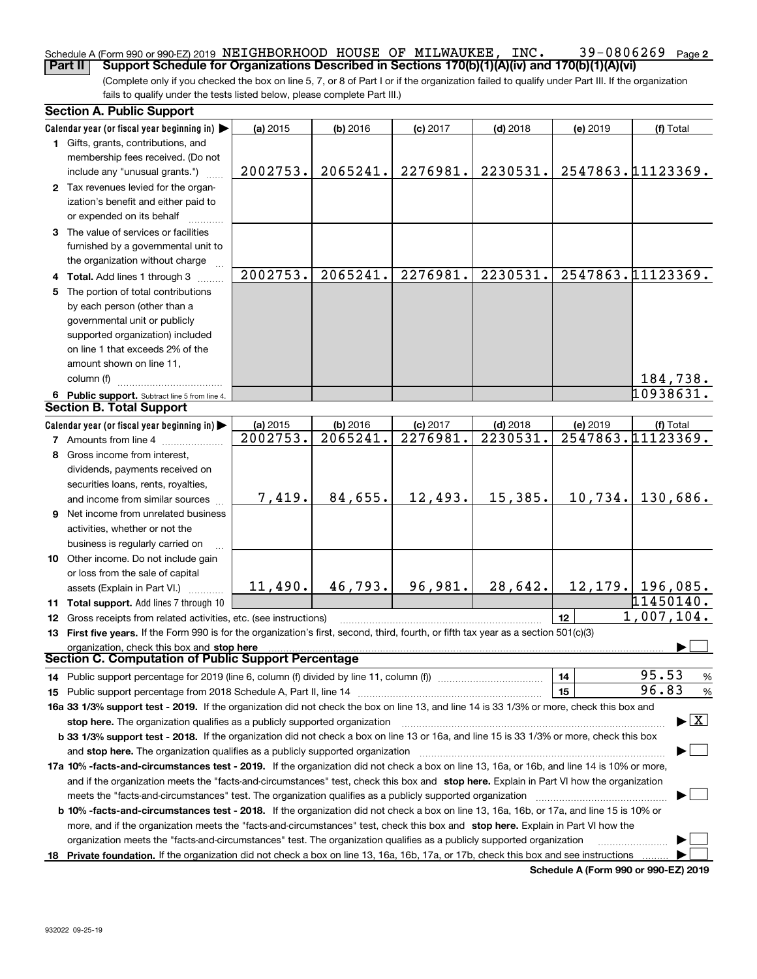#### **2** Schedule A (Form 990 or 990-EZ) 2019 <code>NEIGHBORHOOD HOUSE OF MILWAUKEE</code> , <code>INC</code> .  $39\text{--}0806269$  <code>Page</code> **Part II Support Schedule for Organizations Described in Sections 170(b)(1)(A)(iv) and 170(b)(1)(A)(vi)**

(Complete only if you checked the box on line 5, 7, or 8 of Part I or if the organization failed to qualify under Part III. If the organization fails to qualify under the tests listed below, please complete Part III.)

|    | <b>Section A. Public Support</b>                                                                                                                                                                                                                                    |                                                                   |            |            |            |          |                     |  |  |  |  |  |
|----|---------------------------------------------------------------------------------------------------------------------------------------------------------------------------------------------------------------------------------------------------------------------|-------------------------------------------------------------------|------------|------------|------------|----------|---------------------|--|--|--|--|--|
|    | Calendar year (or fiscal year beginning in)                                                                                                                                                                                                                         | (a) 2015                                                          | $(b)$ 2016 | $(c)$ 2017 | $(d)$ 2018 | (e) 2019 | (f) Total           |  |  |  |  |  |
|    | 1 Gifts, grants, contributions, and                                                                                                                                                                                                                                 |                                                                   |            |            |            |          |                     |  |  |  |  |  |
|    | membership fees received. (Do not                                                                                                                                                                                                                                   |                                                                   |            |            |            |          |                     |  |  |  |  |  |
|    | include any "unusual grants.")                                                                                                                                                                                                                                      | 2547863.11123369.<br>2065241.<br>2276981.<br>2230531.<br>2002753. |            |            |            |          |                     |  |  |  |  |  |
|    | 2 Tax revenues levied for the organ-                                                                                                                                                                                                                                |                                                                   |            |            |            |          |                     |  |  |  |  |  |
|    | ization's benefit and either paid to                                                                                                                                                                                                                                |                                                                   |            |            |            |          |                     |  |  |  |  |  |
|    | or expended on its behalf                                                                                                                                                                                                                                           |                                                                   |            |            |            |          |                     |  |  |  |  |  |
|    | 3 The value of services or facilities                                                                                                                                                                                                                               |                                                                   |            |            |            |          |                     |  |  |  |  |  |
|    | furnished by a governmental unit to                                                                                                                                                                                                                                 |                                                                   |            |            |            |          |                     |  |  |  |  |  |
|    | the organization without charge                                                                                                                                                                                                                                     |                                                                   |            |            |            |          |                     |  |  |  |  |  |
|    | 2002753.<br>2547863.11123369.<br>2065241.<br>2276981.<br>2230531.<br>4 Total. Add lines 1 through 3                                                                                                                                                                 |                                                                   |            |            |            |          |                     |  |  |  |  |  |
| 5. | The portion of total contributions                                                                                                                                                                                                                                  |                                                                   |            |            |            |          |                     |  |  |  |  |  |
|    | by each person (other than a                                                                                                                                                                                                                                        |                                                                   |            |            |            |          |                     |  |  |  |  |  |
|    | governmental unit or publicly                                                                                                                                                                                                                                       |                                                                   |            |            |            |          |                     |  |  |  |  |  |
|    | supported organization) included                                                                                                                                                                                                                                    |                                                                   |            |            |            |          |                     |  |  |  |  |  |
|    | on line 1 that exceeds 2% of the                                                                                                                                                                                                                                    |                                                                   |            |            |            |          |                     |  |  |  |  |  |
|    | amount shown on line 11,                                                                                                                                                                                                                                            |                                                                   |            |            |            |          |                     |  |  |  |  |  |
|    | column (f)                                                                                                                                                                                                                                                          |                                                                   |            |            |            |          | 184,738.            |  |  |  |  |  |
|    | 10938631.                                                                                                                                                                                                                                                           |                                                                   |            |            |            |          |                     |  |  |  |  |  |
|    | 6 Public support. Subtract line 5 from line 4.<br><b>Section B. Total Support</b>                                                                                                                                                                                   |                                                                   |            |            |            |          |                     |  |  |  |  |  |
|    | Calendar year (or fiscal year beginning in)                                                                                                                                                                                                                         | (a) 2015                                                          | $(b)$ 2016 | $(c)$ 2017 | $(d)$ 2018 | (e) 2019 | (f) Total           |  |  |  |  |  |
|    | <b>7</b> Amounts from line 4                                                                                                                                                                                                                                        | 2002753.                                                          | 2065241.   | 2276981.   | 2230531.   |          | 2547863.11123369.   |  |  |  |  |  |
|    | 8 Gross income from interest,                                                                                                                                                                                                                                       |                                                                   |            |            |            |          |                     |  |  |  |  |  |
|    |                                                                                                                                                                                                                                                                     |                                                                   |            |            |            |          |                     |  |  |  |  |  |
|    | dividends, payments received on<br>securities loans, rents, royalties,                                                                                                                                                                                              |                                                                   |            |            |            |          |                     |  |  |  |  |  |
|    | and income from similar sources                                                                                                                                                                                                                                     | 7,419.                                                            | 84,655.    | 12,493.    | 15,385.    | 10,734.  | 130,686.            |  |  |  |  |  |
|    | 9 Net income from unrelated business                                                                                                                                                                                                                                |                                                                   |            |            |            |          |                     |  |  |  |  |  |
|    | activities, whether or not the                                                                                                                                                                                                                                      |                                                                   |            |            |            |          |                     |  |  |  |  |  |
|    | business is regularly carried on                                                                                                                                                                                                                                    |                                                                   |            |            |            |          |                     |  |  |  |  |  |
|    | 10 Other income. Do not include gain                                                                                                                                                                                                                                |                                                                   |            |            |            |          |                     |  |  |  |  |  |
|    | or loss from the sale of capital                                                                                                                                                                                                                                    |                                                                   |            |            |            |          |                     |  |  |  |  |  |
|    | assets (Explain in Part VI.)                                                                                                                                                                                                                                        | 11,490.                                                           | 46,793.    | 96,981.    | 28,642.    |          | $12, 179.$ 196,085. |  |  |  |  |  |
|    | 11 Total support. Add lines 7 through 10                                                                                                                                                                                                                            |                                                                   |            |            |            |          | 11450140.           |  |  |  |  |  |
|    | <b>12</b> Gross receipts from related activities, etc. (see instructions)                                                                                                                                                                                           |                                                                   |            |            |            | 12       | 1,007,104.          |  |  |  |  |  |
|    | 13 First five years. If the Form 990 is for the organization's first, second, third, fourth, or fifth tax year as a section 501(c)(3)                                                                                                                               |                                                                   |            |            |            |          |                     |  |  |  |  |  |
|    |                                                                                                                                                                                                                                                                     |                                                                   |            |            |            |          |                     |  |  |  |  |  |
|    | organization, check this box and stop here<br>Section C. Computation of Public Support Percentage                                                                                                                                                                   |                                                                   |            |            |            |          |                     |  |  |  |  |  |
|    | 14 Public support percentage for 2019 (line 6, column (f) divided by line 11, column (f) <i>manumumumumum</i>                                                                                                                                                       |                                                                   |            |            |            | 14       | 95.53<br>%          |  |  |  |  |  |
|    |                                                                                                                                                                                                                                                                     |                                                                   |            |            |            | 15       | 96.83<br>%          |  |  |  |  |  |
|    |                                                                                                                                                                                                                                                                     |                                                                   |            |            |            |          |                     |  |  |  |  |  |
|    | 16a 33 1/3% support test - 2019. If the organization did not check the box on line 13, and line 14 is 33 1/3% or more, check this box and<br>$\blacktriangleright$ $\boxed{\text{X}}$<br>stop here. The organization qualifies as a publicly supported organization |                                                                   |            |            |            |          |                     |  |  |  |  |  |
|    | b 33 1/3% support test - 2018. If the organization did not check a box on line 13 or 16a, and line 15 is 33 1/3% or more, check this box                                                                                                                            |                                                                   |            |            |            |          |                     |  |  |  |  |  |
|    | and stop here. The organization qualifies as a publicly supported organization                                                                                                                                                                                      |                                                                   |            |            |            |          |                     |  |  |  |  |  |
|    | 17a 10% -facts-and-circumstances test - 2019. If the organization did not check a box on line 13, 16a, or 16b, and line 14 is 10% or more,                                                                                                                          |                                                                   |            |            |            |          |                     |  |  |  |  |  |
|    | and if the organization meets the "facts-and-circumstances" test, check this box and stop here. Explain in Part VI how the organization                                                                                                                             |                                                                   |            |            |            |          |                     |  |  |  |  |  |
|    |                                                                                                                                                                                                                                                                     |                                                                   |            |            |            |          |                     |  |  |  |  |  |
|    | <b>b 10% -facts-and-circumstances test - 2018.</b> If the organization did not check a box on line 13, 16a, 16b, or 17a, and line 15 is 10% or                                                                                                                      |                                                                   |            |            |            |          |                     |  |  |  |  |  |
|    |                                                                                                                                                                                                                                                                     |                                                                   |            |            |            |          |                     |  |  |  |  |  |
|    | more, and if the organization meets the "facts-and-circumstances" test, check this box and stop here. Explain in Part VI how the                                                                                                                                    |                                                                   |            |            |            |          |                     |  |  |  |  |  |
|    | organization meets the "facts-and-circumstances" test. The organization qualifies as a publicly supported organization                                                                                                                                              |                                                                   |            |            |            |          |                     |  |  |  |  |  |
|    | 18 Private foundation. If the organization did not check a box on line 13, 16a, 16b, 17a, or 17b, check this box and see instructions                                                                                                                               |                                                                   |            |            |            |          |                     |  |  |  |  |  |

**Schedule A (Form 990 or 990-EZ) 2019**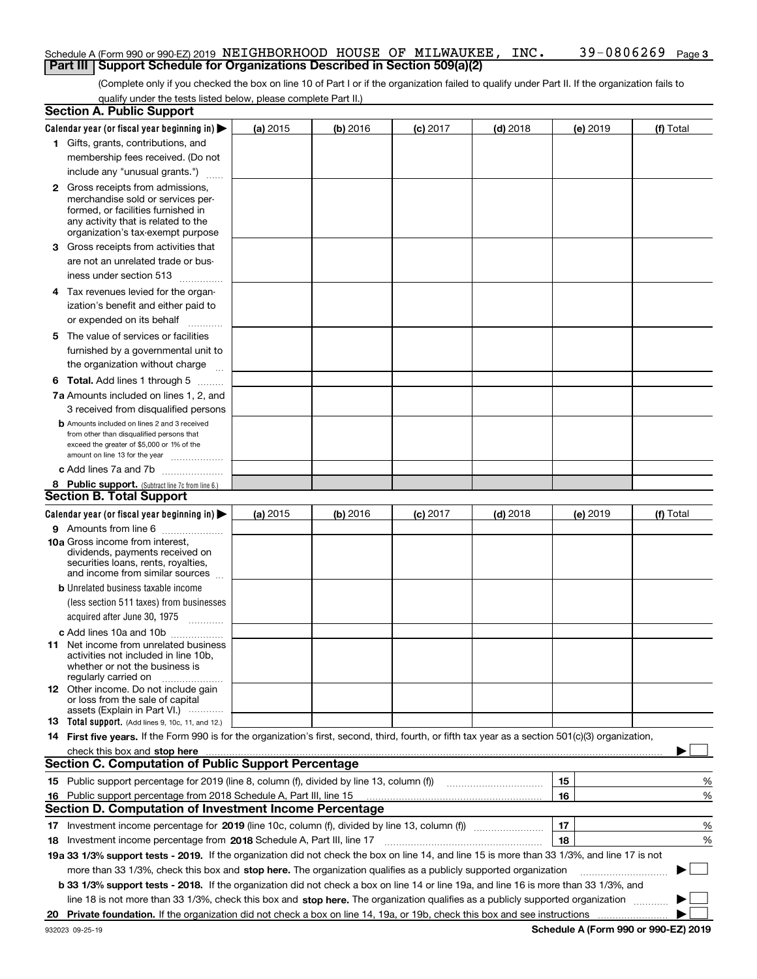### Schedule A (Form 990 or 990-EZ) 2019 <code>NEIGHBORHOOD HOUSE OF MILWAUKEE</code> , <code>INC</code> .  $39\text{--}0806269$  <code>Page</code> **Part III** | Support Schedule for Organizations Described in Section 509(a)(2)

(Complete only if you checked the box on line 10 of Part I or if the organization failed to qualify under Part II. If the organization fails to qualify under the tests listed below, please complete Part II.)

|    | <b>Section A. Public Support</b>                                                                                                                                                                                              |          |          |            |            |          |           |  |  |  |  |  |
|----|-------------------------------------------------------------------------------------------------------------------------------------------------------------------------------------------------------------------------------|----------|----------|------------|------------|----------|-----------|--|--|--|--|--|
|    | Calendar year (or fiscal year beginning in) $\blacktriangleright$                                                                                                                                                             | (a) 2015 | (b) 2016 | $(c)$ 2017 | $(d)$ 2018 | (e) 2019 | (f) Total |  |  |  |  |  |
|    | 1 Gifts, grants, contributions, and                                                                                                                                                                                           |          |          |            |            |          |           |  |  |  |  |  |
|    | membership fees received. (Do not                                                                                                                                                                                             |          |          |            |            |          |           |  |  |  |  |  |
|    | include any "unusual grants.")                                                                                                                                                                                                |          |          |            |            |          |           |  |  |  |  |  |
|    | <b>2</b> Gross receipts from admissions,                                                                                                                                                                                      |          |          |            |            |          |           |  |  |  |  |  |
|    | merchandise sold or services per-                                                                                                                                                                                             |          |          |            |            |          |           |  |  |  |  |  |
|    | formed, or facilities furnished in                                                                                                                                                                                            |          |          |            |            |          |           |  |  |  |  |  |
|    | any activity that is related to the<br>organization's tax-exempt purpose                                                                                                                                                      |          |          |            |            |          |           |  |  |  |  |  |
|    | 3 Gross receipts from activities that                                                                                                                                                                                         |          |          |            |            |          |           |  |  |  |  |  |
|    | are not an unrelated trade or bus-                                                                                                                                                                                            |          |          |            |            |          |           |  |  |  |  |  |
|    | iness under section 513                                                                                                                                                                                                       |          |          |            |            |          |           |  |  |  |  |  |
|    | 4 Tax revenues levied for the organ-                                                                                                                                                                                          |          |          |            |            |          |           |  |  |  |  |  |
|    | ization's benefit and either paid to                                                                                                                                                                                          |          |          |            |            |          |           |  |  |  |  |  |
|    | or expended on its behalf<br>.                                                                                                                                                                                                |          |          |            |            |          |           |  |  |  |  |  |
|    | 5 The value of services or facilities                                                                                                                                                                                         |          |          |            |            |          |           |  |  |  |  |  |
|    | furnished by a governmental unit to                                                                                                                                                                                           |          |          |            |            |          |           |  |  |  |  |  |
|    | the organization without charge                                                                                                                                                                                               |          |          |            |            |          |           |  |  |  |  |  |
|    | <b>6 Total.</b> Add lines 1 through 5 $\dots$                                                                                                                                                                                 |          |          |            |            |          |           |  |  |  |  |  |
|    | 7a Amounts included on lines 1, 2, and                                                                                                                                                                                        |          |          |            |            |          |           |  |  |  |  |  |
|    | 3 received from disqualified persons                                                                                                                                                                                          |          |          |            |            |          |           |  |  |  |  |  |
|    | <b>b</b> Amounts included on lines 2 and 3 received                                                                                                                                                                           |          |          |            |            |          |           |  |  |  |  |  |
|    | from other than disqualified persons that                                                                                                                                                                                     |          |          |            |            |          |           |  |  |  |  |  |
|    | exceed the greater of \$5,000 or 1% of the                                                                                                                                                                                    |          |          |            |            |          |           |  |  |  |  |  |
|    | amount on line 13 for the year                                                                                                                                                                                                |          |          |            |            |          |           |  |  |  |  |  |
|    | c Add lines 7a and 7b                                                                                                                                                                                                         |          |          |            |            |          |           |  |  |  |  |  |
|    | 8 Public support. (Subtract line 7c from line 6.)<br><b>Section B. Total Support</b>                                                                                                                                          |          |          |            |            |          |           |  |  |  |  |  |
|    |                                                                                                                                                                                                                               |          |          |            |            |          |           |  |  |  |  |  |
|    | Calendar year (or fiscal year beginning in)                                                                                                                                                                                   | (a) 2015 | (b) 2016 | $(c)$ 2017 | $(d)$ 2018 | (e) 2019 | (f) Total |  |  |  |  |  |
|    | 9 Amounts from line 6<br>10a Gross income from interest,                                                                                                                                                                      |          |          |            |            |          |           |  |  |  |  |  |
|    | dividends, payments received on                                                                                                                                                                                               |          |          |            |            |          |           |  |  |  |  |  |
|    | securities loans, rents, royalties,                                                                                                                                                                                           |          |          |            |            |          |           |  |  |  |  |  |
|    | and income from similar sources                                                                                                                                                                                               |          |          |            |            |          |           |  |  |  |  |  |
|    | <b>b</b> Unrelated business taxable income                                                                                                                                                                                    |          |          |            |            |          |           |  |  |  |  |  |
|    | (less section 511 taxes) from businesses                                                                                                                                                                                      |          |          |            |            |          |           |  |  |  |  |  |
|    | acquired after June 30, 1975 [10001]                                                                                                                                                                                          |          |          |            |            |          |           |  |  |  |  |  |
|    | c Add lines 10a and 10b                                                                                                                                                                                                       |          |          |            |            |          |           |  |  |  |  |  |
|    | 11 Net income from unrelated business<br>activities not included in line 10b,                                                                                                                                                 |          |          |            |            |          |           |  |  |  |  |  |
|    | whether or not the business is                                                                                                                                                                                                |          |          |            |            |          |           |  |  |  |  |  |
|    | regularly carried on                                                                                                                                                                                                          |          |          |            |            |          |           |  |  |  |  |  |
|    | <b>12</b> Other income. Do not include gain<br>or loss from the sale of capital                                                                                                                                               |          |          |            |            |          |           |  |  |  |  |  |
|    | assets (Explain in Part VI.)                                                                                                                                                                                                  |          |          |            |            |          |           |  |  |  |  |  |
|    | 13 Total support. (Add lines 9, 10c, 11, and 12.)                                                                                                                                                                             |          |          |            |            |          |           |  |  |  |  |  |
|    | 14 First five years. If the Form 990 is for the organization's first, second, third, fourth, or fifth tax year as a section 501(c)(3) organization,                                                                           |          |          |            |            |          |           |  |  |  |  |  |
|    | check this box and stop here manufactured content to the state of the state of the state of the state of the state of the state of the state of the state of the state of the state of the state of the state of the state of |          |          |            |            |          |           |  |  |  |  |  |
|    | <b>Section C. Computation of Public Support Percentage</b>                                                                                                                                                                    |          |          |            |            |          |           |  |  |  |  |  |
|    | 15 Public support percentage for 2019 (line 8, column (f), divided by line 13, column (f))                                                                                                                                    |          |          |            |            | 15       | %         |  |  |  |  |  |
| 16 | Public support percentage from 2018 Schedule A, Part III, line 15                                                                                                                                                             |          |          |            |            | 16       | %         |  |  |  |  |  |
|    | Section D. Computation of Investment Income Percentage                                                                                                                                                                        |          |          |            |            |          |           |  |  |  |  |  |
|    | 17 Investment income percentage for 2019 (line 10c, column (f), divided by line 13, column (f))                                                                                                                               |          |          |            |            | 17       | %         |  |  |  |  |  |
|    | 18 Investment income percentage from 2018 Schedule A, Part III, line 17                                                                                                                                                       |          |          |            |            | 18       | %         |  |  |  |  |  |
|    | 19a 33 1/3% support tests - 2019. If the organization did not check the box on line 14, and line 15 is more than 33 1/3%, and line 17 is not                                                                                  |          |          |            |            |          |           |  |  |  |  |  |
|    | more than 33 1/3%, check this box and stop here. The organization qualifies as a publicly supported organization                                                                                                              |          |          |            |            |          | $\sim$ 1  |  |  |  |  |  |
|    | b 33 1/3% support tests - 2018. If the organization did not check a box on line 14 or line 19a, and line 16 is more than 33 1/3%, and                                                                                         |          |          |            |            |          |           |  |  |  |  |  |
|    | line 18 is not more than 33 1/3%, check this box and stop here. The organization qualifies as a publicly supported organization                                                                                               |          |          |            |            |          |           |  |  |  |  |  |
| 20 |                                                                                                                                                                                                                               |          |          |            |            |          |           |  |  |  |  |  |
|    |                                                                                                                                                                                                                               |          |          |            |            |          |           |  |  |  |  |  |

**Schedule A (Form 990 or 990-EZ) 2019**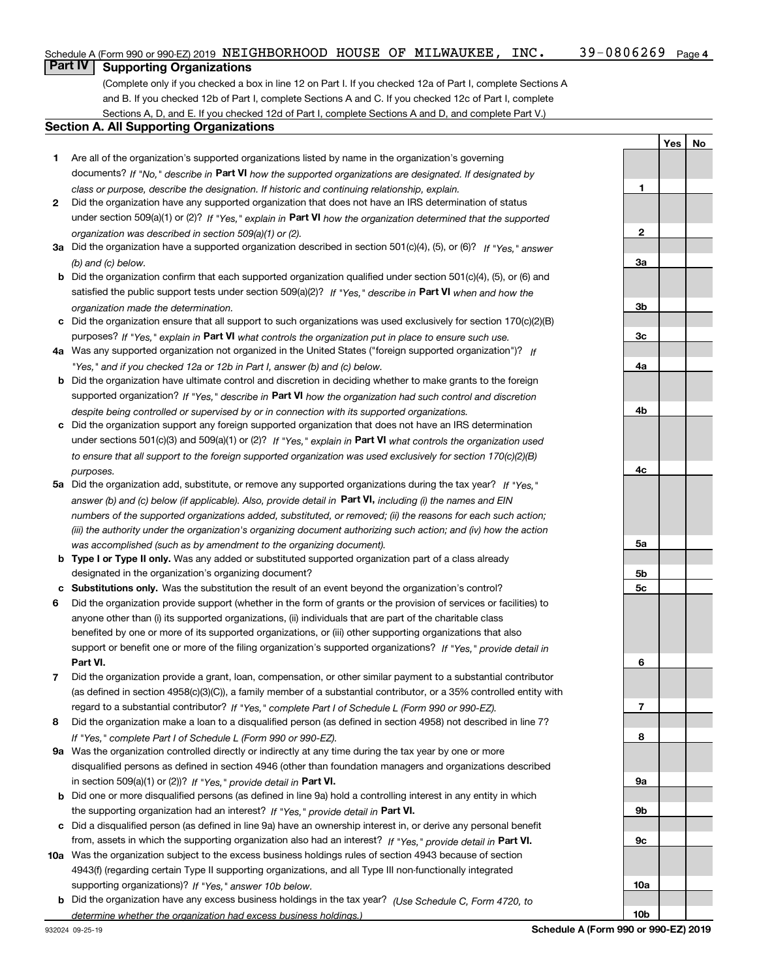#### 39-0806269 Page 4 Schedule A (Form 990 or 990-EZ) 2019 <code>NEIGHBORHOOD HOUSE OF MILWAUKEE</code> , <code>INC</code> .  $39\text{--}0806269$  <code>Page</code>

## **Part IV Supporting Organizations**

(Complete only if you checked a box in line 12 on Part I. If you checked 12a of Part I, complete Sections A and B. If you checked 12b of Part I, complete Sections A and C. If you checked 12c of Part I, complete Sections A, D, and E. If you checked 12d of Part I, complete Sections A and D, and complete Part V.)

### **Section A. All Supporting Organizations**

- **1** Are all of the organization's supported organizations listed by name in the organization's governing documents? If "No," describe in **Part VI** how the supported organizations are designated. If designated by *class or purpose, describe the designation. If historic and continuing relationship, explain.*
- **2** Did the organization have any supported organization that does not have an IRS determination of status under section 509(a)(1) or (2)? If "Yes," explain in Part VI how the organization determined that the supported *organization was described in section 509(a)(1) or (2).*
- **3a** Did the organization have a supported organization described in section 501(c)(4), (5), or (6)? If "Yes," answer *(b) and (c) below.*
- **b** Did the organization confirm that each supported organization qualified under section 501(c)(4), (5), or (6) and satisfied the public support tests under section 509(a)(2)? If "Yes," describe in **Part VI** when and how the *organization made the determination.*
- **c**Did the organization ensure that all support to such organizations was used exclusively for section 170(c)(2)(B) purposes? If "Yes," explain in **Part VI** what controls the organization put in place to ensure such use.
- **4a***If* Was any supported organization not organized in the United States ("foreign supported organization")? *"Yes," and if you checked 12a or 12b in Part I, answer (b) and (c) below.*
- **b** Did the organization have ultimate control and discretion in deciding whether to make grants to the foreign supported organization? If "Yes," describe in **Part VI** how the organization had such control and discretion *despite being controlled or supervised by or in connection with its supported organizations.*
- **c** Did the organization support any foreign supported organization that does not have an IRS determination under sections 501(c)(3) and 509(a)(1) or (2)? If "Yes," explain in **Part VI** what controls the organization used *to ensure that all support to the foreign supported organization was used exclusively for section 170(c)(2)(B) purposes.*
- **5a***If "Yes,"* Did the organization add, substitute, or remove any supported organizations during the tax year? answer (b) and (c) below (if applicable). Also, provide detail in **Part VI,** including (i) the names and EIN *numbers of the supported organizations added, substituted, or removed; (ii) the reasons for each such action; (iii) the authority under the organization's organizing document authorizing such action; and (iv) how the action was accomplished (such as by amendment to the organizing document).*
- **b** Type I or Type II only. Was any added or substituted supported organization part of a class already designated in the organization's organizing document?
- **cSubstitutions only.**  Was the substitution the result of an event beyond the organization's control?
- **6** Did the organization provide support (whether in the form of grants or the provision of services or facilities) to **Part VI.** *If "Yes," provide detail in* support or benefit one or more of the filing organization's supported organizations? anyone other than (i) its supported organizations, (ii) individuals that are part of the charitable class benefited by one or more of its supported organizations, or (iii) other supporting organizations that also
- **7**Did the organization provide a grant, loan, compensation, or other similar payment to a substantial contributor *If "Yes," complete Part I of Schedule L (Form 990 or 990-EZ).* regard to a substantial contributor? (as defined in section 4958(c)(3)(C)), a family member of a substantial contributor, or a 35% controlled entity with
- **8** Did the organization make a loan to a disqualified person (as defined in section 4958) not described in line 7? *If "Yes," complete Part I of Schedule L (Form 990 or 990-EZ).*
- **9a** Was the organization controlled directly or indirectly at any time during the tax year by one or more in section 509(a)(1) or (2))? If "Yes," *provide detail in* <code>Part VI.</code> disqualified persons as defined in section 4946 (other than foundation managers and organizations described
- **b** Did one or more disqualified persons (as defined in line 9a) hold a controlling interest in any entity in which the supporting organization had an interest? If "Yes," provide detail in P**art VI**.
- **c**Did a disqualified person (as defined in line 9a) have an ownership interest in, or derive any personal benefit from, assets in which the supporting organization also had an interest? If "Yes," provide detail in P**art VI.**
- **10a** Was the organization subject to the excess business holdings rules of section 4943 because of section supporting organizations)? If "Yes," answer 10b below. 4943(f) (regarding certain Type II supporting organizations, and all Type III non-functionally integrated
- **b** Did the organization have any excess business holdings in the tax year? (Use Schedule C, Form 4720, to *determine whether the organization had excess business holdings.)*

**123a3b3c4a4b4c5a5b5c6789a 9b9c10a**

**YesNo**

**10b**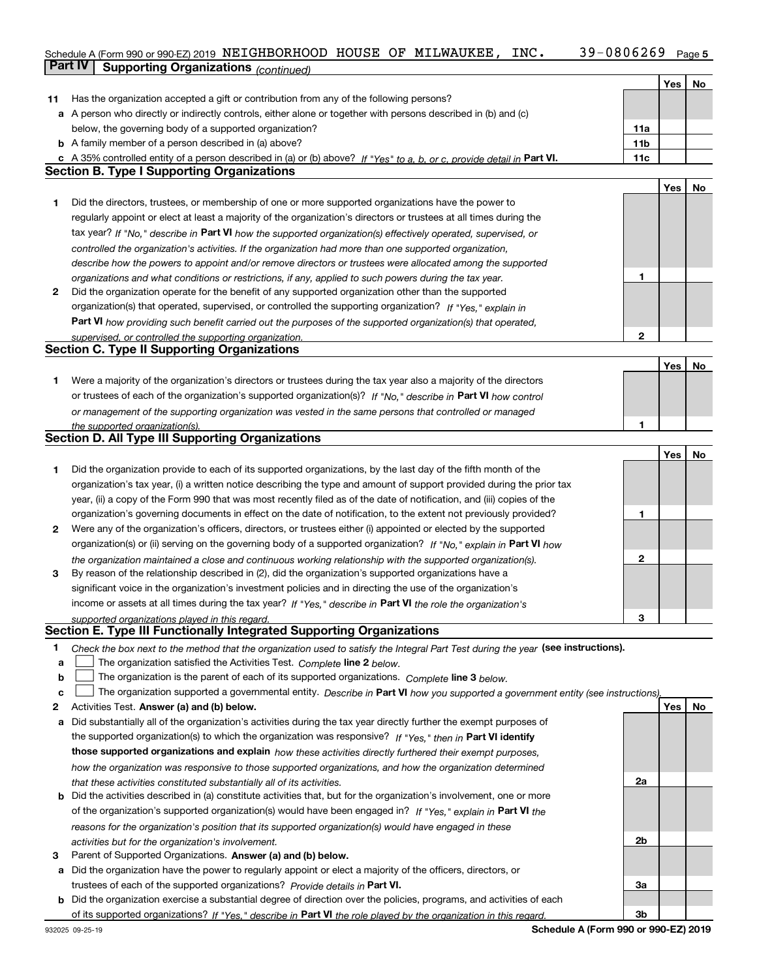#### **5** Schedule A (Form 990 or 990-EZ) 2019 <code>NEIGHBORHOOD HOUSE OF MILWAUKEE</code> , <code>INC</code> .  $39\text{--}0806269$  <code>Page</code> **Part IV | Supporting Organizations** *(continued)*

|    |                                                                                                                                   |                 | Yes | <b>No</b> |
|----|-----------------------------------------------------------------------------------------------------------------------------------|-----------------|-----|-----------|
| 11 | Has the organization accepted a gift or contribution from any of the following persons?                                           |                 |     |           |
|    | a A person who directly or indirectly controls, either alone or together with persons described in (b) and (c)                    |                 |     |           |
|    | below, the governing body of a supported organization?                                                                            | 11a             |     |           |
|    | <b>b</b> A family member of a person described in (a) above?                                                                      | 11 <sub>b</sub> |     |           |
|    | c A 35% controlled entity of a person described in (a) or (b) above? If "Yes" to a, b, or c, provide detail in Part VI.           | 11c             |     |           |
|    | <b>Section B. Type I Supporting Organizations</b>                                                                                 |                 |     |           |
|    |                                                                                                                                   |                 | Yes | No        |
| 1  | Did the directors, trustees, or membership of one or more supported organizations have the power to                               |                 |     |           |
|    | regularly appoint or elect at least a majority of the organization's directors or trustees at all times during the                |                 |     |           |
|    | tax year? If "No," describe in Part VI how the supported organization(s) effectively operated, supervised, or                     |                 |     |           |
|    | controlled the organization's activities. If the organization had more than one supported organization,                           |                 |     |           |
|    | describe how the powers to appoint and/or remove directors or trustees were allocated among the supported                         |                 |     |           |
|    | organizations and what conditions or restrictions, if any, applied to such powers during the tax year.                            | 1               |     |           |
| 2  | Did the organization operate for the benefit of any supported organization other than the supported                               |                 |     |           |
|    | organization(s) that operated, supervised, or controlled the supporting organization? If "Yes," explain in                        |                 |     |           |
|    |                                                                                                                                   |                 |     |           |
|    | Part VI how providing such benefit carried out the purposes of the supported organization(s) that operated,                       | $\mathbf{2}$    |     |           |
|    | supervised, or controlled the supporting organization.<br><b>Section C. Type II Supporting Organizations</b>                      |                 |     |           |
|    |                                                                                                                                   |                 |     |           |
|    |                                                                                                                                   |                 | Yes | No        |
| 1. | Were a majority of the organization's directors or trustees during the tax year also a majority of the directors                  |                 |     |           |
|    | or trustees of each of the organization's supported organization(s)? If "No," describe in Part VI how control                     |                 |     |           |
|    | or management of the supporting organization was vested in the same persons that controlled or managed                            |                 |     |           |
|    | the supported organization(s).<br>Section D. All Type III Supporting Organizations                                                | 1               |     |           |
|    |                                                                                                                                   |                 |     |           |
|    |                                                                                                                                   |                 | Yes | No        |
| 1  | Did the organization provide to each of its supported organizations, by the last day of the fifth month of the                    |                 |     |           |
|    | organization's tax year, (i) a written notice describing the type and amount of support provided during the prior tax             |                 |     |           |
|    | year, (ii) a copy of the Form 990 that was most recently filed as of the date of notification, and (iii) copies of the            |                 |     |           |
|    | organization's governing documents in effect on the date of notification, to the extent not previously provided?                  | 1               |     |           |
| 2  | Were any of the organization's officers, directors, or trustees either (i) appointed or elected by the supported                  |                 |     |           |
|    | organization(s) or (ii) serving on the governing body of a supported organization? If "No," explain in Part VI how                |                 |     |           |
|    | the organization maintained a close and continuous working relationship with the supported organization(s).                       | $\mathbf{2}$    |     |           |
| 3  | By reason of the relationship described in (2), did the organization's supported organizations have a                             |                 |     |           |
|    | significant voice in the organization's investment policies and in directing the use of the organization's                        |                 |     |           |
|    | income or assets at all times during the tax year? If "Yes," describe in Part VI the role the organization's                      |                 |     |           |
|    | supported organizations played in this regard.                                                                                    | 3               |     |           |
|    | Section E. Type III Functionally Integrated Supporting Organizations                                                              |                 |     |           |
| 1  | Check the box next to the method that the organization used to satisfy the Integral Part Test during the year (see instructions). |                 |     |           |
| a  | The organization satisfied the Activities Test. Complete line 2 below.                                                            |                 |     |           |
| b  | The organization is the parent of each of its supported organizations. Complete line 3 below.                                     |                 |     |           |
| c  | The organization supported a governmental entity. Describe in Part VI how you supported a government entity (see instructions),   |                 |     |           |
| 2  | Activities Test. Answer (a) and (b) below.                                                                                        |                 | Yes | No        |
| а  | Did substantially all of the organization's activities during the tax year directly further the exempt purposes of                |                 |     |           |
|    | the supported organization(s) to which the organization was responsive? If "Yes," then in Part VI identify                        |                 |     |           |
|    | those supported organizations and explain how these activities directly furthered their exempt purposes,                          |                 |     |           |
|    | how the organization was responsive to those supported organizations, and how the organization determined                         |                 |     |           |
|    | that these activities constituted substantially all of its activities.                                                            | 2a              |     |           |
|    | <b>b</b> Did the activities described in (a) constitute activities that, but for the organization's involvement, one or more      |                 |     |           |
|    | of the organization's supported organization(s) would have been engaged in? If "Yes," explain in Part VI the                      |                 |     |           |
|    | reasons for the organization's position that its supported organization(s) would have engaged in these                            |                 |     |           |
|    | activities but for the organization's involvement.                                                                                | 2b              |     |           |
| 3  | Parent of Supported Organizations. Answer (a) and (b) below.                                                                      |                 |     |           |
| а  | Did the organization have the power to regularly appoint or elect a majority of the officers, directors, or                       |                 |     |           |
|    | trustees of each of the supported organizations? Provide details in Part VI.                                                      | За              |     |           |
|    | <b>b</b> Did the organization exercise a substantial degree of direction over the policies, programs, and activities of each      |                 |     |           |
|    | of its supported organizations? If "Yes." describe in Part VI the role played by the organization in this regard.                 | 3b              |     |           |
|    |                                                                                                                                   |                 |     |           |

**Schedule A (Form 990 or 990-EZ) 2019**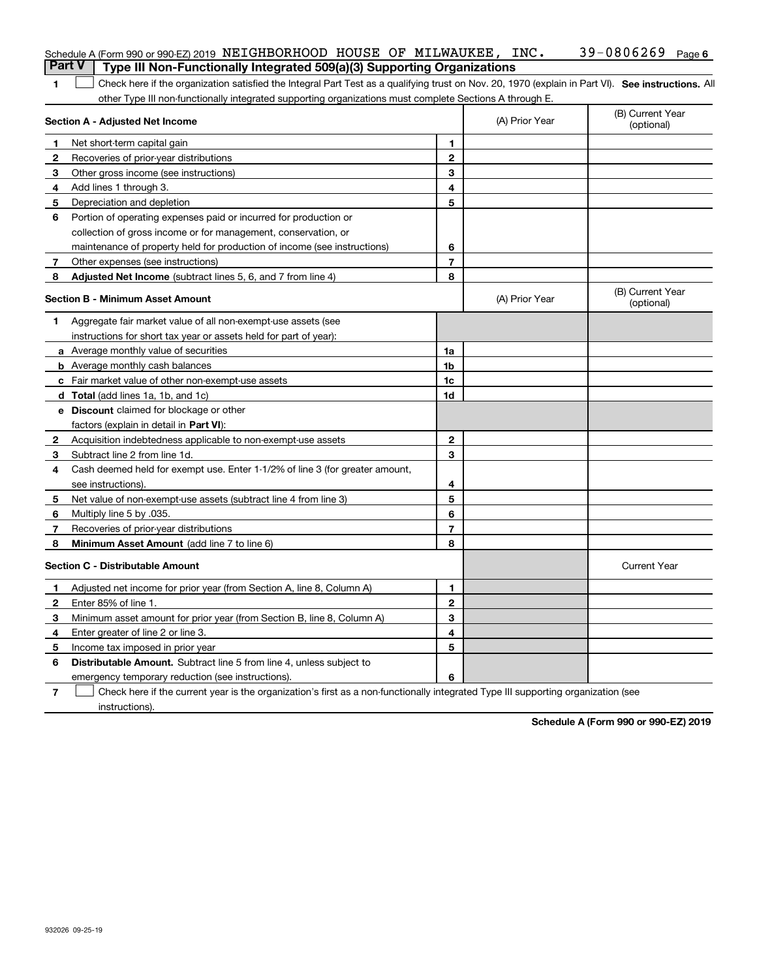| <b>Part V</b> | Schedule A (Form 990 or 990-EZ) 2019 NEIGHBORHOOD HOUSE OF MILWAUKEE, INC.<br>Type III Non-Functionally Integrated 509(a)(3) Supporting Organizations |                |                | 39-0806269 Page 6              |
|---------------|-------------------------------------------------------------------------------------------------------------------------------------------------------|----------------|----------------|--------------------------------|
| 1             | Check here if the organization satisfied the Integral Part Test as a qualifying trust on Nov. 20, 1970 (explain in Part VI). See instructions. All    |                |                |                                |
|               | other Type III non-functionally integrated supporting organizations must complete Sections A through E.                                               |                |                |                                |
|               | Section A - Adjusted Net Income                                                                                                                       |                | (A) Prior Year | (B) Current Year<br>(optional) |
|               | Net short-term capital gain                                                                                                                           | 1.             |                |                                |
| 2             | Recoveries of prior-year distributions                                                                                                                | $\mathbf{2}$   |                |                                |
| З             | Other gross income (see instructions)                                                                                                                 | 3              |                |                                |
| 4             | Add lines 1 through 3.                                                                                                                                | 4              |                |                                |
| 5             | Depreciation and depletion                                                                                                                            | 5              |                |                                |
| 6             | Portion of operating expenses paid or incurred for production or                                                                                      |                |                |                                |
|               | collection of gross income or for management, conservation, or                                                                                        |                |                |                                |
|               | maintenance of property held for production of income (see instructions)                                                                              | 6              |                |                                |
| 7             | Other expenses (see instructions)                                                                                                                     | $\overline{7}$ |                |                                |
| 8             | Adjusted Net Income (subtract lines 5, 6, and 7 from line 4)                                                                                          | 8              |                |                                |
|               | <b>Section B - Minimum Asset Amount</b>                                                                                                               |                | (A) Prior Year | (B) Current Year<br>(optional) |
| 1             | Aggregate fair market value of all non-exempt-use assets (see                                                                                         |                |                |                                |
|               | instructions for short tax year or assets held for part of year):                                                                                     |                |                |                                |
|               | a Average monthly value of securities                                                                                                                 | 1a             |                |                                |
|               | <b>b</b> Average monthly cash balances                                                                                                                | 1b             |                |                                |
|               | c Fair market value of other non-exempt-use assets                                                                                                    | 1c             |                |                                |
|               | d Total (add lines 1a, 1b, and 1c)                                                                                                                    | 1d             |                |                                |
|               | <b>e</b> Discount claimed for blockage or other                                                                                                       |                |                |                                |
|               | factors (explain in detail in Part VI):                                                                                                               |                |                |                                |
| 2             | Acquisition indebtedness applicable to non-exempt-use assets                                                                                          | $\mathbf{2}$   |                |                                |
| З             | Subtract line 2 from line 1d.                                                                                                                         | 3              |                |                                |
| 4             | Cash deemed held for exempt use. Enter 1-1/2% of line 3 (for greater amount,                                                                          |                |                |                                |
|               | see instructions).                                                                                                                                    | 4              |                |                                |
| 5             | Net value of non-exempt-use assets (subtract line 4 from line 3)                                                                                      | 5              |                |                                |
| 6             | Multiply line 5 by .035.                                                                                                                              | 6              |                |                                |
| 7             | Recoveries of prior-year distributions                                                                                                                | $\overline{7}$ |                |                                |
| 8             | Minimum Asset Amount (add line 7 to line 6)                                                                                                           | 8              |                |                                |
|               | <b>Section C - Distributable Amount</b>                                                                                                               |                |                | <b>Current Year</b>            |
|               | Adjusted net income for prior year (from Section A, line 8, Column A)                                                                                 | 1              |                |                                |
|               | Enter 85% of line 1.                                                                                                                                  | 2              |                |                                |
| 3             | Minimum asset amount for prior year (from Section B, line 8, Column A)                                                                                | 3              |                |                                |
| 4             | Enter greater of line 2 or line 3.                                                                                                                    | 4              |                |                                |
| 5             | Income tax imposed in prior year                                                                                                                      | 5              |                |                                |
| 6             | <b>Distributable Amount.</b> Subtract line 5 from line 4, unless subject to                                                                           |                |                |                                |
|               | emergency temporary reduction (see instructions).                                                                                                     | 6              |                |                                |
| 7             | Check here if the current year is the organization's first as a non-functionally integrated Type III supporting organization (see                     |                |                |                                |

instructions).

**Schedule A (Form 990 or 990-EZ) 2019**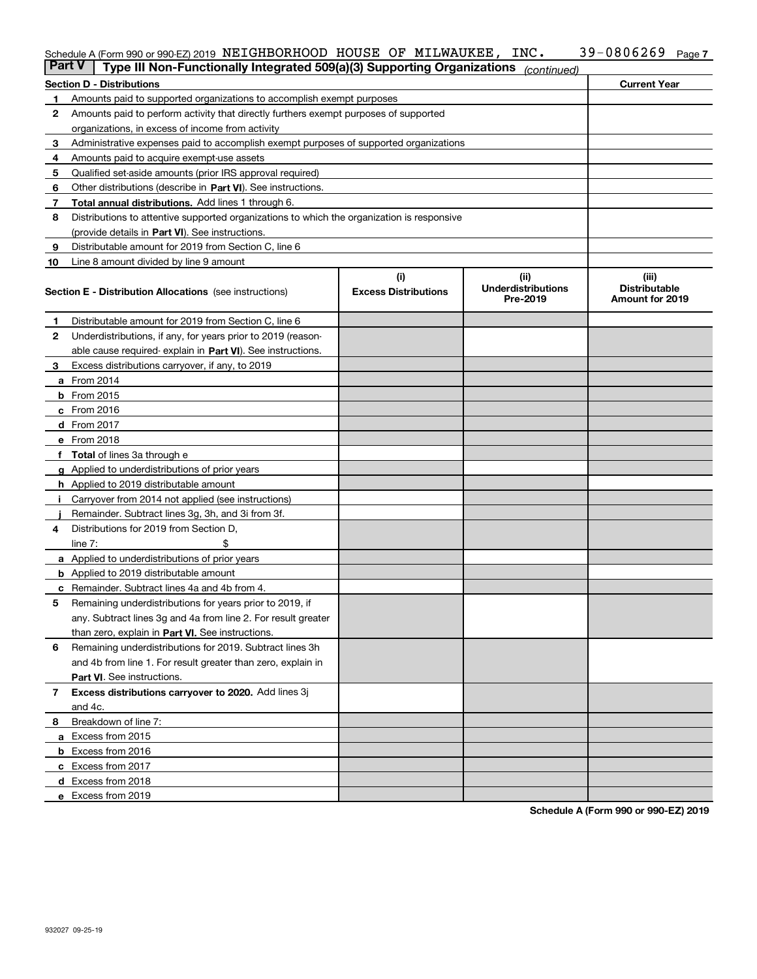### Schedule A (Form 990 or 990-EZ) 2019 **NEIGHBORHOOD HOUSE OF MILWAUKEE , INC 39–0806269 Page 7**

| <b>Part V</b> | Type III Non-Functionally Integrated 509(a)(3) Supporting Organizations                    |                             | (continued)                           |                                         |
|---------------|--------------------------------------------------------------------------------------------|-----------------------------|---------------------------------------|-----------------------------------------|
|               | <b>Section D - Distributions</b>                                                           |                             |                                       | <b>Current Year</b>                     |
| 1             | Amounts paid to supported organizations to accomplish exempt purposes                      |                             |                                       |                                         |
| 2             | Amounts paid to perform activity that directly furthers exempt purposes of supported       |                             |                                       |                                         |
|               | organizations, in excess of income from activity                                           |                             |                                       |                                         |
| 3             | Administrative expenses paid to accomplish exempt purposes of supported organizations      |                             |                                       |                                         |
| 4             | Amounts paid to acquire exempt-use assets                                                  |                             |                                       |                                         |
| 5             | Qualified set-aside amounts (prior IRS approval required)                                  |                             |                                       |                                         |
| 6             | Other distributions (describe in Part VI). See instructions.                               |                             |                                       |                                         |
| 7             | Total annual distributions. Add lines 1 through 6.                                         |                             |                                       |                                         |
| 8             | Distributions to attentive supported organizations to which the organization is responsive |                             |                                       |                                         |
|               | (provide details in Part VI). See instructions.                                            |                             |                                       |                                         |
| 9             | Distributable amount for 2019 from Section C, line 6                                       |                             |                                       |                                         |
| 10            | Line 8 amount divided by line 9 amount                                                     |                             |                                       |                                         |
|               |                                                                                            | (i)                         | (ii)                                  | (iii)                                   |
|               | <b>Section E - Distribution Allocations</b> (see instructions)                             | <b>Excess Distributions</b> | <b>Underdistributions</b><br>Pre-2019 | <b>Distributable</b><br>Amount for 2019 |
| 1             | Distributable amount for 2019 from Section C, line 6                                       |                             |                                       |                                         |
| 2             | Underdistributions, if any, for years prior to 2019 (reason-                               |                             |                                       |                                         |
|               | able cause required- explain in Part VI). See instructions.                                |                             |                                       |                                         |
| 3             | Excess distributions carryover, if any, to 2019                                            |                             |                                       |                                         |
|               | <b>a</b> From 2014                                                                         |                             |                                       |                                         |
|               | <b>b</b> From 2015                                                                         |                             |                                       |                                         |
|               | c From 2016                                                                                |                             |                                       |                                         |
|               | d From 2017                                                                                |                             |                                       |                                         |
|               | e From 2018                                                                                |                             |                                       |                                         |
|               | f Total of lines 3a through e                                                              |                             |                                       |                                         |
|               | <b>g</b> Applied to underdistributions of prior years                                      |                             |                                       |                                         |
|               | <b>h</b> Applied to 2019 distributable amount                                              |                             |                                       |                                         |
|               | Carryover from 2014 not applied (see instructions)                                         |                             |                                       |                                         |
|               | Remainder. Subtract lines 3g, 3h, and 3i from 3f.                                          |                             |                                       |                                         |
| 4             | Distributions for 2019 from Section D,                                                     |                             |                                       |                                         |
|               | line $7:$                                                                                  |                             |                                       |                                         |
|               | <b>a</b> Applied to underdistributions of prior years                                      |                             |                                       |                                         |
|               | <b>b</b> Applied to 2019 distributable amount                                              |                             |                                       |                                         |
|               | c Remainder. Subtract lines 4a and 4b from 4.                                              |                             |                                       |                                         |
| 5             | Remaining underdistributions for years prior to 2019, if                                   |                             |                                       |                                         |
|               | any. Subtract lines 3g and 4a from line 2. For result greater                              |                             |                                       |                                         |
|               | than zero, explain in Part VI. See instructions.                                           |                             |                                       |                                         |
| 6             | Remaining underdistributions for 2019. Subtract lines 3h                                   |                             |                                       |                                         |
|               | and 4b from line 1. For result greater than zero, explain in                               |                             |                                       |                                         |
|               | Part VI. See instructions.                                                                 |                             |                                       |                                         |
| 7             | Excess distributions carryover to 2020. Add lines 3j                                       |                             |                                       |                                         |
|               | and 4c.                                                                                    |                             |                                       |                                         |
| 8.            | Breakdown of line 7:                                                                       |                             |                                       |                                         |
|               | a Excess from 2015                                                                         |                             |                                       |                                         |
|               | <b>b</b> Excess from 2016                                                                  |                             |                                       |                                         |
|               |                                                                                            |                             |                                       |                                         |
|               | c Excess from 2017                                                                         |                             |                                       |                                         |
|               | d Excess from 2018                                                                         |                             |                                       |                                         |
|               | e Excess from 2019                                                                         |                             |                                       |                                         |

**Schedule A (Form 990 or 990-EZ) 2019**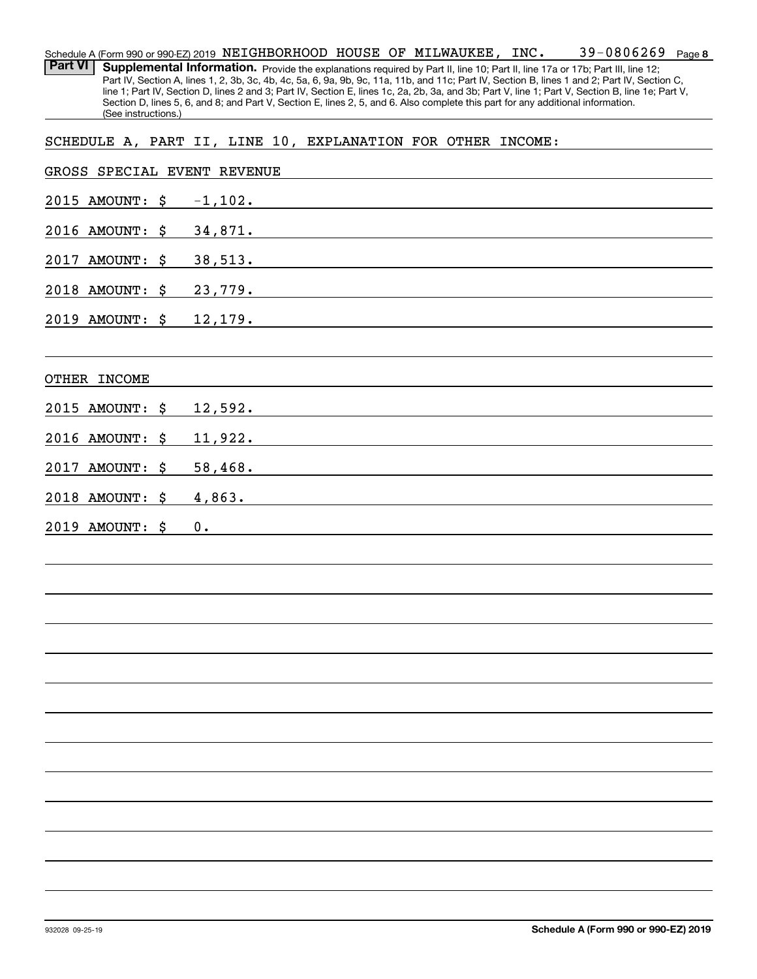|                              | 39-0806269<br>Schedule A (Form 990 or 990-EZ) 2019 NEIGHBORHOOD HOUSE OF MILWAUKEE, INC.<br>Page 8                                                                                                                                                                                               |
|------------------------------|--------------------------------------------------------------------------------------------------------------------------------------------------------------------------------------------------------------------------------------------------------------------------------------------------|
| <b>Part VI</b>               | Supplemental Information. Provide the explanations required by Part II, line 10; Part II, line 17a or 17b; Part III, line 12;                                                                                                                                                                    |
|                              | Part IV, Section A, lines 1, 2, 3b, 3c, 4b, 4c, 5a, 6, 9a, 9b, 9c, 11a, 11b, and 11c; Part IV, Section B, lines 1 and 2; Part IV, Section C,<br>line 1; Part IV, Section D, lines 2 and 3; Part IV, Section E, lines 1c, 2a, 2b, 3a, and 3b; Part V, line 1; Part V, Section B, line 1e; Part V, |
|                              | Section D, lines 5, 6, and 8; and Part V, Section E, lines 2, 5, and 6. Also complete this part for any additional information.                                                                                                                                                                  |
| (See instructions.)          |                                                                                                                                                                                                                                                                                                  |
|                              | SCHEDULE A, PART II, LINE 10, EXPLANATION FOR OTHER INCOME:                                                                                                                                                                                                                                      |
|                              |                                                                                                                                                                                                                                                                                                  |
| GROSS SPECIAL EVENT REVENUE  |                                                                                                                                                                                                                                                                                                  |
| 2015<br><b>AMOUNT:</b><br>\$ | $-1,102.$                                                                                                                                                                                                                                                                                        |
| 2016 AMOUNT:<br>\$           | 34,871.                                                                                                                                                                                                                                                                                          |
| 2017<br><b>AMOUNT:</b><br>\$ | 38,513.                                                                                                                                                                                                                                                                                          |
| 2018 AMOUNT:<br>\$           | 23,779.                                                                                                                                                                                                                                                                                          |
| 2019 AMOUNT: \$              | 12,179.                                                                                                                                                                                                                                                                                          |
|                              |                                                                                                                                                                                                                                                                                                  |
| OTHER INCOME                 |                                                                                                                                                                                                                                                                                                  |
|                              |                                                                                                                                                                                                                                                                                                  |
| 2015<br><b>AMOUNT:</b><br>S. | 12,592.                                                                                                                                                                                                                                                                                          |
| 2016 AMOUNT:<br>\$           | 11,922.                                                                                                                                                                                                                                                                                          |
| 2017<br><b>AMOUNT:</b><br>S. | 58,468.                                                                                                                                                                                                                                                                                          |
| 2018 AMOUNT:<br>S.           | 4,863.                                                                                                                                                                                                                                                                                           |
| 2019 AMOUNT:<br>-\$          | 0.                                                                                                                                                                                                                                                                                               |
|                              |                                                                                                                                                                                                                                                                                                  |
|                              |                                                                                                                                                                                                                                                                                                  |
|                              |                                                                                                                                                                                                                                                                                                  |
|                              |                                                                                                                                                                                                                                                                                                  |
|                              |                                                                                                                                                                                                                                                                                                  |
|                              |                                                                                                                                                                                                                                                                                                  |
|                              |                                                                                                                                                                                                                                                                                                  |
|                              |                                                                                                                                                                                                                                                                                                  |
|                              |                                                                                                                                                                                                                                                                                                  |
|                              |                                                                                                                                                                                                                                                                                                  |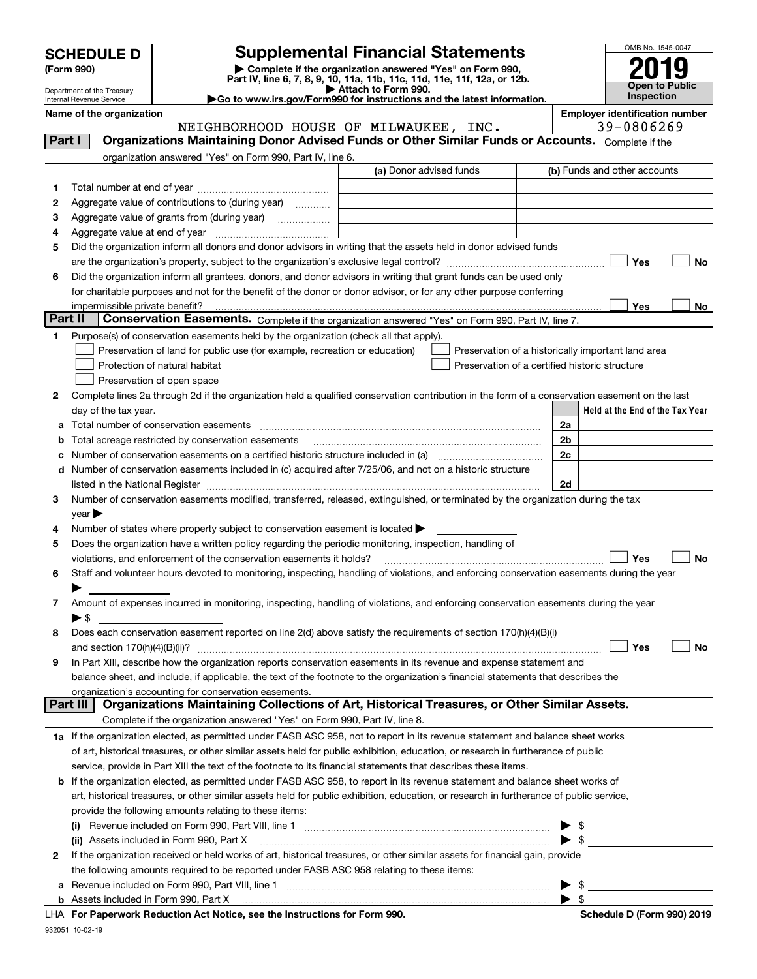| <b>SCHEDULE D</b> |
|-------------------|
|-------------------|

# **SCHEDULE D Supplemental Financial Statements**

(Form 990)<br>
Pepartment of the Treasury<br>
Department of the Treasury<br>
Department of the Treasury<br>
Department of the Treasury<br> **Co to www.irs.gov/Form990 for instructions and the latest information.**<br> **Co to www.irs.gov/Form9** 



Department of the Treasury Internal Revenue Service

| Name of the organization |              |              |     |            |      | <b>Employer identification number</b> |
|--------------------------|--------------|--------------|-----|------------|------|---------------------------------------|
|                          | NETGHBORHOOD | <b>HOUSE</b> | OF. | MTIWAUKEE. | TNC. | 0806269<br>$39 - 0800 \ldots$         |

| Part I          | Notonbonnood hoodd of midwhondd,<br>Organizations Maintaining Donor Advised Funds or Other Similar Funds or Accounts. Complete if the                                                                                         |                                                    |  |  |  |  |  |  |
|-----------------|-------------------------------------------------------------------------------------------------------------------------------------------------------------------------------------------------------------------------------|----------------------------------------------------|--|--|--|--|--|--|
|                 | organization answered "Yes" on Form 990, Part IV, line 6.                                                                                                                                                                     |                                                    |  |  |  |  |  |  |
|                 | (a) Donor advised funds                                                                                                                                                                                                       | (b) Funds and other accounts                       |  |  |  |  |  |  |
| 1.              |                                                                                                                                                                                                                               |                                                    |  |  |  |  |  |  |
| 2               | Aggregate value of contributions to (during year)                                                                                                                                                                             |                                                    |  |  |  |  |  |  |
| з               | Aggregate value of grants from (during year)                                                                                                                                                                                  |                                                    |  |  |  |  |  |  |
| 4               |                                                                                                                                                                                                                               |                                                    |  |  |  |  |  |  |
| 5               | Did the organization inform all donors and donor advisors in writing that the assets held in donor advised funds                                                                                                              |                                                    |  |  |  |  |  |  |
|                 | are the organization's property, subject to the organization's exclusive legal control?                                                                                                                                       | Yes<br>No                                          |  |  |  |  |  |  |
| 6               | Did the organization inform all grantees, donors, and donor advisors in writing that grant funds can be used only                                                                                                             |                                                    |  |  |  |  |  |  |
|                 | for charitable purposes and not for the benefit of the donor or donor advisor, or for any other purpose conferring                                                                                                            |                                                    |  |  |  |  |  |  |
|                 | impermissible private benefit?                                                                                                                                                                                                | Yes<br>No                                          |  |  |  |  |  |  |
| Part II         | Conservation Easements. Complete if the organization answered "Yes" on Form 990, Part IV, line 7.                                                                                                                             |                                                    |  |  |  |  |  |  |
| 1.              | Purpose(s) of conservation easements held by the organization (check all that apply).                                                                                                                                         |                                                    |  |  |  |  |  |  |
|                 | Preservation of land for public use (for example, recreation or education)                                                                                                                                                    | Preservation of a historically important land area |  |  |  |  |  |  |
|                 | Protection of natural habitat                                                                                                                                                                                                 | Preservation of a certified historic structure     |  |  |  |  |  |  |
|                 | Preservation of open space                                                                                                                                                                                                    |                                                    |  |  |  |  |  |  |
| 2               | Complete lines 2a through 2d if the organization held a qualified conservation contribution in the form of a conservation easement on the last                                                                                |                                                    |  |  |  |  |  |  |
|                 | day of the tax year.                                                                                                                                                                                                          | Held at the End of the Tax Year                    |  |  |  |  |  |  |
| a               | Total number of conservation easements                                                                                                                                                                                        | 2a                                                 |  |  |  |  |  |  |
| b               | Total acreage restricted by conservation easements                                                                                                                                                                            | 2b                                                 |  |  |  |  |  |  |
| с               |                                                                                                                                                                                                                               | 2c                                                 |  |  |  |  |  |  |
| d               | Number of conservation easements included in (c) acquired after 7/25/06, and not on a historic structure                                                                                                                      |                                                    |  |  |  |  |  |  |
|                 | listed in the National Register [11, 1200] [12] The National Register [11, 1200] [12] The National Register [11, 1200] [12] The National Register [11, 1200] [12] The National Register [11, 1200] [12] The National Register | 2d                                                 |  |  |  |  |  |  |
| 3.              | Number of conservation easements modified, transferred, released, extinguished, or terminated by the organization during the tax                                                                                              |                                                    |  |  |  |  |  |  |
|                 | $year \blacktriangleright$                                                                                                                                                                                                    |                                                    |  |  |  |  |  |  |
| 4               | Number of states where property subject to conservation easement is located                                                                                                                                                   |                                                    |  |  |  |  |  |  |
| 5               | Does the organization have a written policy regarding the periodic monitoring, inspection, handling of                                                                                                                        |                                                    |  |  |  |  |  |  |
|                 | violations, and enforcement of the conservation easements it holds?                                                                                                                                                           | Yes<br><b>No</b>                                   |  |  |  |  |  |  |
| 6               | Staff and volunteer hours devoted to monitoring, inspecting, handling of violations, and enforcing conservation easements during the year                                                                                     |                                                    |  |  |  |  |  |  |
|                 |                                                                                                                                                                                                                               |                                                    |  |  |  |  |  |  |
| 7               | Amount of expenses incurred in monitoring, inspecting, handling of violations, and enforcing conservation easements during the year                                                                                           |                                                    |  |  |  |  |  |  |
|                 | $\blacktriangleright$ \$                                                                                                                                                                                                      |                                                    |  |  |  |  |  |  |
| 8               | Does each conservation easement reported on line 2(d) above satisfy the requirements of section 170(h)(4)(B)(i)                                                                                                               |                                                    |  |  |  |  |  |  |
|                 | and section $170(h)(4)(B)(ii)?$                                                                                                                                                                                               | Yes<br><b>No</b>                                   |  |  |  |  |  |  |
| 9               | In Part XIII, describe how the organization reports conservation easements in its revenue and expense statement and                                                                                                           |                                                    |  |  |  |  |  |  |
|                 | balance sheet, and include, if applicable, the text of the footnote to the organization's financial statements that describes the                                                                                             |                                                    |  |  |  |  |  |  |
|                 | organization's accounting for conservation easements.                                                                                                                                                                         |                                                    |  |  |  |  |  |  |
| <b>Part III</b> | Organizations Maintaining Collections of Art, Historical Treasures, or Other Similar Assets.                                                                                                                                  |                                                    |  |  |  |  |  |  |
|                 | Complete if the organization answered "Yes" on Form 990, Part IV, line 8.                                                                                                                                                     |                                                    |  |  |  |  |  |  |
|                 | 1a If the organization elected, as permitted under FASB ASC 958, not to report in its revenue statement and balance sheet works                                                                                               |                                                    |  |  |  |  |  |  |
|                 | of art, historical treasures, or other similar assets held for public exhibition, education, or research in furtherance of public                                                                                             |                                                    |  |  |  |  |  |  |
|                 | service, provide in Part XIII the text of the footnote to its financial statements that describes these items.                                                                                                                |                                                    |  |  |  |  |  |  |
|                 | <b>b</b> If the organization elected, as permitted under FASB ASC 958, to report in its revenue statement and balance sheet works of                                                                                          |                                                    |  |  |  |  |  |  |
|                 | art, historical treasures, or other similar assets held for public exhibition, education, or research in furtherance of public service,                                                                                       |                                                    |  |  |  |  |  |  |
|                 | provide the following amounts relating to these items:                                                                                                                                                                        |                                                    |  |  |  |  |  |  |
|                 |                                                                                                                                                                                                                               | $\blacktriangleright$ \$                           |  |  |  |  |  |  |
|                 | (ii) Assets included in Form 990, Part X                                                                                                                                                                                      | $\triangleright$ \$                                |  |  |  |  |  |  |
| $\mathbf{2}$    | If the organization received or held works of art, historical treasures, or other similar assets for financial gain, provide                                                                                                  |                                                    |  |  |  |  |  |  |
|                 | the following amounts required to be reported under FASB ASC 958 relating to these items:                                                                                                                                     |                                                    |  |  |  |  |  |  |
| а               |                                                                                                                                                                                                                               | $\triangleright$ \$                                |  |  |  |  |  |  |
|                 |                                                                                                                                                                                                                               | $\blacktriangleright$ \$                           |  |  |  |  |  |  |

**For Paperwork Reduction Act Notice, see the Instructions for Form 990. Schedule D (Form 990) 2019** LHA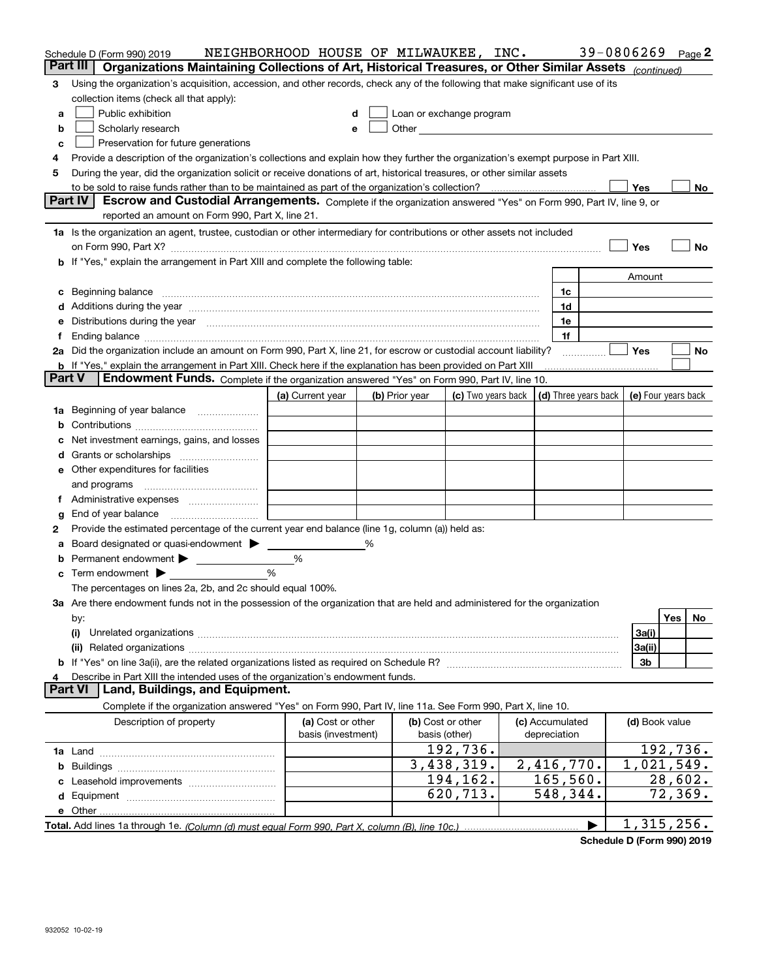|               | Schedule D (Form 990) 2019                                                                                                                                                                                                           | NEIGHBORHOOD HOUSE OF MILWAUKEE, INC.   |   |                                    |                                                         |  |                                 | 39-0806269 |                     |            | Page 2 |
|---------------|--------------------------------------------------------------------------------------------------------------------------------------------------------------------------------------------------------------------------------------|-----------------------------------------|---|------------------------------------|---------------------------------------------------------|--|---------------------------------|------------|---------------------|------------|--------|
| Part III      | Organizations Maintaining Collections of Art, Historical Treasures, or Other Similar Assets (continued)                                                                                                                              |                                         |   |                                    |                                                         |  |                                 |            |                     |            |        |
| 3             | Using the organization's acquisition, accession, and other records, check any of the following that make significant use of its                                                                                                      |                                         |   |                                    |                                                         |  |                                 |            |                     |            |        |
|               | collection items (check all that apply):                                                                                                                                                                                             |                                         |   |                                    |                                                         |  |                                 |            |                     |            |        |
| a             | Public exhibition                                                                                                                                                                                                                    | d                                       |   |                                    | Loan or exchange program                                |  |                                 |            |                     |            |        |
| b             | Scholarly research                                                                                                                                                                                                                   | е                                       |   |                                    |                                                         |  |                                 |            |                     |            |        |
| c             | Preservation for future generations                                                                                                                                                                                                  |                                         |   |                                    |                                                         |  |                                 |            |                     |            |        |
| 4             | Provide a description of the organization's collections and explain how they further the organization's exempt purpose in Part XIII.                                                                                                 |                                         |   |                                    |                                                         |  |                                 |            |                     |            |        |
| 5             | During the year, did the organization solicit or receive donations of art, historical treasures, or other similar assets                                                                                                             |                                         |   |                                    |                                                         |  |                                 |            |                     |            |        |
|               |                                                                                                                                                                                                                                      |                                         |   |                                    |                                                         |  |                                 |            | Yes                 |            | No     |
|               | Part IV<br>Escrow and Custodial Arrangements. Complete if the organization answered "Yes" on Form 990, Part IV, line 9, or                                                                                                           |                                         |   |                                    |                                                         |  |                                 |            |                     |            |        |
|               | reported an amount on Form 990, Part X, line 21.                                                                                                                                                                                     |                                         |   |                                    |                                                         |  |                                 |            |                     |            |        |
|               | 1a Is the organization an agent, trustee, custodian or other intermediary for contributions or other assets not included                                                                                                             |                                         |   |                                    |                                                         |  |                                 |            |                     |            |        |
|               | on Form 990, Part X? [11] matter contracts and contracts and contracts are contracted as a function of the set of the set of the set of the set of the set of the set of the set of the set of the set of the set of the set o       |                                         |   |                                    |                                                         |  |                                 |            | Yes                 |            | No     |
|               | b If "Yes," explain the arrangement in Part XIII and complete the following table:                                                                                                                                                   |                                         |   |                                    |                                                         |  |                                 |            |                     |            |        |
|               |                                                                                                                                                                                                                                      |                                         |   |                                    |                                                         |  |                                 |            | Amount              |            |        |
| c             | Beginning balance <b>contract to the contract of the contract of the contract of the contract of the contract of the contract of the contract of the contract of the contract of the contract of the contract of the contract of</b> |                                         |   |                                    |                                                         |  | 1c                              |            |                     |            |        |
|               | Additions during the year manufactured and an annual contract of the year manufactured and all the year manufactured and all the year manufactured and all the year manufactured and all the year manufactured and all the yea       |                                         |   |                                    |                                                         |  | 1d                              |            |                     |            |        |
|               | Distributions during the year measurements are all the state of the state of the state of the state of the state of the state of the state of the state of the state of the state of the state of the state of the state of th       |                                         |   |                                    |                                                         |  | 1e                              |            |                     |            |        |
|               |                                                                                                                                                                                                                                      |                                         |   |                                    |                                                         |  | 1f                              |            |                     |            |        |
| 2a            | Did the organization include an amount on Form 990, Part X, line 21, for escrow or custodial account liability?                                                                                                                      |                                         |   |                                    |                                                         |  |                                 |            | Yes                 |            | No     |
|               | b If "Yes," explain the arrangement in Part XIII. Check here if the explanation has been provided on Part XIII                                                                                                                       |                                         |   |                                    |                                                         |  |                                 |            |                     |            |        |
| <b>Part V</b> | <b>Endowment Funds.</b> Complete if the organization answered "Yes" on Form 990, Part IV, line 10.                                                                                                                                   |                                         |   |                                    |                                                         |  |                                 |            |                     |            |        |
|               |                                                                                                                                                                                                                                      | (a) Current year                        |   | (b) Prior year                     | (c) Two years back $\vert$ (d) Three years back $\vert$ |  |                                 |            | (e) Four years back |            |        |
| 1a            | Beginning of year balance                                                                                                                                                                                                            |                                         |   |                                    |                                                         |  |                                 |            |                     |            |        |
| b             |                                                                                                                                                                                                                                      |                                         |   |                                    |                                                         |  |                                 |            |                     |            |        |
|               | Net investment earnings, gains, and losses                                                                                                                                                                                           |                                         |   |                                    |                                                         |  |                                 |            |                     |            |        |
| d             |                                                                                                                                                                                                                                      |                                         |   |                                    |                                                         |  |                                 |            |                     |            |        |
|               | e Other expenditures for facilities                                                                                                                                                                                                  |                                         |   |                                    |                                                         |  |                                 |            |                     |            |        |
|               | and programs                                                                                                                                                                                                                         |                                         |   |                                    |                                                         |  |                                 |            |                     |            |        |
|               |                                                                                                                                                                                                                                      |                                         |   |                                    |                                                         |  |                                 |            |                     |            |        |
| g             | End of year balance                                                                                                                                                                                                                  |                                         |   |                                    |                                                         |  |                                 |            |                     |            |        |
| 2             | Provide the estimated percentage of the current year end balance (line 1g, column (a)) held as:                                                                                                                                      |                                         |   |                                    |                                                         |  |                                 |            |                     |            |        |
| а             | Board designated or quasi-endowment                                                                                                                                                                                                  |                                         | % |                                    |                                                         |  |                                 |            |                     |            |        |
| b             | Permanent endowment                                                                                                                                                                                                                  | $\%$                                    |   |                                    |                                                         |  |                                 |            |                     |            |        |
|               | <b>c</b> Term endowment $\blacktriangleright$                                                                                                                                                                                        | %                                       |   |                                    |                                                         |  |                                 |            |                     |            |        |
|               | The percentages on lines 2a, 2b, and 2c should equal 100%.                                                                                                                                                                           |                                         |   |                                    |                                                         |  |                                 |            |                     |            |        |
|               | 3a Are there endowment funds not in the possession of the organization that are held and administered for the organization                                                                                                           |                                         |   |                                    |                                                         |  |                                 |            |                     |            |        |
|               | by:                                                                                                                                                                                                                                  |                                         |   |                                    |                                                         |  |                                 |            |                     | <b>Yes</b> | No     |
|               | (i)                                                                                                                                                                                                                                  |                                         |   |                                    |                                                         |  |                                 |            | 3a(i)               |            |        |
|               |                                                                                                                                                                                                                                      |                                         |   |                                    |                                                         |  |                                 |            | 3a(ii)              |            |        |
|               |                                                                                                                                                                                                                                      |                                         |   |                                    |                                                         |  |                                 |            | 3 <sub>b</sub>      |            |        |
|               | Describe in Part XIII the intended uses of the organization's endowment funds.<br><b>Part VI</b><br>Land, Buildings, and Equipment.                                                                                                  |                                         |   |                                    |                                                         |  |                                 |            |                     |            |        |
|               |                                                                                                                                                                                                                                      |                                         |   |                                    |                                                         |  |                                 |            |                     |            |        |
|               | Complete if the organization answered "Yes" on Form 990, Part IV, line 11a. See Form 990, Part X, line 10.                                                                                                                           |                                         |   |                                    |                                                         |  |                                 |            |                     |            |        |
|               | Description of property                                                                                                                                                                                                              | (a) Cost or other<br>basis (investment) |   | (b) Cost or other<br>basis (other) |                                                         |  | (c) Accumulated<br>depreciation |            | (d) Book value      |            |        |
|               |                                                                                                                                                                                                                                      |                                         |   |                                    | 192,736.                                                |  |                                 |            | 192, 736.           |            |        |
|               |                                                                                                                                                                                                                                      |                                         |   |                                    | 3,438,319.                                              |  | 2,416,770.                      |            | 1,021,549.          |            |        |
|               |                                                                                                                                                                                                                                      |                                         |   |                                    | 194, 162.                                               |  | 165, 560.                       |            |                     | 28,602.    |        |
|               |                                                                                                                                                                                                                                      |                                         |   |                                    | 620,713.                                                |  | 548,344.                        |            |                     | 72, 369.   |        |
|               |                                                                                                                                                                                                                                      |                                         |   |                                    |                                                         |  |                                 |            |                     |            |        |
|               |                                                                                                                                                                                                                                      |                                         |   |                                    |                                                         |  |                                 |            | 1,315,256.          |            |        |
|               |                                                                                                                                                                                                                                      |                                         |   |                                    |                                                         |  |                                 |            |                     |            |        |

**Schedule D (Form 990) 2019**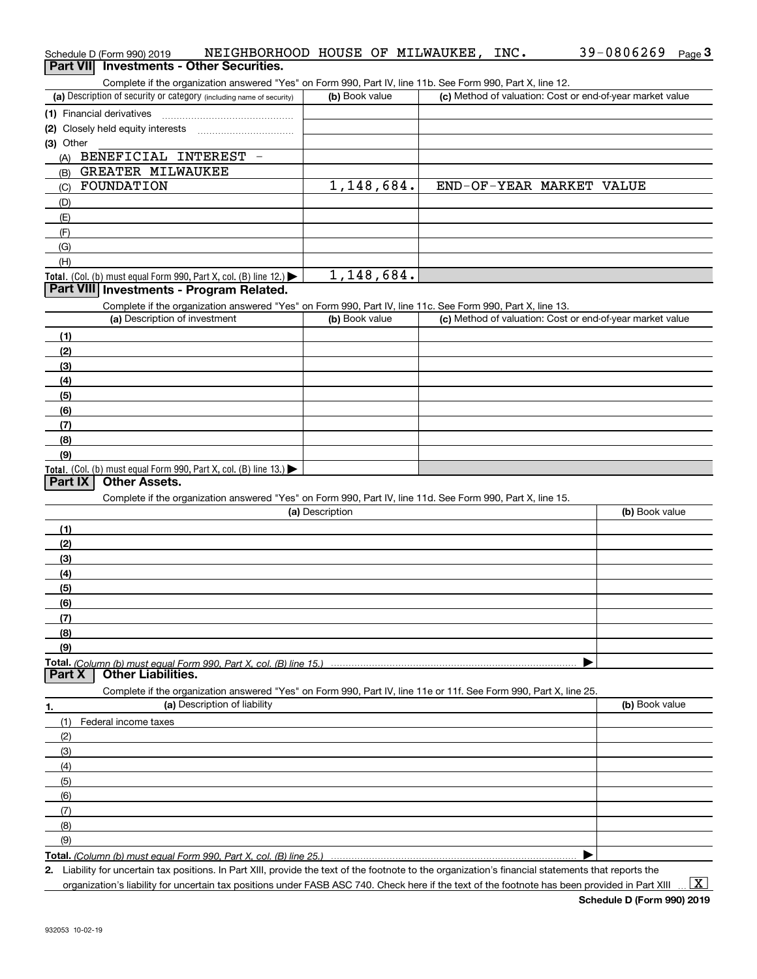| Schedule D (Form 990) 2019                                                                                 | NEIGHBORHOOD HOUSE OF MILWAUKEE, INC. |                                                           | 39-0806269 | Page $3$ |
|------------------------------------------------------------------------------------------------------------|---------------------------------------|-----------------------------------------------------------|------------|----------|
| <b>Investments - Other Securities.</b><br><b>Part VIII</b>                                                 |                                       |                                                           |            |          |
| Complete if the organization answered "Yes" on Form 990, Part IV, line 11b. See Form 990, Part X, line 12. |                                       |                                                           |            |          |
| (a) Description of security or category (including name of security)                                       | (b) Book value                        | (c) Method of valuation: Cost or end-of-year market value |            |          |
| (1) Financial derivatives                                                                                  |                                       |                                                           |            |          |
|                                                                                                            |                                       |                                                           |            |          |
| (3) Other                                                                                                  |                                       |                                                           |            |          |
| <b>BENEFICIAL</b><br>INTEREST<br>(A)                                                                       |                                       |                                                           |            |          |
| GREATER MILWAUKEE<br>(B)                                                                                   |                                       |                                                           |            |          |
| FOUNDATION<br>(C)                                                                                          | 1,148,684.                            | END-OF-YEAR MARKET                                        | VALUE      |          |
| (D)                                                                                                        |                                       |                                                           |            |          |
| (E)                                                                                                        |                                       |                                                           |            |          |
| (F)                                                                                                        |                                       |                                                           |            |          |
| (G)                                                                                                        |                                       |                                                           |            |          |
| (H)                                                                                                        |                                       |                                                           |            |          |
| <b>Total.</b> (Col. (b) must equal Form 990, Part X, col. (B) line 12.) $\blacktriangleright$              | 1,148,684.                            |                                                           |            |          |
| Part VIII Investments - Program Related.                                                                   |                                       |                                                           |            |          |
| Complete if the organization answered "Yes" on Form 990, Part IV, line 11c. See Form 990, Part X, line 13. |                                       |                                                           |            |          |
| (a) Description of investment                                                                              | (b) Book value                        | (c) Method of valuation: Cost or end-of-year market value |            |          |
| (1)                                                                                                        |                                       |                                                           |            |          |
| (2)                                                                                                        |                                       |                                                           |            |          |
| (3)                                                                                                        |                                       |                                                           |            |          |
| (4)                                                                                                        |                                       |                                                           |            |          |
| (5)                                                                                                        |                                       |                                                           |            |          |
| (6)                                                                                                        |                                       |                                                           |            |          |
| (7)                                                                                                        |                                       |                                                           |            |          |
| (8)                                                                                                        |                                       |                                                           |            |          |
| (9)                                                                                                        |                                       |                                                           |            |          |

## **Total.** (Col. (b) must equal Form 990, Part X, col. (B) line 13.)  $\blacktriangleright$

## **Part IX Other Assets.**

Complete if the organization answered "Yes" on Form 990, Part IV, line 11d. See Form 990, Part X, line 15.

| (a) Description                                                                                                   | (b) Book value |
|-------------------------------------------------------------------------------------------------------------------|----------------|
| (1)                                                                                                               |                |
| (2)                                                                                                               |                |
| (3)                                                                                                               |                |
| (4)                                                                                                               |                |
| (5)                                                                                                               |                |
| (6)                                                                                                               |                |
| (7)                                                                                                               |                |
| (8)                                                                                                               |                |
| (9)                                                                                                               |                |
|                                                                                                                   |                |
| <b>Other Liabilities.</b><br>Part X                                                                               |                |
| Complete if the organization answered "Yes" on Form 990, Part IV, line 11e or 11f. See Form 990, Part X, line 25. |                |
| (a) Description of liability<br>1.                                                                                | (b) Book value |
| Federal income taxes<br>(1)                                                                                       |                |
| (2)                                                                                                               |                |
| (3)                                                                                                               |                |
| (4)                                                                                                               |                |
| (5)                                                                                                               |                |

**Total.**  *(Column (b) must equal Form 990, Part X, col. (B) line 25.)* 

**2.**Liability for uncertain tax positions. In Part XIII, provide the text of the footnote to the organization's financial statements that reports the organization's liability for uncertain tax positions under FASB ASC 740. Check here if the text of the footnote has been provided in Part XIII

 $\blacktriangleright$ 

(6)(7)(8)(9)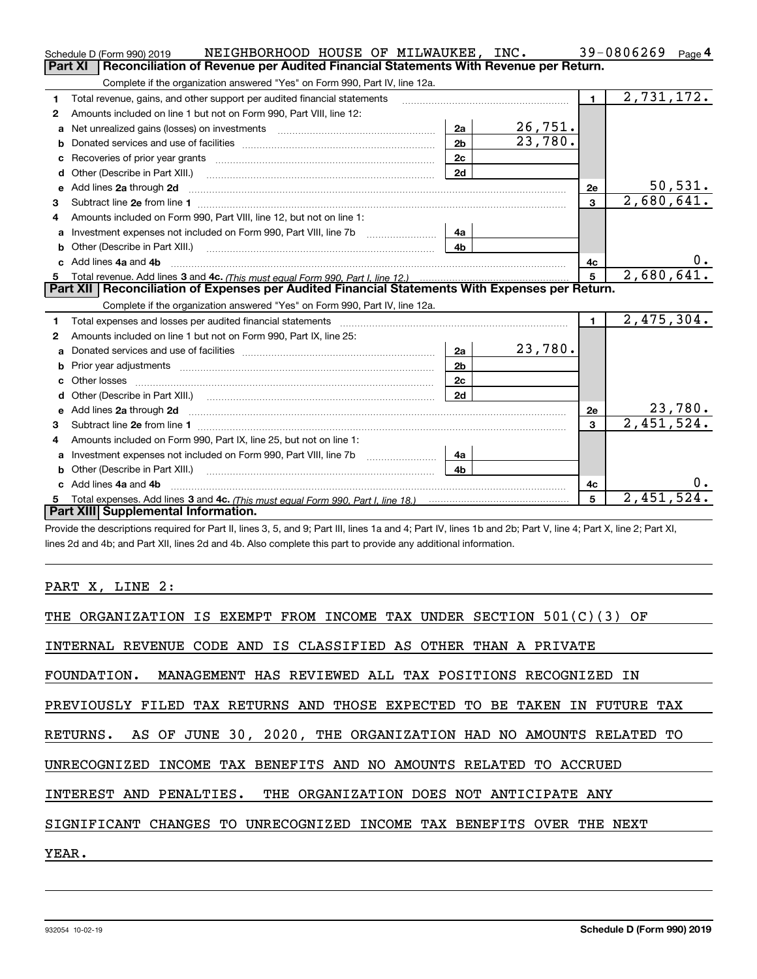|   | 39-0806269<br>NEIGHBORHOOD HOUSE OF MILWAUKEE, INC.<br>Schedule D (Form 990) 2019<br>Page $4$                                                                                                                                 |                |            |                |                         |                |  |
|---|-------------------------------------------------------------------------------------------------------------------------------------------------------------------------------------------------------------------------------|----------------|------------|----------------|-------------------------|----------------|--|
|   | Reconciliation of Revenue per Audited Financial Statements With Revenue per Return.<br><b>Part XI</b>                                                                                                                         |                |            |                |                         |                |  |
|   | Complete if the organization answered "Yes" on Form 990, Part IV, line 12a.                                                                                                                                                   |                |            |                |                         |                |  |
| 1 | Total revenue, gains, and other support per audited financial statements                                                                                                                                                      |                |            | $\blacksquare$ | 2,731,172.              |                |  |
| 2 | Amounts included on line 1 but not on Form 990, Part VIII, line 12:                                                                                                                                                           |                |            |                |                         |                |  |
| a | Net unrealized gains (losses) on investments [11] matter contracts and the unrealized gains (losses) on investments                                                                                                           | 2a             | 26,751.    |                |                         |                |  |
| b |                                                                                                                                                                                                                               | 2 <sub>b</sub> | 23,780.    |                |                         |                |  |
|   |                                                                                                                                                                                                                               | 2c             |            |                |                         |                |  |
| d |                                                                                                                                                                                                                               | 2d             |            |                |                         |                |  |
| e | Add lines 2a through 2d                                                                                                                                                                                                       |                |            | 2e             |                         | 50, 531.       |  |
| 3 |                                                                                                                                                                                                                               |                |            | $\mathbf{3}$   | $\overline{2,680},641.$ |                |  |
| 4 | Amounts included on Form 990, Part VIII, line 12, but not on line 1:                                                                                                                                                          |                |            |                |                         |                |  |
| a |                                                                                                                                                                                                                               | 4a             |            |                |                         |                |  |
|   | Other (Describe in Part XIII.)                                                                                                                                                                                                | 4b             |            |                |                         |                |  |
|   | c Add lines 4a and 4b                                                                                                                                                                                                         |                |            | 4c             |                         | 0.             |  |
|   |                                                                                                                                                                                                                               | 5              | 2,680,641. |                |                         |                |  |
|   | Part XII   Reconciliation of Expenses per Audited Financial Statements With Expenses per Return.                                                                                                                              |                |            |                |                         |                |  |
|   | Complete if the organization answered "Yes" on Form 990, Part IV, line 12a.                                                                                                                                                   |                |            |                |                         |                |  |
| 1 | Total expenses and losses per audited financial statements [11, 11] manuscription control expenses and losses per audited financial statements [11] manuscription of the statements and the statements and the statements and |                |            | $\blacksquare$ | 2,475,304.              |                |  |
| 2 | Amounts included on line 1 but not on Form 990, Part IX, line 25:                                                                                                                                                             |                |            |                |                         |                |  |
| a |                                                                                                                                                                                                                               | 2a             | 23,780.    |                |                         |                |  |
|   |                                                                                                                                                                                                                               | 2 <sub>b</sub> |            |                |                         |                |  |
|   | Other losses                                                                                                                                                                                                                  | 2c             |            |                |                         |                |  |
| d |                                                                                                                                                                                                                               | 2d             |            |                |                         |                |  |
| е |                                                                                                                                                                                                                               |                |            | 2e             |                         | <u>23,780.</u> |  |
| з | Subtract line 2e from line 1 <b>manufacture contract and contract line 2e</b> from line 1                                                                                                                                     |                |            | 3              | 2,451,524.              |                |  |
| 4 | Amounts included on Form 990, Part IX, line 25, but not on line 1:                                                                                                                                                            |                |            |                |                         |                |  |
| a | Investment expenses not included on Form 990, Part VIII, line 7b [1000000000000000000000000000000000                                                                                                                          | 4a             |            |                |                         |                |  |
|   | Other (Describe in Part XIII.)                                                                                                                                                                                                | 4 <sub>b</sub> |            |                |                         |                |  |
|   | Add lines 4a and 4b                                                                                                                                                                                                           |                |            | 4c             |                         | 0.             |  |
| 5 |                                                                                                                                                                                                                               |                |            | 5              | 2,451,524.              |                |  |
|   | Part XIII Supplemental Information.                                                                                                                                                                                           |                |            |                |                         |                |  |
|   |                                                                                                                                                                                                                               |                |            |                |                         |                |  |

Provide the descriptions required for Part II, lines 3, 5, and 9; Part III, lines 1a and 4; Part IV, lines 1b and 2b; Part V, line 4; Part X, line 2; Part XI, lines 2d and 4b; and Part XII, lines 2d and 4b. Also complete this part to provide any additional information.

<u> 1989 - Johann Barbara, martxa amerikan p</u>

PART X, LINE 2:

| THE ORGANIZATION IS EXEMPT FROM INCOME TAX UNDER SECTION 501(C)(3) OF     |
|---------------------------------------------------------------------------|
| INTERNAL REVENUE CODE AND IS CLASSIFIED AS OTHER THAN A PRIVATE           |
| FOUNDATION. MANAGEMENT HAS REVIEWED ALL TAX POSITIONS RECOGNIZED IN       |
| PREVIOUSLY FILED TAX RETURNS AND THOSE EXPECTED TO BE TAKEN IN FUTURE TAX |
| RETURNS. AS OF JUNE 30, 2020, THE ORGANIZATION HAD NO AMOUNTS RELATED TO  |
| UNRECOGNIZED INCOME TAX BENEFITS AND NO AMOUNTS RELATED TO ACCRUED        |
| INTEREST AND PENALTIES. THE ORGANIZATION DOES NOT ANTICIPATE ANY          |
| CHANGES TO UNRECOGNIZED INCOME TAX BENEFITS OVER THE NEXT<br>SIGNIFICANT  |
| YEAR.                                                                     |
|                                                                           |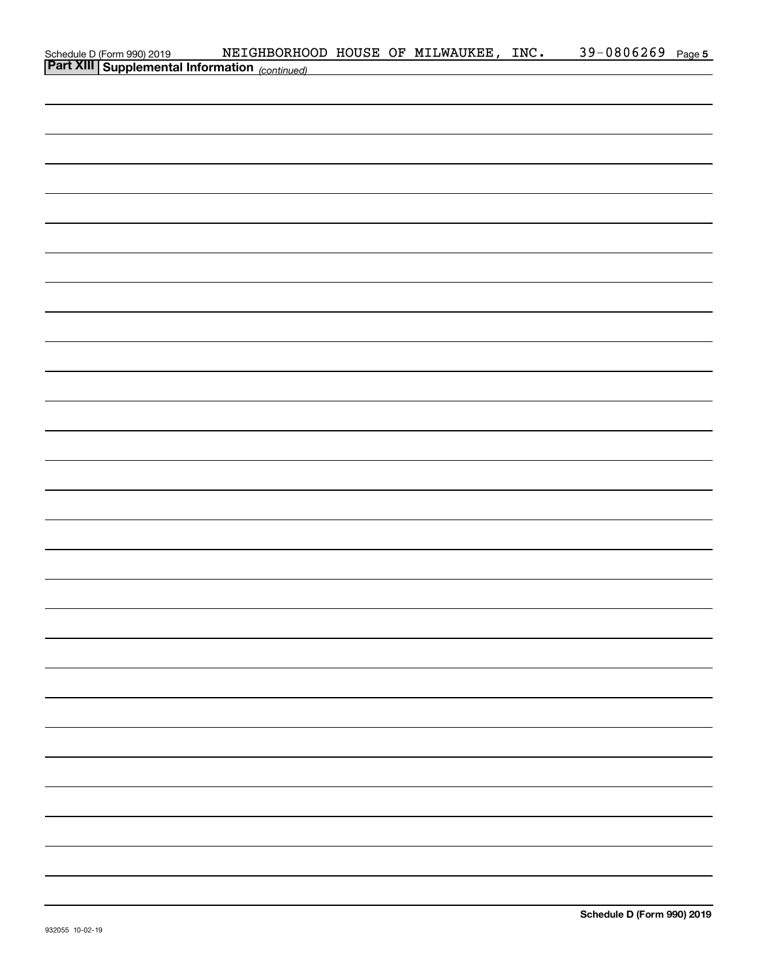|  | Schedule D (Form 990) 2019 NEIGHBORHOOD HOUSE OF MILWAUKEE, INC.<br>Part XIII Supplemental Information (continued) |  |  | 39-0806269 Page 5 |  |
|--|--------------------------------------------------------------------------------------------------------------------|--|--|-------------------|--|
|  |                                                                                                                    |  |  |                   |  |
|  |                                                                                                                    |  |  |                   |  |
|  |                                                                                                                    |  |  |                   |  |
|  |                                                                                                                    |  |  |                   |  |
|  |                                                                                                                    |  |  |                   |  |
|  |                                                                                                                    |  |  |                   |  |
|  |                                                                                                                    |  |  |                   |  |
|  |                                                                                                                    |  |  |                   |  |
|  |                                                                                                                    |  |  |                   |  |
|  |                                                                                                                    |  |  |                   |  |
|  |                                                                                                                    |  |  |                   |  |
|  |                                                                                                                    |  |  |                   |  |
|  |                                                                                                                    |  |  |                   |  |
|  |                                                                                                                    |  |  |                   |  |
|  |                                                                                                                    |  |  |                   |  |
|  |                                                                                                                    |  |  |                   |  |
|  |                                                                                                                    |  |  |                   |  |
|  |                                                                                                                    |  |  |                   |  |
|  |                                                                                                                    |  |  |                   |  |
|  |                                                                                                                    |  |  |                   |  |
|  |                                                                                                                    |  |  |                   |  |
|  |                                                                                                                    |  |  |                   |  |
|  |                                                                                                                    |  |  |                   |  |
|  |                                                                                                                    |  |  |                   |  |
|  |                                                                                                                    |  |  |                   |  |
|  |                                                                                                                    |  |  |                   |  |
|  |                                                                                                                    |  |  |                   |  |
|  |                                                                                                                    |  |  |                   |  |
|  |                                                                                                                    |  |  |                   |  |
|  |                                                                                                                    |  |  |                   |  |
|  |                                                                                                                    |  |  |                   |  |
|  |                                                                                                                    |  |  |                   |  |
|  |                                                                                                                    |  |  |                   |  |
|  |                                                                                                                    |  |  |                   |  |
|  |                                                                                                                    |  |  |                   |  |
|  |                                                                                                                    |  |  |                   |  |
|  |                                                                                                                    |  |  |                   |  |
|  |                                                                                                                    |  |  |                   |  |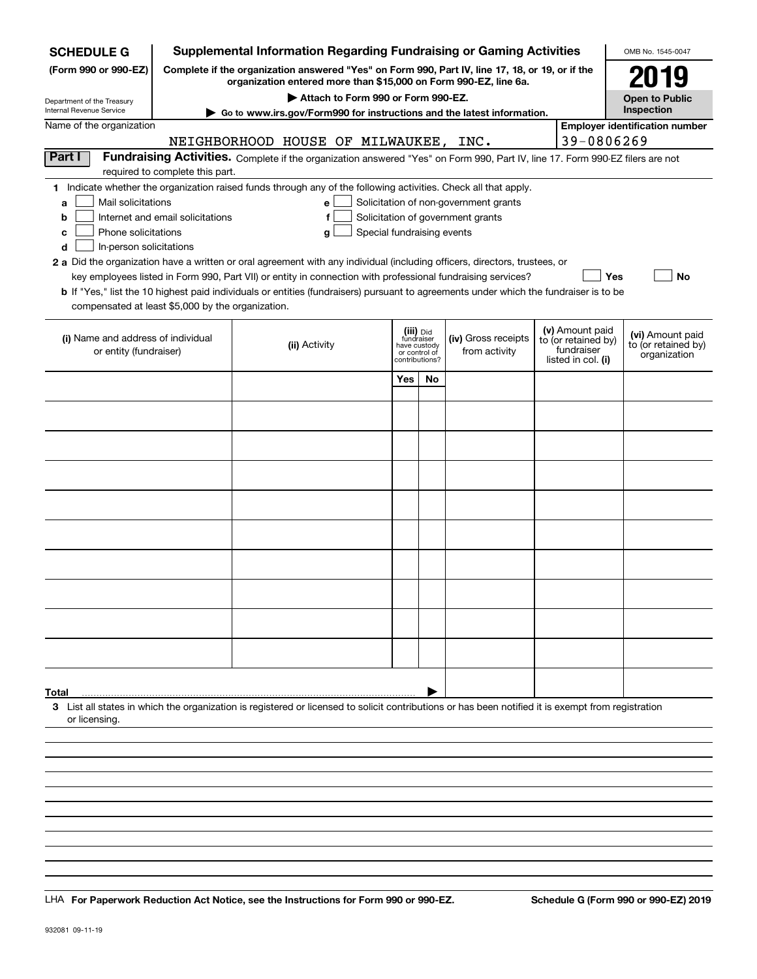| <b>SCHEDULE G</b>                                      |                                                                                                                                                                     | <b>Supplemental Information Regarding Fundraising or Gaming Activities</b>                                                                         |     |                               |                     |  |                                        | OMB No. 1545-0047                     |
|--------------------------------------------------------|---------------------------------------------------------------------------------------------------------------------------------------------------------------------|----------------------------------------------------------------------------------------------------------------------------------------------------|-----|-------------------------------|---------------------|--|----------------------------------------|---------------------------------------|
| (Form 990 or 990-EZ)                                   | Complete if the organization answered "Yes" on Form 990, Part IV, line 17, 18, or 19, or if the<br>organization entered more than \$15,000 on Form 990-EZ, line 6a. |                                                                                                                                                    |     |                               |                     |  |                                        |                                       |
| Department of the Treasury<br>Internal Revenue Service |                                                                                                                                                                     | Attach to Form 990 or Form 990-EZ.                                                                                                                 |     |                               |                     |  |                                        | <b>Open to Public</b><br>Inspection   |
| Name of the organization                               |                                                                                                                                                                     | Go to www.irs.gov/Form990 for instructions and the latest information.                                                                             |     |                               |                     |  |                                        | <b>Employer identification number</b> |
|                                                        | 39-0806269<br>NEIGHBORHOOD HOUSE OF MILWAUKEE, INC.                                                                                                                 |                                                                                                                                                    |     |                               |                     |  |                                        |                                       |
| Part I                                                 |                                                                                                                                                                     | Fundraising Activities. Complete if the organization answered "Yes" on Form 990, Part IV, line 17. Form 990-EZ filers are not                      |     |                               |                     |  |                                        |                                       |
|                                                        | required to complete this part.                                                                                                                                     |                                                                                                                                                    |     |                               |                     |  |                                        |                                       |
|                                                        |                                                                                                                                                                     | 1 Indicate whether the organization raised funds through any of the following activities. Check all that apply.                                    |     |                               |                     |  |                                        |                                       |
| a                                                      | Mail solicitations<br>Solicitation of non-government grants<br>e                                                                                                    |                                                                                                                                                    |     |                               |                     |  |                                        |                                       |
| с                                                      | Internet and email solicitations<br>Solicitation of government grants<br>f<br>b<br>Phone solicitations<br>Special fundraising events                                |                                                                                                                                                    |     |                               |                     |  |                                        |                                       |
| In-person solicitations<br>d                           |                                                                                                                                                                     | g                                                                                                                                                  |     |                               |                     |  |                                        |                                       |
|                                                        |                                                                                                                                                                     | 2 a Did the organization have a written or oral agreement with any individual (including officers, directors, trustees, or                         |     |                               |                     |  |                                        |                                       |
|                                                        |                                                                                                                                                                     | key employees listed in Form 990, Part VII) or entity in connection with professional fundraising services?                                        |     |                               |                     |  | Yes                                    | No                                    |
|                                                        |                                                                                                                                                                     | <b>b</b> If "Yes," list the 10 highest paid individuals or entities (fundraisers) pursuant to agreements under which the fundraiser is to be       |     |                               |                     |  |                                        |                                       |
| compensated at least \$5,000 by the organization.      |                                                                                                                                                                     |                                                                                                                                                    |     |                               |                     |  |                                        |                                       |
| (i) Name and address of individual                     |                                                                                                                                                                     |                                                                                                                                                    |     | (iii) Did<br>fundraiser       | (iv) Gross receipts |  | (v) Amount paid<br>to (or retained by) | (vi) Amount paid                      |
| or entity (fundraiser)                                 |                                                                                                                                                                     | (ii) Activity                                                                                                                                      |     | have custody<br>or control of | from activity       |  | fundraiser                             | to (or retained by)<br>organization   |
|                                                        |                                                                                                                                                                     |                                                                                                                                                    |     | contributions?                |                     |  | listed in col. (i)                     |                                       |
|                                                        |                                                                                                                                                                     |                                                                                                                                                    | Yes | No                            |                     |  |                                        |                                       |
|                                                        |                                                                                                                                                                     |                                                                                                                                                    |     |                               |                     |  |                                        |                                       |
|                                                        |                                                                                                                                                                     |                                                                                                                                                    |     |                               |                     |  |                                        |                                       |
|                                                        |                                                                                                                                                                     |                                                                                                                                                    |     |                               |                     |  |                                        |                                       |
|                                                        |                                                                                                                                                                     |                                                                                                                                                    |     |                               |                     |  |                                        |                                       |
|                                                        |                                                                                                                                                                     |                                                                                                                                                    |     |                               |                     |  |                                        |                                       |
|                                                        |                                                                                                                                                                     |                                                                                                                                                    |     |                               |                     |  |                                        |                                       |
|                                                        |                                                                                                                                                                     |                                                                                                                                                    |     |                               |                     |  |                                        |                                       |
|                                                        |                                                                                                                                                                     |                                                                                                                                                    |     |                               |                     |  |                                        |                                       |
|                                                        |                                                                                                                                                                     |                                                                                                                                                    |     |                               |                     |  |                                        |                                       |
|                                                        |                                                                                                                                                                     |                                                                                                                                                    |     |                               |                     |  |                                        |                                       |
|                                                        |                                                                                                                                                                     |                                                                                                                                                    |     |                               |                     |  |                                        |                                       |
|                                                        |                                                                                                                                                                     |                                                                                                                                                    |     |                               |                     |  |                                        |                                       |
|                                                        |                                                                                                                                                                     |                                                                                                                                                    |     |                               |                     |  |                                        |                                       |
|                                                        |                                                                                                                                                                     |                                                                                                                                                    |     |                               |                     |  |                                        |                                       |
|                                                        |                                                                                                                                                                     |                                                                                                                                                    |     |                               |                     |  |                                        |                                       |
|                                                        |                                                                                                                                                                     |                                                                                                                                                    |     |                               |                     |  |                                        |                                       |
| Total                                                  |                                                                                                                                                                     |                                                                                                                                                    |     |                               |                     |  |                                        |                                       |
|                                                        |                                                                                                                                                                     | 3 List all states in which the organization is registered or licensed to solicit contributions or has been notified it is exempt from registration |     |                               |                     |  |                                        |                                       |
| or licensing.                                          |                                                                                                                                                                     |                                                                                                                                                    |     |                               |                     |  |                                        |                                       |
|                                                        |                                                                                                                                                                     |                                                                                                                                                    |     |                               |                     |  |                                        |                                       |
|                                                        |                                                                                                                                                                     |                                                                                                                                                    |     |                               |                     |  |                                        |                                       |
|                                                        |                                                                                                                                                                     |                                                                                                                                                    |     |                               |                     |  |                                        |                                       |
|                                                        |                                                                                                                                                                     |                                                                                                                                                    |     |                               |                     |  |                                        |                                       |
|                                                        |                                                                                                                                                                     |                                                                                                                                                    |     |                               |                     |  |                                        |                                       |

LHA For Paperwork Reduction Act Notice, see the Instructions for Form 990 or 990-EZ. Schedule G (Form 990 or 990-EZ) 2019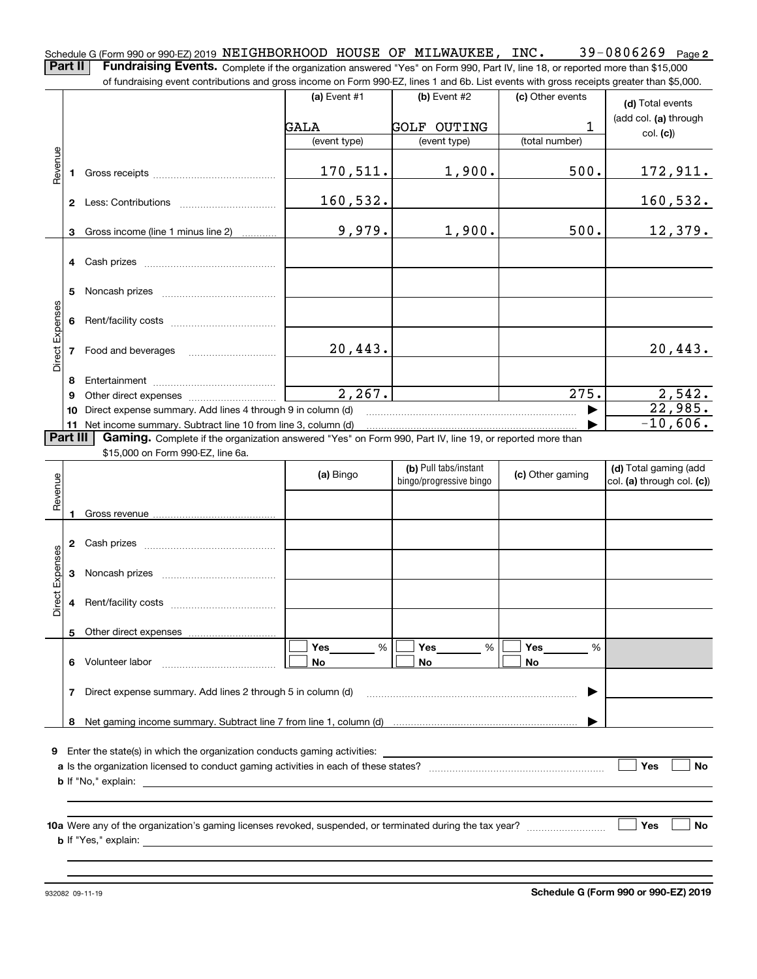**2** Schedule G (Form 990 or 990-EZ) 2019 <code>NEIGHBORHOOD HOUSE OF MILWAUKEE</code> , <code>INC</code> .  $39\text{--}0806269$  <code>Page</code> **Part II** | Fundraising Events. Complete if the organization answered "Yes" on Form 990, Part IV, line 18, or reported more than \$15,000 of fundraising event contributions and gross income on Form 990-EZ, lines 1 and 6b. List events with gross receipts greater than \$5,000.

|                        |                                                                  |                                                                                                          | (a) Event $#1$ | (b) Event #2                                     | (c) Other events   | (d) Total events                                    |  |  |  |
|------------------------|------------------------------------------------------------------|----------------------------------------------------------------------------------------------------------|----------------|--------------------------------------------------|--------------------|-----------------------------------------------------|--|--|--|
|                        |                                                                  |                                                                                                          | GALA           | <b>GOLF OUTING</b>                               | 1                  | (add col. (a) through                               |  |  |  |
|                        |                                                                  |                                                                                                          | (event type)   | (event type)                                     | (total number)     | col. (c)                                            |  |  |  |
|                        |                                                                  |                                                                                                          |                |                                                  |                    |                                                     |  |  |  |
| Revenue                | 1.                                                               |                                                                                                          | 170,511.       | 1,900.                                           | 500.               | <u> 172,911.</u>                                    |  |  |  |
|                        |                                                                  |                                                                                                          | 160,532.       |                                                  |                    | 160,532.                                            |  |  |  |
|                        |                                                                  | 3 Gross income (line 1 minus line 2)                                                                     | 9,979.         | 1,900.                                           | 500.               | 12,379.                                             |  |  |  |
|                        |                                                                  |                                                                                                          |                |                                                  |                    |                                                     |  |  |  |
|                        | 5                                                                |                                                                                                          |                |                                                  |                    |                                                     |  |  |  |
| Direct Expenses        |                                                                  |                                                                                                          |                |                                                  |                    |                                                     |  |  |  |
|                        |                                                                  | 7 Food and beverages                                                                                     | 20,443.        |                                                  |                    | 20,443.                                             |  |  |  |
|                        |                                                                  |                                                                                                          |                |                                                  |                    |                                                     |  |  |  |
|                        | 9                                                                |                                                                                                          | 2,267.         |                                                  | $\overline{275}$ . | 2,542.                                              |  |  |  |
|                        | 10                                                               | Direct expense summary. Add lines 4 through 9 in column (d)                                              |                |                                                  |                    | 22,985.                                             |  |  |  |
|                        |                                                                  | 11 Net income summary. Subtract line 10 from line 3, column (d)                                          |                |                                                  |                    | $-10,606.$                                          |  |  |  |
|                        | Part III                                                         | Gaming. Complete if the organization answered "Yes" on Form 990, Part IV, line 19, or reported more than |                |                                                  |                    |                                                     |  |  |  |
|                        |                                                                  | \$15,000 on Form 990-EZ, line 6a.                                                                        |                |                                                  |                    |                                                     |  |  |  |
|                        |                                                                  |                                                                                                          | (a) Bingo      | (b) Pull tabs/instant<br>bingo/progressive bingo | (c) Other gaming   | (d) Total gaming (add<br>col. (a) through col. (c)) |  |  |  |
| Revenue                |                                                                  |                                                                                                          |                |                                                  |                    |                                                     |  |  |  |
|                        |                                                                  |                                                                                                          |                |                                                  |                    |                                                     |  |  |  |
|                        |                                                                  |                                                                                                          |                |                                                  |                    |                                                     |  |  |  |
|                        |                                                                  |                                                                                                          |                |                                                  |                    |                                                     |  |  |  |
| <b>Direct Expenses</b> | 3                                                                |                                                                                                          |                |                                                  |                    |                                                     |  |  |  |
|                        | 4                                                                |                                                                                                          |                |                                                  |                    |                                                     |  |  |  |
|                        |                                                                  |                                                                                                          |                |                                                  |                    |                                                     |  |  |  |
|                        |                                                                  |                                                                                                          | Yes<br>%       | Yes<br>%                                         | Yes<br>%           |                                                     |  |  |  |
|                        | 6                                                                | Volunteer labor                                                                                          | No             | No                                               | No                 |                                                     |  |  |  |
|                        | Direct expense summary. Add lines 2 through 5 in column (d)<br>7 |                                                                                                          |                |                                                  |                    |                                                     |  |  |  |
|                        |                                                                  |                                                                                                          |                |                                                  |                    |                                                     |  |  |  |
|                        | 8                                                                |                                                                                                          |                |                                                  |                    |                                                     |  |  |  |
|                        |                                                                  | 9 Enter the state(s) in which the organization conducts gaming activities:                               |                |                                                  |                    |                                                     |  |  |  |
|                        |                                                                  |                                                                                                          |                |                                                  |                    | Yes<br>No                                           |  |  |  |
|                        |                                                                  | <b>b</b> If "No," explain:                                                                               |                |                                                  |                    |                                                     |  |  |  |
|                        |                                                                  |                                                                                                          |                |                                                  |                    |                                                     |  |  |  |
|                        |                                                                  |                                                                                                          |                |                                                  |                    |                                                     |  |  |  |
|                        |                                                                  |                                                                                                          |                |                                                  |                    | Yes<br>No                                           |  |  |  |
|                        |                                                                  |                                                                                                          |                |                                                  |                    |                                                     |  |  |  |
|                        |                                                                  |                                                                                                          |                |                                                  |                    |                                                     |  |  |  |
|                        |                                                                  |                                                                                                          |                |                                                  |                    |                                                     |  |  |  |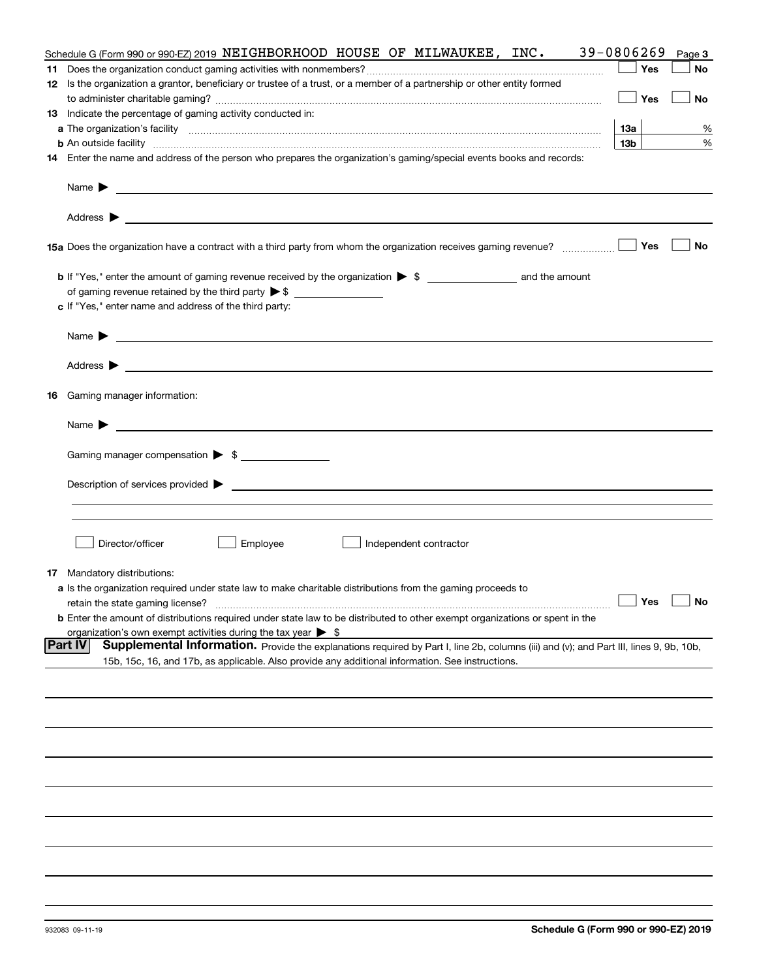| Schedule G (Form 990 or 990-EZ) 2019 NEIGHBORHOOD HOUSE OF MILWAUKEE, INC.                                                                                                                                                                                         | 39-0806269      | Page 3    |
|--------------------------------------------------------------------------------------------------------------------------------------------------------------------------------------------------------------------------------------------------------------------|-----------------|-----------|
|                                                                                                                                                                                                                                                                    | Yes             | No        |
| 12 Is the organization a grantor, beneficiary or trustee of a trust, or a member of a partnership or other entity formed                                                                                                                                           |                 |           |
|                                                                                                                                                                                                                                                                    | Yes             | No        |
| 13 Indicate the percentage of gaming activity conducted in:                                                                                                                                                                                                        |                 |           |
|                                                                                                                                                                                                                                                                    | 13а             | %         |
| <b>b</b> An outside facility <b>contained an according to the contract of the contract of the contract of the contract of the contract of the contract of the contract of the contract of the contract of the contract of the contrac</b>                          | 13 <sub>b</sub> | %         |
| 14 Enter the name and address of the person who prepares the organization's gaming/special events books and records:                                                                                                                                               |                 |           |
| Name $\blacktriangleright$<br><u>state and the state of the state of the state of the state of the state of the state of the state of the state of the state of the state of the state of the state of the state of the state of the state of the state of the</u> |                 |           |
| <u> 1989 - Johann Harry Harry Harry Harry Harry Harry Harry Harry Harry Harry Harry Harry Harry Harry Harry Harry</u><br>Address $\blacktriangleright$                                                                                                             |                 |           |
| 15a Does the organization have a contract with a third party from whom the organization receives gaming revenue?                                                                                                                                                   | Yes             | No        |
|                                                                                                                                                                                                                                                                    |                 |           |
|                                                                                                                                                                                                                                                                    |                 |           |
| c If "Yes," enter name and address of the third party:                                                                                                                                                                                                             |                 |           |
|                                                                                                                                                                                                                                                                    |                 |           |
| Name $\blacktriangleright$                                                                                                                                                                                                                                         |                 |           |
|                                                                                                                                                                                                                                                                    |                 |           |
| Address $\blacktriangleright$                                                                                                                                                                                                                                      |                 |           |
| 16 Gaming manager information:                                                                                                                                                                                                                                     |                 |           |
| <u> 1989 - Johann Barbara, marka a shekara tsa 1989 - An tsa 1989 - An tsa 1989 - An tsa 1989 - An tsa 1989 - An</u><br>Name $\blacktriangleright$                                                                                                                 |                 |           |
| Gaming manager compensation > \$                                                                                                                                                                                                                                   |                 |           |
|                                                                                                                                                                                                                                                                    |                 |           |
| Description of services provided states and the contract of the contract of the contract of the contract of the contract of the contract of the contract of the contract of the contract of the contract of the contract of th                                     |                 |           |
|                                                                                                                                                                                                                                                                    |                 |           |
|                                                                                                                                                                                                                                                                    |                 |           |
| Director/officer<br>Employee<br>Independent contractor                                                                                                                                                                                                             |                 |           |
|                                                                                                                                                                                                                                                                    |                 |           |
| <b>17</b> Mandatory distributions:                                                                                                                                                                                                                                 |                 |           |
| a Is the organization required under state law to make charitable distributions from the gaming proceeds to                                                                                                                                                        |                 |           |
| retain the state gaming license?                                                                                                                                                                                                                                   | Yes $\lfloor$   | <b>No</b> |
| <b>b</b> Enter the amount of distributions required under state law to be distributed to other exempt organizations or spent in the                                                                                                                                |                 |           |
| organization's own exempt activities during the tax year $\triangleright$ \$<br> Part IV                                                                                                                                                                           |                 |           |
| Supplemental Information. Provide the explanations required by Part I, line 2b, columns (iii) and (v); and Part III, lines 9, 9b, 10b,                                                                                                                             |                 |           |
| 15b, 15c, 16, and 17b, as applicable. Also provide any additional information. See instructions.                                                                                                                                                                   |                 |           |
|                                                                                                                                                                                                                                                                    |                 |           |
|                                                                                                                                                                                                                                                                    |                 |           |
|                                                                                                                                                                                                                                                                    |                 |           |
|                                                                                                                                                                                                                                                                    |                 |           |
|                                                                                                                                                                                                                                                                    |                 |           |
|                                                                                                                                                                                                                                                                    |                 |           |
|                                                                                                                                                                                                                                                                    |                 |           |
|                                                                                                                                                                                                                                                                    |                 |           |
|                                                                                                                                                                                                                                                                    |                 |           |
|                                                                                                                                                                                                                                                                    |                 |           |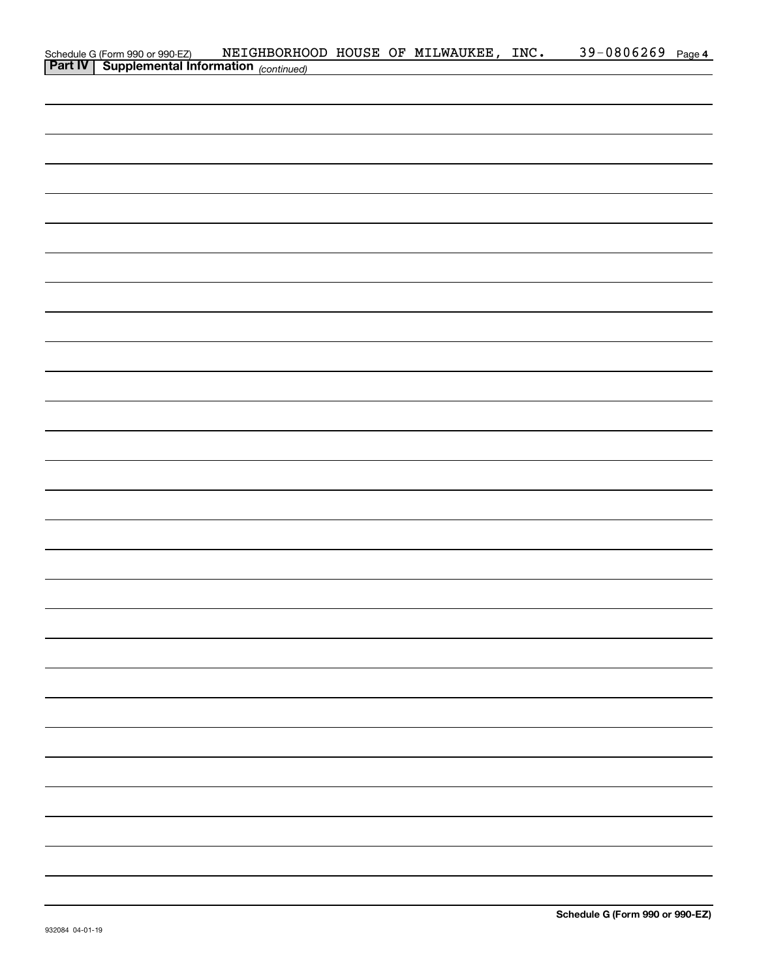|                                            | NEIGHBORHOOD HOUSE OF MILWAUKEE, INC. |  |  | 39-0806269 Page 4 |  |
|--------------------------------------------|---------------------------------------|--|--|-------------------|--|
| Schedule G (Form 990 or 990-EZ) NEIGHBORHO |                                       |  |  |                   |  |
|                                            |                                       |  |  |                   |  |
|                                            |                                       |  |  |                   |  |
|                                            |                                       |  |  |                   |  |
|                                            |                                       |  |  |                   |  |
|                                            |                                       |  |  |                   |  |
|                                            |                                       |  |  |                   |  |
|                                            |                                       |  |  |                   |  |
|                                            |                                       |  |  |                   |  |
|                                            |                                       |  |  |                   |  |
|                                            |                                       |  |  |                   |  |
|                                            |                                       |  |  |                   |  |
|                                            |                                       |  |  |                   |  |
|                                            |                                       |  |  |                   |  |
|                                            |                                       |  |  |                   |  |
|                                            |                                       |  |  |                   |  |
|                                            |                                       |  |  |                   |  |
|                                            |                                       |  |  |                   |  |
|                                            |                                       |  |  |                   |  |
|                                            |                                       |  |  |                   |  |
|                                            |                                       |  |  |                   |  |
|                                            |                                       |  |  |                   |  |
|                                            |                                       |  |  |                   |  |
|                                            |                                       |  |  |                   |  |
|                                            |                                       |  |  |                   |  |
|                                            |                                       |  |  |                   |  |
|                                            |                                       |  |  |                   |  |
|                                            |                                       |  |  |                   |  |
|                                            |                                       |  |  |                   |  |
|                                            |                                       |  |  |                   |  |
|                                            |                                       |  |  |                   |  |
|                                            |                                       |  |  |                   |  |
|                                            |                                       |  |  |                   |  |
|                                            |                                       |  |  |                   |  |
|                                            |                                       |  |  |                   |  |
|                                            |                                       |  |  |                   |  |
|                                            |                                       |  |  |                   |  |
|                                            |                                       |  |  |                   |  |
|                                            |                                       |  |  |                   |  |
|                                            |                                       |  |  |                   |  |
|                                            |                                       |  |  |                   |  |
|                                            |                                       |  |  |                   |  |
|                                            |                                       |  |  |                   |  |
|                                            |                                       |  |  |                   |  |
|                                            |                                       |  |  |                   |  |
|                                            |                                       |  |  |                   |  |
|                                            |                                       |  |  |                   |  |
|                                            |                                       |  |  |                   |  |
|                                            |                                       |  |  |                   |  |
|                                            |                                       |  |  |                   |  |
|                                            |                                       |  |  |                   |  |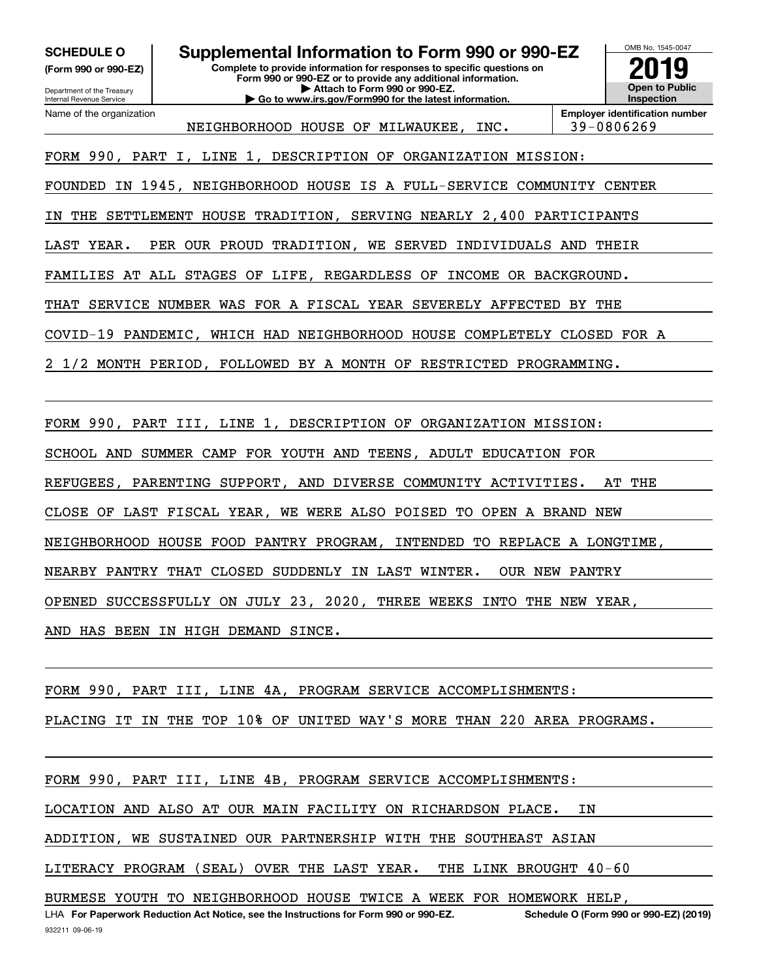**(Form 990 or 990-EZ)**

Department of the Treasury Internal Revenue Service Name of the organization

**SCHEDULE O Supplemental Information to Form 990 or 990-EZ**

**Complete to provide information for responses to specific questions on Form 990 or 990-EZ or to provide any additional information. | Attach to Form 990 or 990-EZ. | Go to www.irs.gov/Form990 for the latest information.**

OMB No. 1545-0047 **Open to Public Inspection2019**

NEIGHBORHOOD HOUSE OF MILWAUKEE, INC. 39-0806269

**Employer identification number**

FORM 990, PART I, LINE 1, DESCRIPTION OF ORGANIZATION MISSION:

FOUNDED IN 1945, NEIGHBORHOOD HOUSE IS A FULL-SERVICE COMMUNITY CENTER

IN THE SETTLEMENT HOUSE TRADITION, SERVING NEARLY 2,400 PARTICIPANTS

LAST YEAR. PER OUR PROUD TRADITION, WE SERVED INDIVIDUALS AND THEIR

FAMILIES AT ALL STAGES OF LIFE, REGARDLESS OF INCOME OR BACKGROUND.

THAT SERVICE NUMBER WAS FOR A FISCAL YEAR SEVERELY AFFECTED BY THE

COVID-19 PANDEMIC, WHICH HAD NEIGHBORHOOD HOUSE COMPLETELY CLOSED FOR A

2 1/2 MONTH PERIOD, FOLLOWED BY A MONTH OF RESTRICTED PROGRAMMING.

FORM 990, PART III, LINE 1, DESCRIPTION OF ORGANIZATION MISSION:

SCHOOL AND SUMMER CAMP FOR YOUTH AND TEENS, ADULT EDUCATION FOR

REFUGEES, PARENTING SUPPORT, AND DIVERSE COMMUNITY ACTIVITIES. AT THE

CLOSE OF LAST FISCAL YEAR, WE WERE ALSO POISED TO OPEN A BRAND NEW

NEIGHBORHOOD HOUSE FOOD PANTRY PROGRAM, INTENDED TO REPLACE A LONGTIME,

NEARBY PANTRY THAT CLOSED SUDDENLY IN LAST WINTER. OUR NEW PANTRY

OPENED SUCCESSFULLY ON JULY 23, 2020, THREE WEEKS INTO THE NEW YEAR,

AND HAS BEEN IN HIGH DEMAND SINCE.

FORM 990, PART III, LINE 4A, PROGRAM SERVICE ACCOMPLISHMENTS:

PLACING IT IN THE TOP 10% OF UNITED WAY'S MORE THAN 220 AREA PROGRAMS.

FORM 990, PART III, LINE 4B, PROGRAM SERVICE ACCOMPLISHMENTS:

LOCATION AND ALSO AT OUR MAIN FACILITY ON RICHARDSON PLACE. IN

ADDITION, WE SUSTAINED OUR PARTNERSHIP WITH THE SOUTHEAST ASIAN

LITERACY PROGRAM (SEAL) OVER THE LAST YEAR. THE LINK BROUGHT 40-60

BURMESE YOUTH TO NEIGHBORHOOD HOUSE TWICE A WEEK FOR HOMEWORK HELP,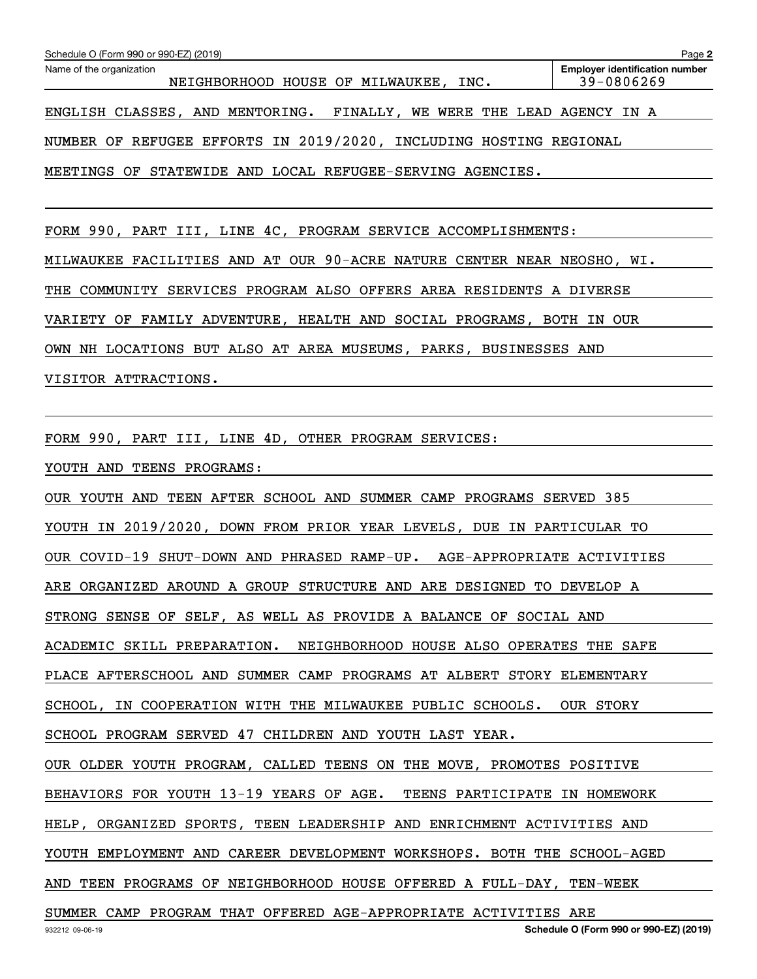| Schedule O (Form 990 or 990-EZ) (2019)                                  | Page 2                                              |  |  |  |  |
|-------------------------------------------------------------------------|-----------------------------------------------------|--|--|--|--|
| Name of the organization<br>NEIGHBORHOOD HOUSE OF MILWAUKEE, INC.       | <b>Employer identification number</b><br>39-0806269 |  |  |  |  |
| ENGLISH CLASSES, AND MENTORING. FINALLY, WE WERE THE LEAD AGENCY IN A   |                                                     |  |  |  |  |
| NUMBER OF REFUGEE EFFORTS IN 2019/2020, INCLUDING HOSTING REGIONAL      |                                                     |  |  |  |  |
| MEETINGS OF STATEWIDE AND LOCAL REFUGEE-SERVING AGENCIES.               |                                                     |  |  |  |  |
|                                                                         |                                                     |  |  |  |  |
| FORM 990, PART III, LINE 4C, PROGRAM SERVICE ACCOMPLISHMENTS:           |                                                     |  |  |  |  |
| MILWAUKEE FACILITIES AND AT OUR 90-ACRE NATURE CENTER NEAR NEOSHO, WI.  |                                                     |  |  |  |  |
| THE COMMUNITY SERVICES PROGRAM ALSO OFFERS AREA RESIDENTS A DIVERSE     |                                                     |  |  |  |  |
| VARIETY OF FAMILY ADVENTURE, HEALTH AND SOCIAL PROGRAMS, BOTH IN OUR    |                                                     |  |  |  |  |
| OWN NH LOCATIONS BUT ALSO AT AREA MUSEUMS, PARKS, BUSINESSES AND        |                                                     |  |  |  |  |
| VISITOR ATTRACTIONS.                                                    |                                                     |  |  |  |  |
|                                                                         |                                                     |  |  |  |  |
| FORM 990, PART III, LINE 4D, OTHER PROGRAM SERVICES:                    |                                                     |  |  |  |  |
| YOUTH AND TEENS PROGRAMS:                                               |                                                     |  |  |  |  |
| OUR YOUTH AND TEEN AFTER SCHOOL AND SUMMER CAMP PROGRAMS SERVED 385     |                                                     |  |  |  |  |
| YOUTH IN 2019/2020, DOWN FROM PRIOR YEAR LEVELS, DUE IN PARTICULAR TO   |                                                     |  |  |  |  |
| OUR COVID-19 SHUT-DOWN AND PHRASED RAMP-UP. AGE-APPROPRIATE ACTIVITIES  |                                                     |  |  |  |  |
| ARE ORGANIZED AROUND A GROUP STRUCTURE AND ARE DESIGNED TO DEVELOP A    |                                                     |  |  |  |  |
| STRONG SENSE OF SELF, AS WELL AS PROVIDE A BALANCE OF SOCIAL AND        |                                                     |  |  |  |  |
| ACADEMIC SKILL PREPARATION. NEIGHBORHOOD HOUSE ALSO OPERATES THE SAFE   |                                                     |  |  |  |  |
| PLACE AFTERSCHOOL AND SUMMER CAMP PROGRAMS AT ALBERT STORY ELEMENTARY   |                                                     |  |  |  |  |
| SCHOOL, IN COOPERATION WITH THE MILWAUKEE PUBLIC SCHOOLS.               | OUR STORY                                           |  |  |  |  |
| SCHOOL PROGRAM SERVED 47 CHILDREN AND YOUTH LAST YEAR.                  |                                                     |  |  |  |  |
| OUR OLDER YOUTH PROGRAM, CALLED TEENS ON THE MOVE, PROMOTES POSITIVE    |                                                     |  |  |  |  |
| BEHAVIORS FOR YOUTH 13-19 YEARS OF AGE. TEENS PARTICIPATE IN HOMEWORK   |                                                     |  |  |  |  |
| HELP, ORGANIZED SPORTS, TEEN LEADERSHIP AND ENRICHMENT ACTIVITIES AND   |                                                     |  |  |  |  |
| YOUTH EMPLOYMENT AND CAREER DEVELOPMENT WORKSHOPS. BOTH THE SCHOOL-AGED |                                                     |  |  |  |  |
| AND TEEN PROGRAMS OF NEIGHBORHOOD HOUSE OFFERED A FULL-DAY, TEN-WEEK    |                                                     |  |  |  |  |
| SUMMER CAMP PROGRAM THAT OFFERED AGE-APPROPRIATE ACTIVITIES ARE         |                                                     |  |  |  |  |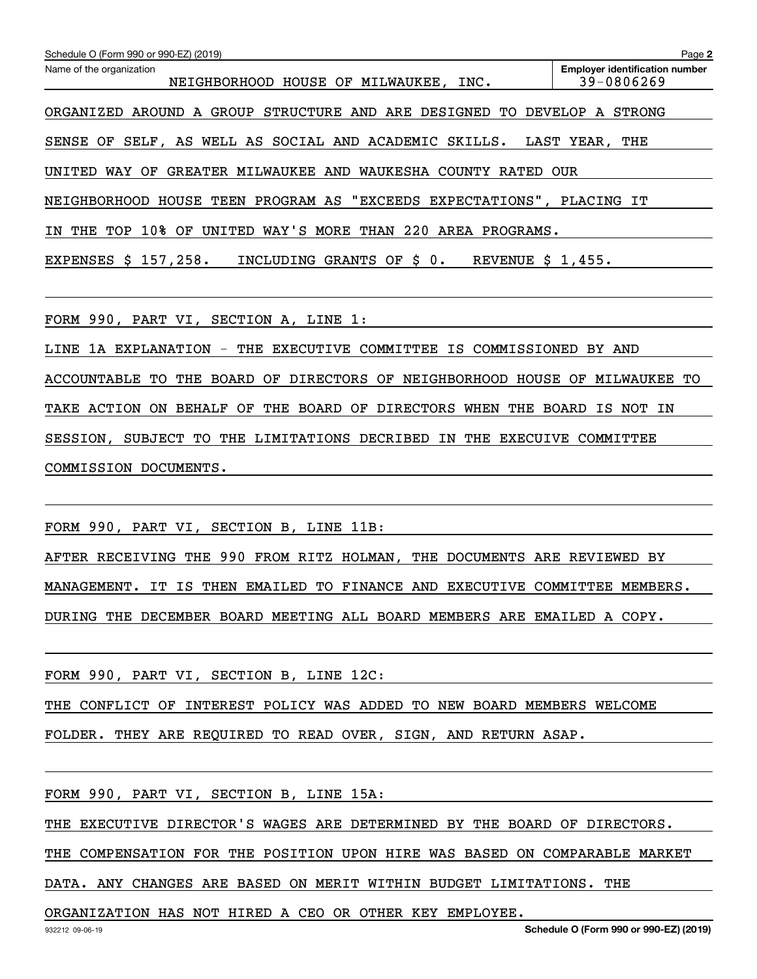|                                                                                                             | Page 2                                              |
|-------------------------------------------------------------------------------------------------------------|-----------------------------------------------------|
| Schedule O (Form 990 or 990-EZ) (2019)<br>Name of the organization<br>NEIGHBORHOOD HOUSE OF MILWAUKEE, INC. | <b>Emplover identification number</b><br>39-0806269 |
| ORGANIZED AROUND A GROUP STRUCTURE AND ARE DESIGNED TO DEVELOP A STRONG                                     |                                                     |
| SENSE OF SELF, AS WELL AS SOCIAL AND ACADEMIC SKILLS.                                                       | LAST YEAR,<br>THE                                   |
| UNITED WAY OF GREATER MILWAUKEE AND WAUKESHA COUNTY RATED OUR                                               |                                                     |
| NEIGHBORHOOD HOUSE TEEN PROGRAM AS "EXCEEDS EXPECTATIONS", PLACING IT                                       |                                                     |
| THE TOP 10% OF UNITED WAY'S MORE THAN 220 AREA PROGRAMS.<br>ΙN                                              |                                                     |
| INCLUDING GRANTS OF \$0.<br>EXPENSES $$157,258$ .<br>REVENUE $$1,455.$                                      |                                                     |
| FORM 990, PART VI, SECTION A, LINE 1:                                                                       |                                                     |
| 1A EXPLANATION - THE EXECUTIVE COMMITTEE IS COMMISSIONED BY AND<br>LINE                                     |                                                     |
| ACCOUNTABLE TO THE BOARD OF DIRECTORS OF NEIGHBORHOOD HOUSE OF MILWAUKEE TO                                 |                                                     |
| THE BOARD OF DIRECTORS WHEN THE BOARD IS NOT IN<br>TAKE ACTION ON BEHALF OF                                 |                                                     |
| SESSION, SUBJECT TO THE LIMITATIONS DECRIBED IN THE EXECUIVE COMMITTEE                                      |                                                     |
| COMMISSION DOCUMENTS.                                                                                       |                                                     |
|                                                                                                             |                                                     |
| FORM 990, PART VI, SECTION B, LINE 11B:                                                                     |                                                     |
| AFTER RECEIVING THE 990 FROM RITZ HOLMAN, THE DOCUMENTS ARE REVIEWED BY                                     |                                                     |
| MANAGEMENT. IT IS THEN EMAILED TO FINANCE AND EXECUTIVE COMMITTEE MEMBERS.                                  |                                                     |
| DURING THE DECEMBER BOARD MEETING ALL BOARD MEMBERS ARE EMAILED A COPY.                                     |                                                     |
| FORM 990, PART VI, SECTION B, LINE 12C:                                                                     |                                                     |
| THE CONFLICT OF INTEREST POLICY WAS ADDED TO NEW BOARD MEMBERS WELCOME                                      |                                                     |
| FOLDER. THEY ARE REQUIRED TO READ OVER, SIGN, AND RETURN ASAP.                                              |                                                     |
| FORM 990, PART VI, SECTION B, LINE 15A:                                                                     |                                                     |
| THE EXECUTIVE DIRECTOR'S WAGES ARE DETERMINED BY THE BOARD OF DIRECTORS.                                    |                                                     |

THE COMPENSATION FOR THE POSITION UPON HIRE WAS BASED ON COMPARABLE MARKET

DATA. ANY CHANGES ARE BASED ON MERIT WITHIN BUDGET LIMITATIONS. THE

ORGANIZATION HAS NOT HIRED A CEO OR OTHER KEY EMPLOYEE.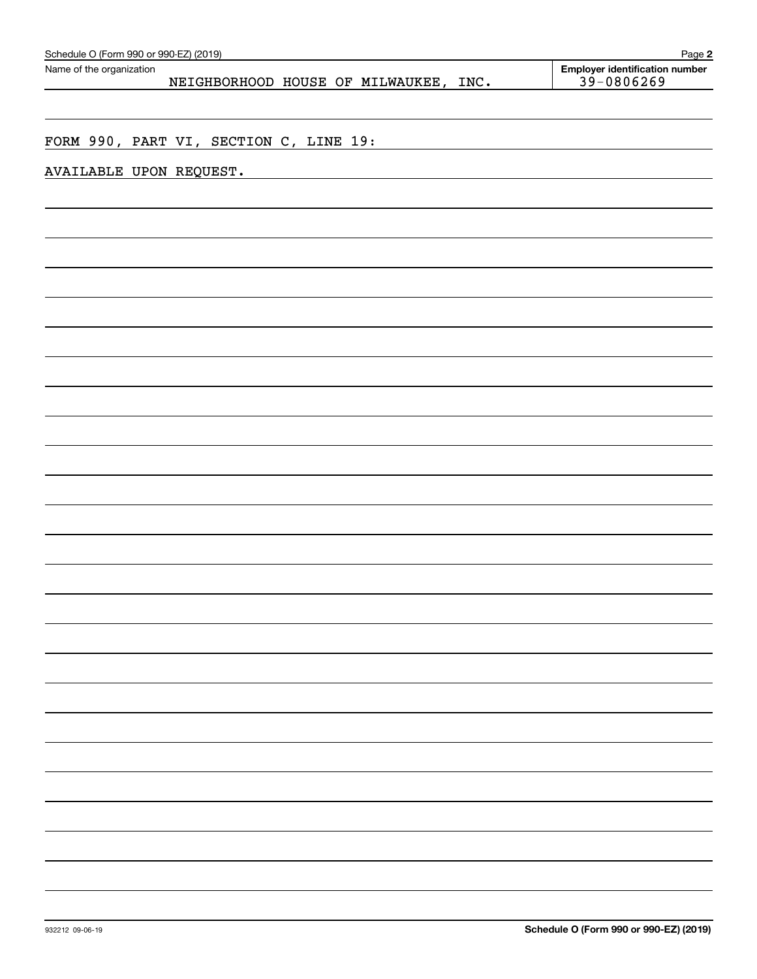| <b>Employer identification number</b><br>Name of the organization<br>39-0806269<br>NEIGHBORHOOD HOUSE OF MILWAUKEE, INC.<br>FORM 990, PART VI, SECTION C, LINE 19:<br>AVAILABLE UPON REQUEST. | Schedule O (Form 990 or 990-EZ) (2019) | Page 2 |
|-----------------------------------------------------------------------------------------------------------------------------------------------------------------------------------------------|----------------------------------------|--------|
|                                                                                                                                                                                               |                                        |        |
|                                                                                                                                                                                               |                                        |        |
|                                                                                                                                                                                               |                                        |        |
|                                                                                                                                                                                               |                                        |        |
|                                                                                                                                                                                               |                                        |        |
|                                                                                                                                                                                               |                                        |        |
|                                                                                                                                                                                               |                                        |        |
|                                                                                                                                                                                               |                                        |        |
|                                                                                                                                                                                               |                                        |        |
|                                                                                                                                                                                               |                                        |        |
|                                                                                                                                                                                               |                                        |        |
|                                                                                                                                                                                               |                                        |        |
|                                                                                                                                                                                               |                                        |        |
|                                                                                                                                                                                               |                                        |        |
|                                                                                                                                                                                               |                                        |        |
|                                                                                                                                                                                               |                                        |        |
|                                                                                                                                                                                               |                                        |        |
|                                                                                                                                                                                               |                                        |        |
|                                                                                                                                                                                               |                                        |        |
|                                                                                                                                                                                               |                                        |        |
|                                                                                                                                                                                               |                                        |        |
|                                                                                                                                                                                               |                                        |        |
|                                                                                                                                                                                               |                                        |        |
|                                                                                                                                                                                               |                                        |        |
|                                                                                                                                                                                               |                                        |        |
|                                                                                                                                                                                               |                                        |        |
|                                                                                                                                                                                               |                                        |        |